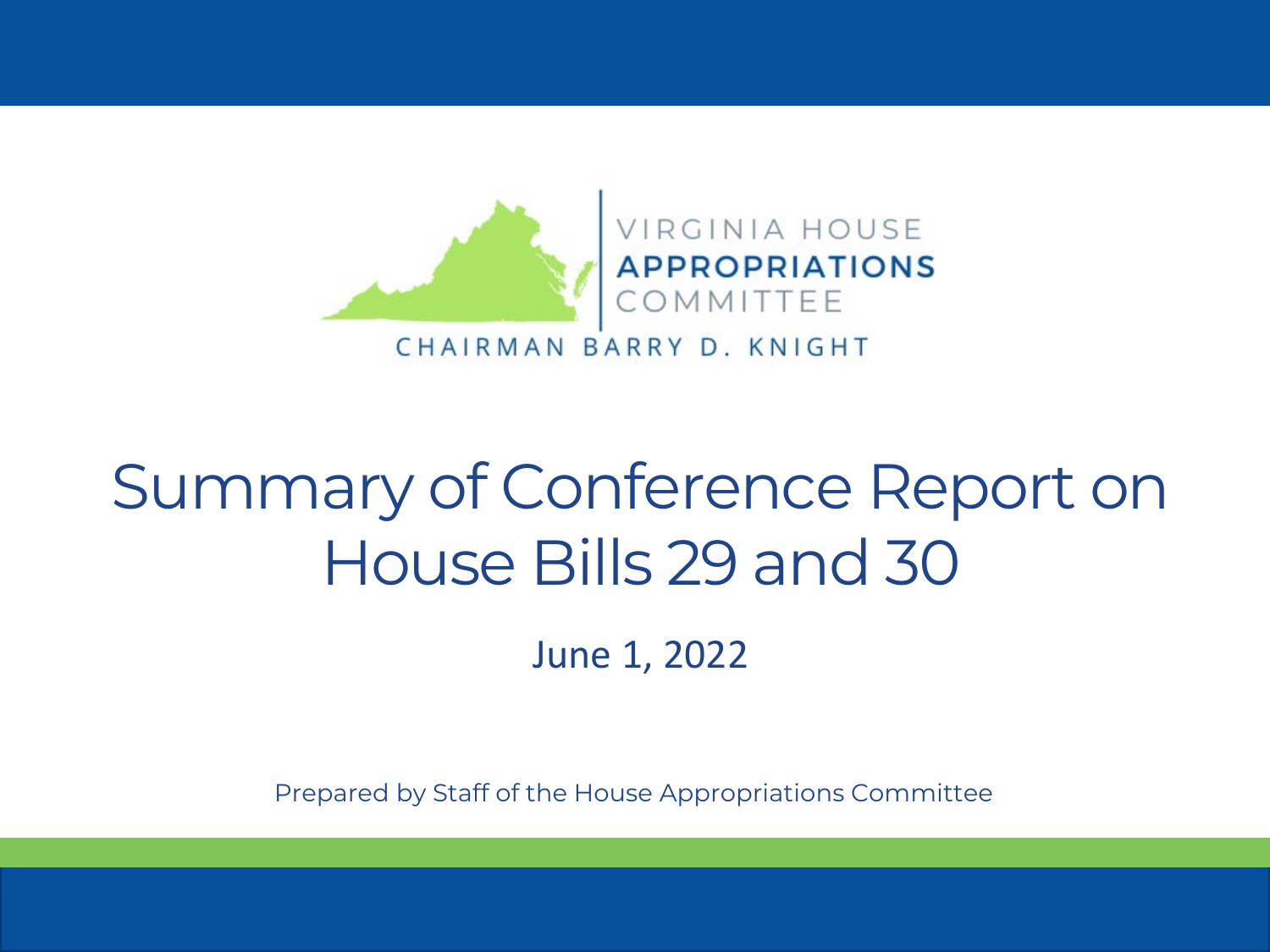

#### Summary of Conference Report on House Bills 29 and 30

June 1, 2022

Prepared by Staff of the House Appropriations Committee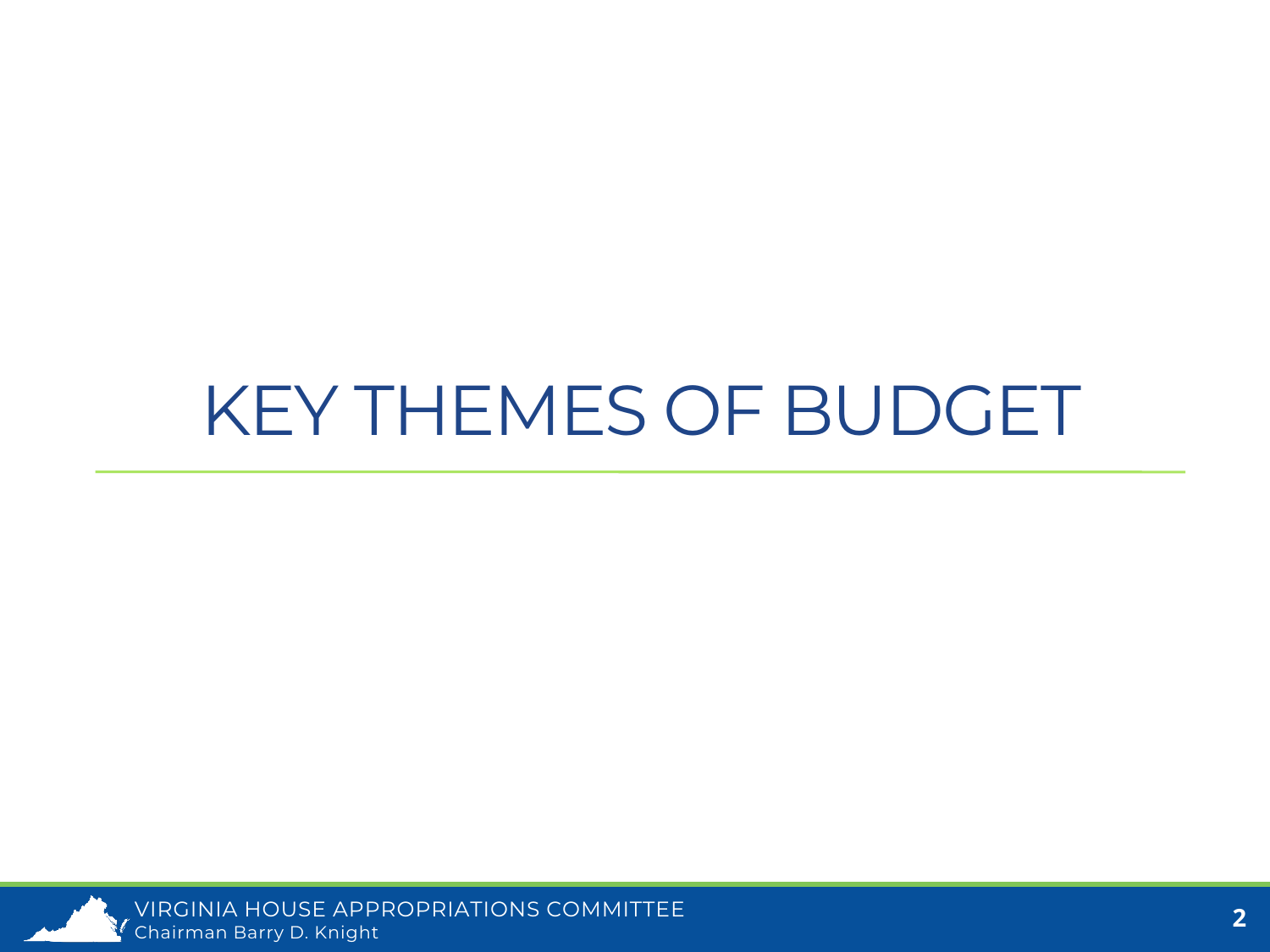#### KEY THEMES OF BUDGET

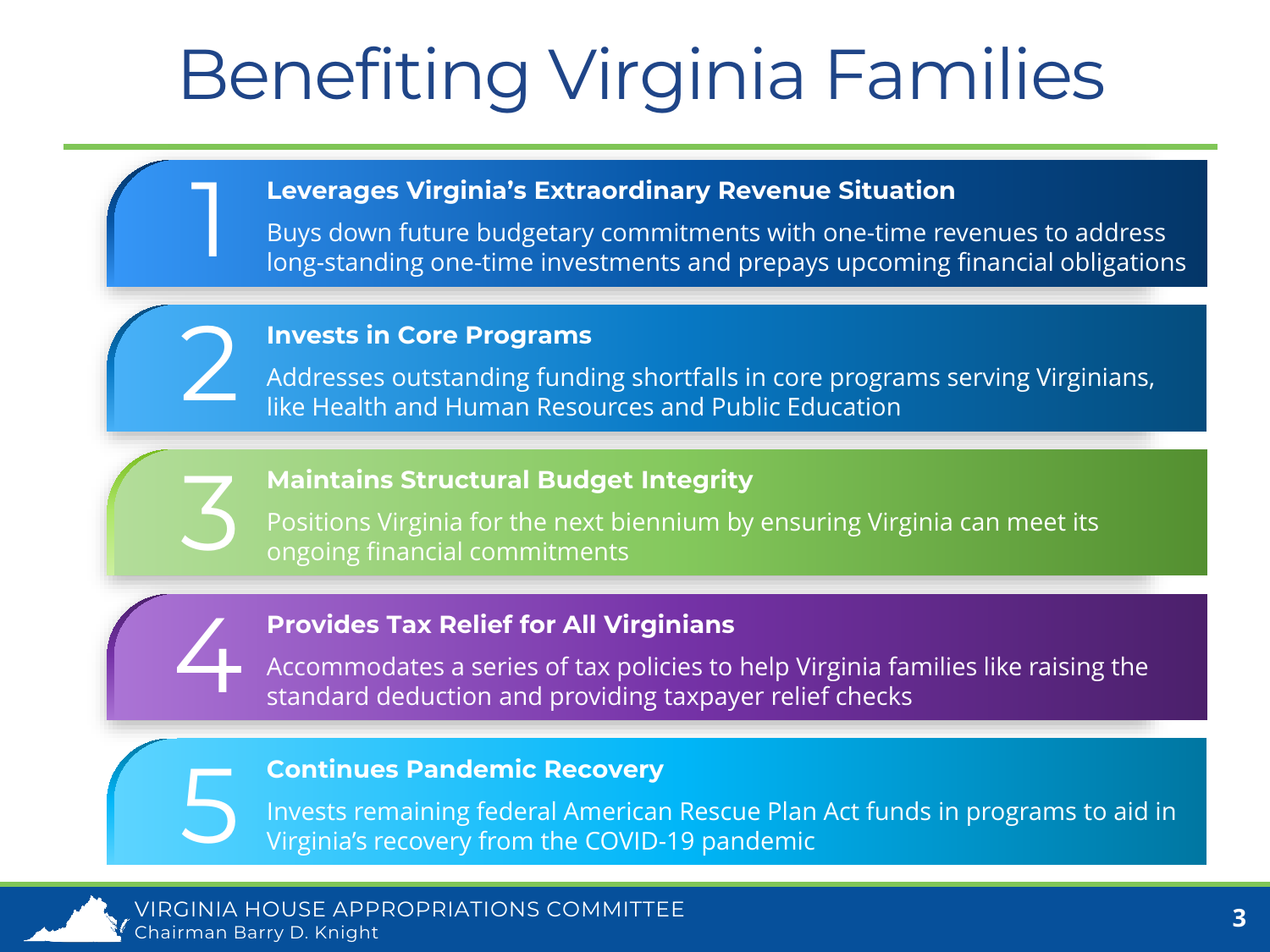# Benefiting Virginia Families

#### **Leverages Virginia's Extraordinary Revenue Situation**

Buys down future budgetary commitments with one-time revenues to address long-standing one-time investments and prepays upcoming financial obligations

#### **Invests in Core Programs**

1

2

3

4

5

Addresses outstanding funding shortfalls in core programs serving Virginians, like Health and Human Resources and Public Education

#### **Maintains Structural Budget Integrity**

Positions Virginia for the next biennium by ensuring Virginia can meet its ongoing financial commitments

#### **Provides Tax Relief for All Virginians**

Accommodates a series of tax policies to help Virginia families like raising the standard deduction and providing taxpayer relief checks

#### **Continues Pandemic Recovery**

Invests remaining federal American Rescue Plan Act funds in programs to aid in Virginia's recovery from the COVID-19 pandemic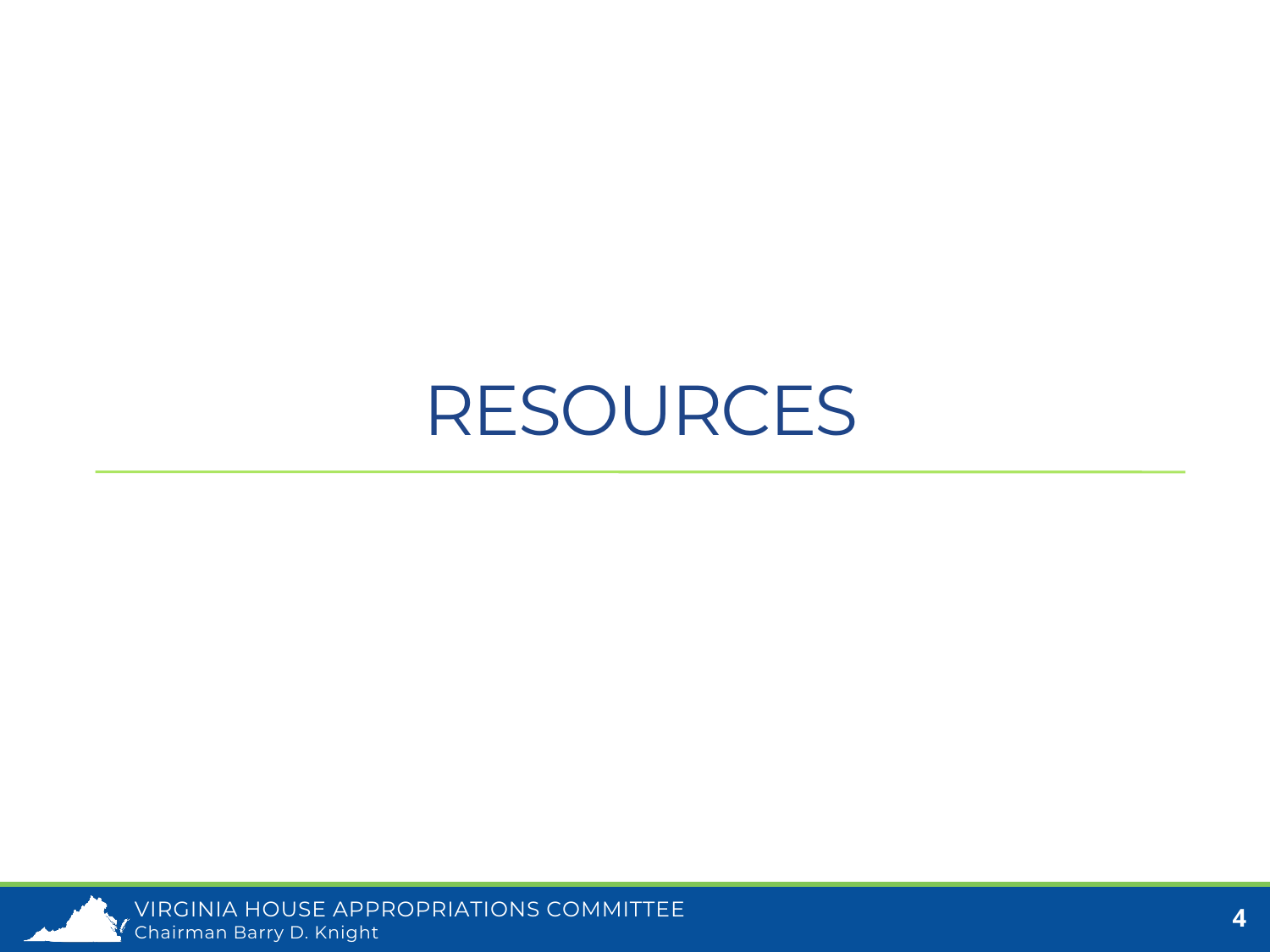#### RESOURCES

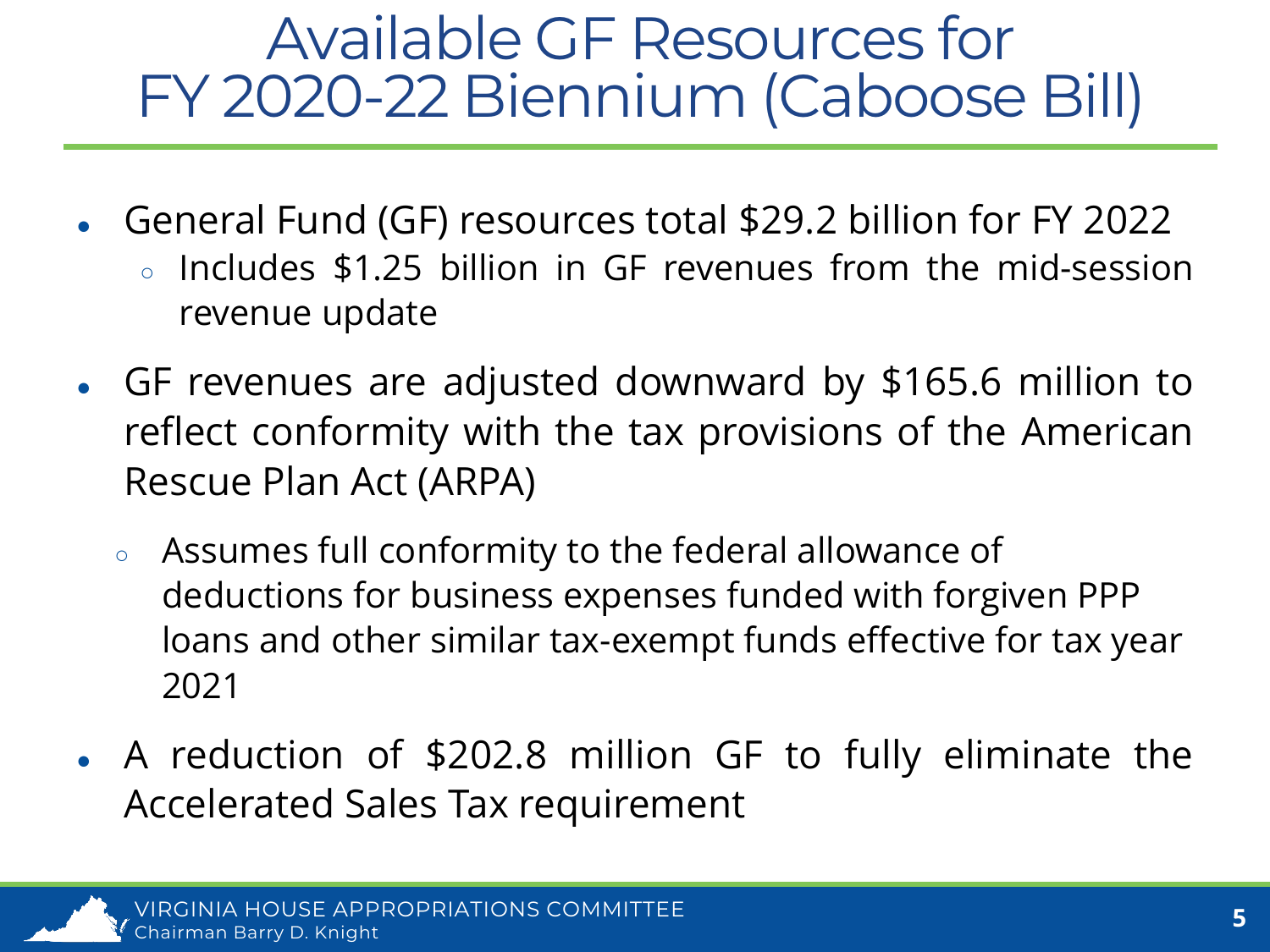#### Available GF Resources for FY 2020-22 Biennium (Caboose Bill)

- General Fund (GF) resources total \$29.2 billion for FY 2022
	- Includes \$1.25 billion in GF revenues from the mid-session revenue update
- GF revenues are adjusted downward by \$165.6 million to reflect conformity with the tax provisions of the American Rescue Plan Act (ARPA)
	- Assumes full conformity to the federal allowance of deductions for business expenses funded with forgiven PPP loans and other similar tax-exempt funds effective for tax year 2021
- A reduction of \$202.8 million GF to fully eliminate the Accelerated Sales Tax requirement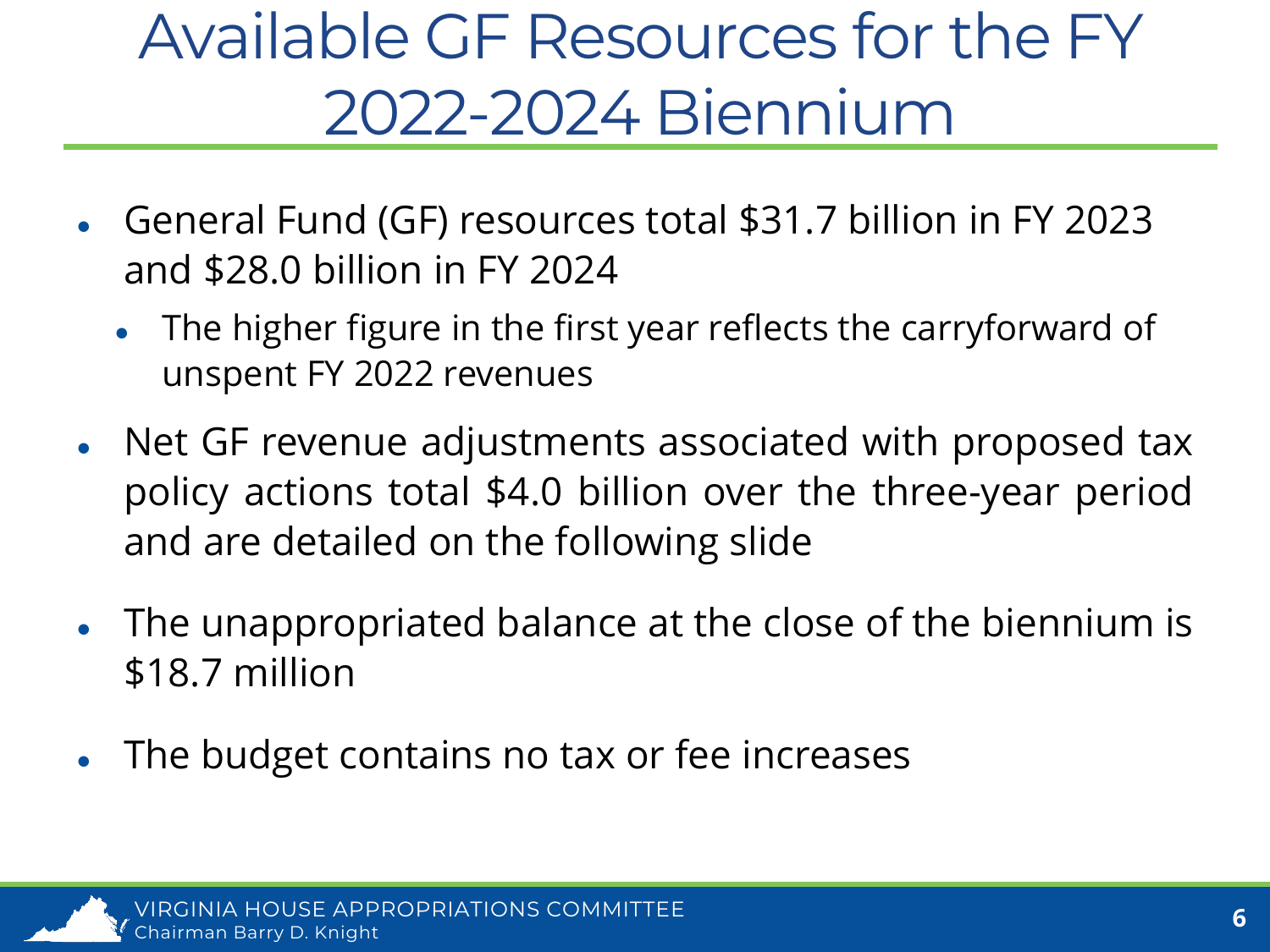#### Available GF Resources for the FY 2022-2024 Biennium

- General Fund (GF) resources total \$31.7 billion in FY 2023 and \$28.0 billion in FY 2024
	- The higher figure in the first year reflects the carryforward of unspent FY 2022 revenues
- Net GF revenue adjustments associated with proposed tax policy actions total \$4.0 billion over the three-year period and are detailed on the following slide
- The unappropriated balance at the close of the biennium is \$18.7 million
- The budget contains no tax or fee increases

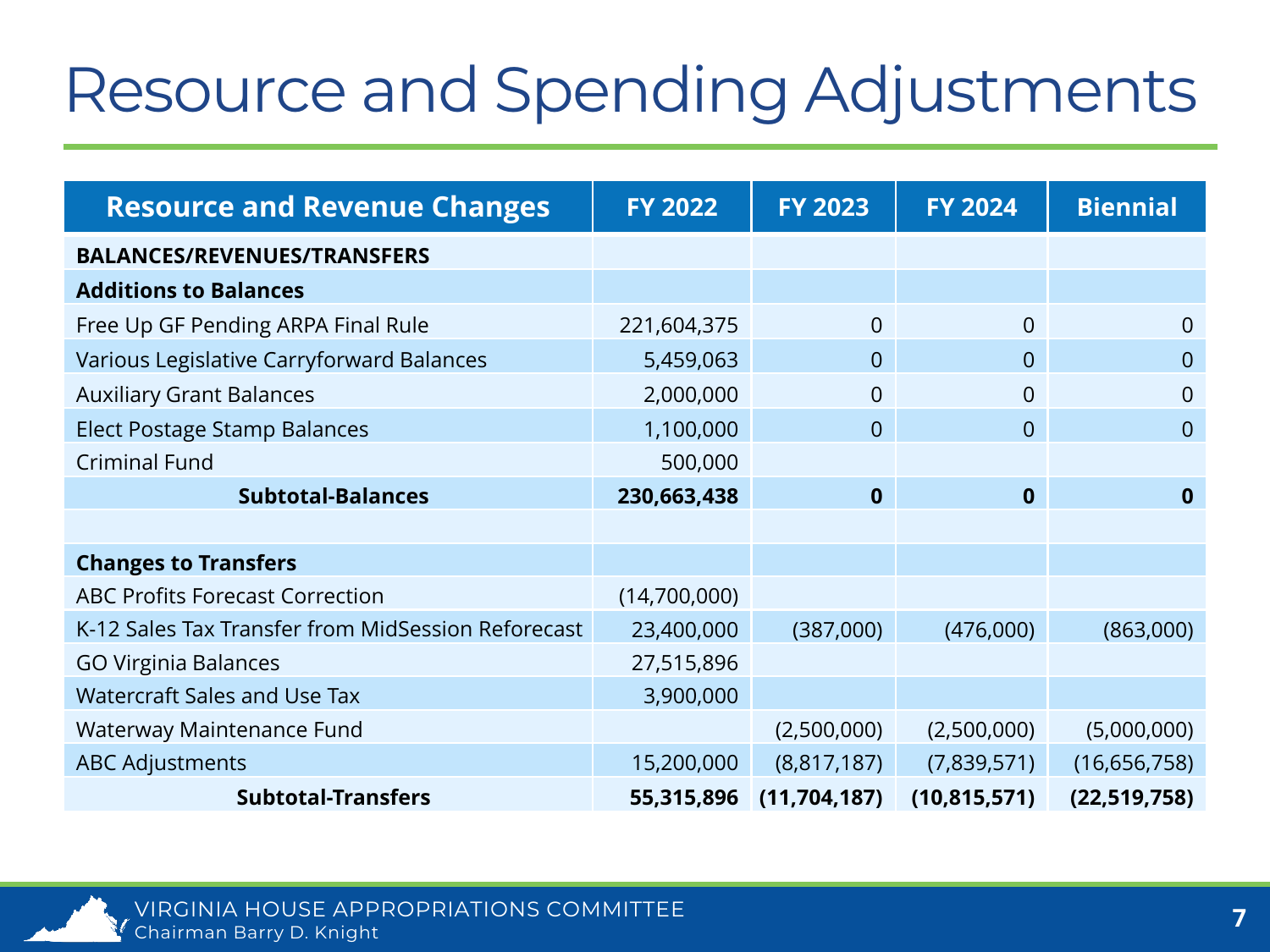#### Resource and Spending Adjustments

| <b>Resource and Revenue Changes</b>                | <b>FY 2022</b> | <b>FY 2023</b> | <b>FY 2024</b> | <b>Biennial</b> |
|----------------------------------------------------|----------------|----------------|----------------|-----------------|
| <b>BALANCES/REVENUES/TRANSFERS</b>                 |                |                |                |                 |
| <b>Additions to Balances</b>                       |                |                |                |                 |
| Free Up GF Pending ARPA Final Rule                 | 221,604,375    | $\overline{0}$ | $\overline{0}$ | $\overline{0}$  |
| Various Legislative Carryforward Balances          | 5,459,063      | $\overline{0}$ | $\overline{0}$ | $\overline{0}$  |
| <b>Auxiliary Grant Balances</b>                    | 2,000,000      | 0              | 0              | $\overline{0}$  |
| <b>Elect Postage Stamp Balances</b>                | 1,100,000      | $\overline{0}$ | $\overline{0}$ | $\overline{0}$  |
| <b>Criminal Fund</b>                               | 500,000        |                |                |                 |
| <b>Subtotal-Balances</b>                           | 230,663,438    | $\mathbf 0$    | $\mathbf 0$    | $\mathbf{0}$    |
|                                                    |                |                |                |                 |
| <b>Changes to Transfers</b>                        |                |                |                |                 |
| <b>ABC Profits Forecast Correction</b>             | (14,700,000)   |                |                |                 |
| K-12 Sales Tax Transfer from MidSession Reforecast | 23,400,000     | (387,000)      | (476,000)      | (863,000)       |
| <b>GO Virginia Balances</b>                        | 27,515,896     |                |                |                 |
| <b>Watercraft Sales and Use Tax</b>                | 3,900,000      |                |                |                 |
| Waterway Maintenance Fund                          |                | (2,500,000)    | (2,500,000)    | (5,000,000)     |
| <b>ABC Adjustments</b>                             | 15,200,000     | (8,817,187)    | (7,839,571)    | (16,656,758)    |
| <b>Subtotal-Transfers</b>                          | 55,315,896     | (11, 704, 187) | (10, 815, 571) | (22, 519, 758)  |

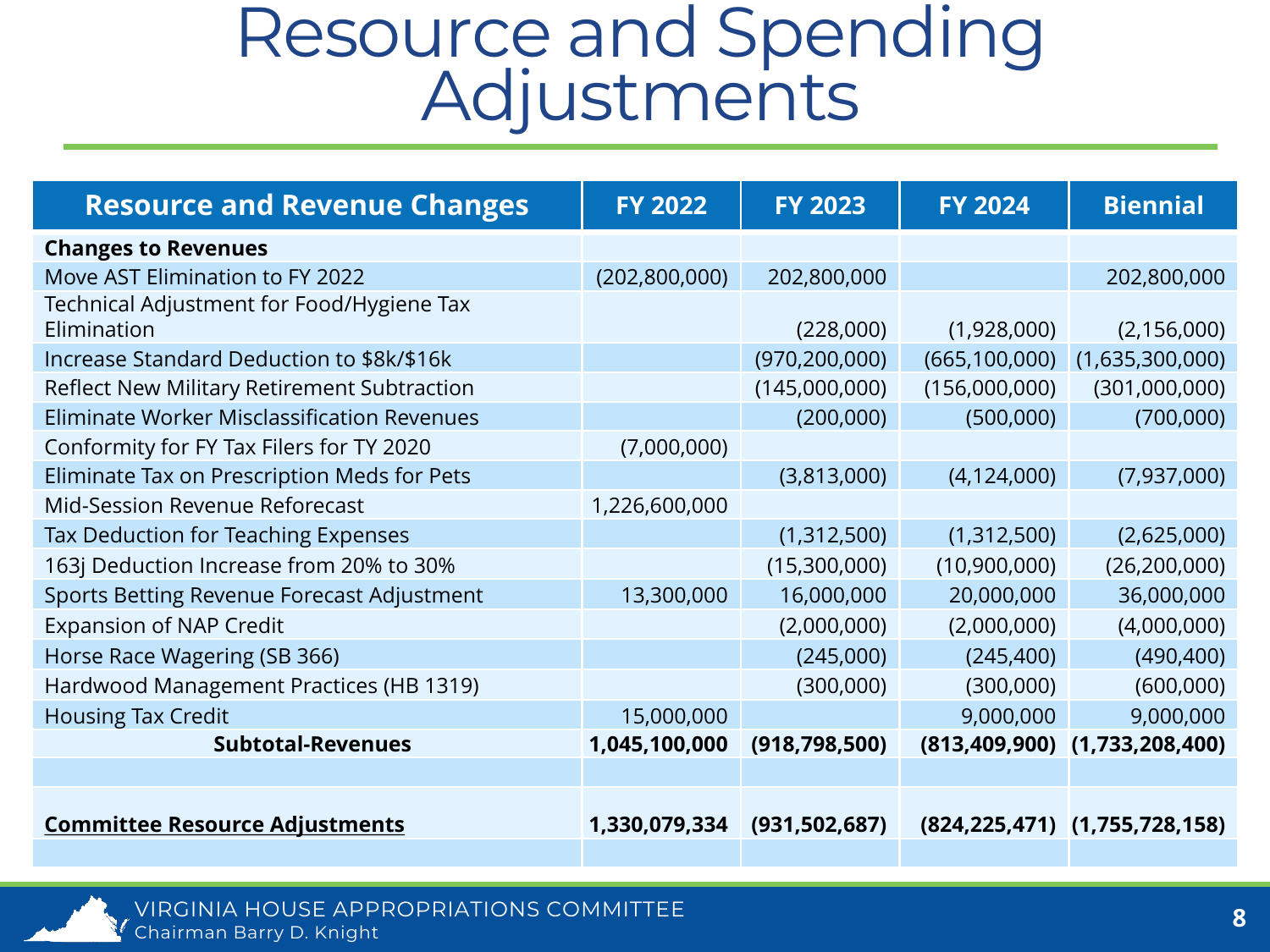# Resource and Spending<br>Adjustments

| <b>Resource and Revenue Changes</b>                      | <b>FY 2022</b>  | <b>FY 2023</b>  | <b>FY 2024</b>  | <b>Biennial</b>                        |
|----------------------------------------------------------|-----------------|-----------------|-----------------|----------------------------------------|
| <b>Changes to Revenues</b>                               |                 |                 |                 |                                        |
| Move AST Elimination to FY 2022                          | (202, 800, 000) | 202,800,000     |                 | 202,800,000                            |
| Technical Adjustment for Food/Hygiene Tax<br>Elimination |                 | (228,000)       | (1,928,000)     | (2, 156, 000)                          |
| Increase Standard Deduction to \$8k/\$16k                |                 | (970, 200, 000) | (665, 100, 000) | (1,635,300,000)                        |
| Reflect New Military Retirement Subtraction              |                 | (145,000,000)   | (156,000,000)   | (301,000,000)                          |
| Eliminate Worker Misclassification Revenues              |                 | (200,000)       | (500,000)       | (700,000)                              |
| Conformity for FY Tax Filers for TY 2020                 | (7,000,000)     |                 |                 |                                        |
| Eliminate Tax on Prescription Meds for Pets              |                 | (3,813,000)     | (4, 124, 000)   | (7,937,000)                            |
| Mid-Session Revenue Reforecast                           | 1,226,600,000   |                 |                 |                                        |
| Tax Deduction for Teaching Expenses                      |                 | (1,312,500)     | (1,312,500)     | (2,625,000)                            |
| 163j Deduction Increase from 20% to 30%                  |                 | (15,300,000)    | (10,900,000)    | (26, 200, 000)                         |
| Sports Betting Revenue Forecast Adjustment               | 13,300,000      | 16,000,000      | 20,000,000      | 36,000,000                             |
| <b>Expansion of NAP Credit</b>                           |                 | (2,000,000)     | (2,000,000)     | (4,000,000)                            |
| Horse Race Wagering (SB 366)                             |                 | (245,000)       | (245, 400)      | (490, 400)                             |
| Hardwood Management Practices (HB 1319)                  |                 | (300,000)       | (300,000)       | (600,000)                              |
| <b>Housing Tax Credit</b>                                | 15,000,000      |                 | 9,000,000       | 9,000,000                              |
| <b>Subtotal-Revenues</b>                                 | 1,045,100,000   | (918, 798, 500) |                 | $(813, 409, 900)$ $(1, 733, 208, 400)$ |
|                                                          |                 |                 |                 |                                        |
| <b>Committee Resource Adjustments</b>                    | 1,330,079,334   | (931, 502, 687) |                 | $(824, 225, 471)$ $(1, 755, 728, 158)$ |

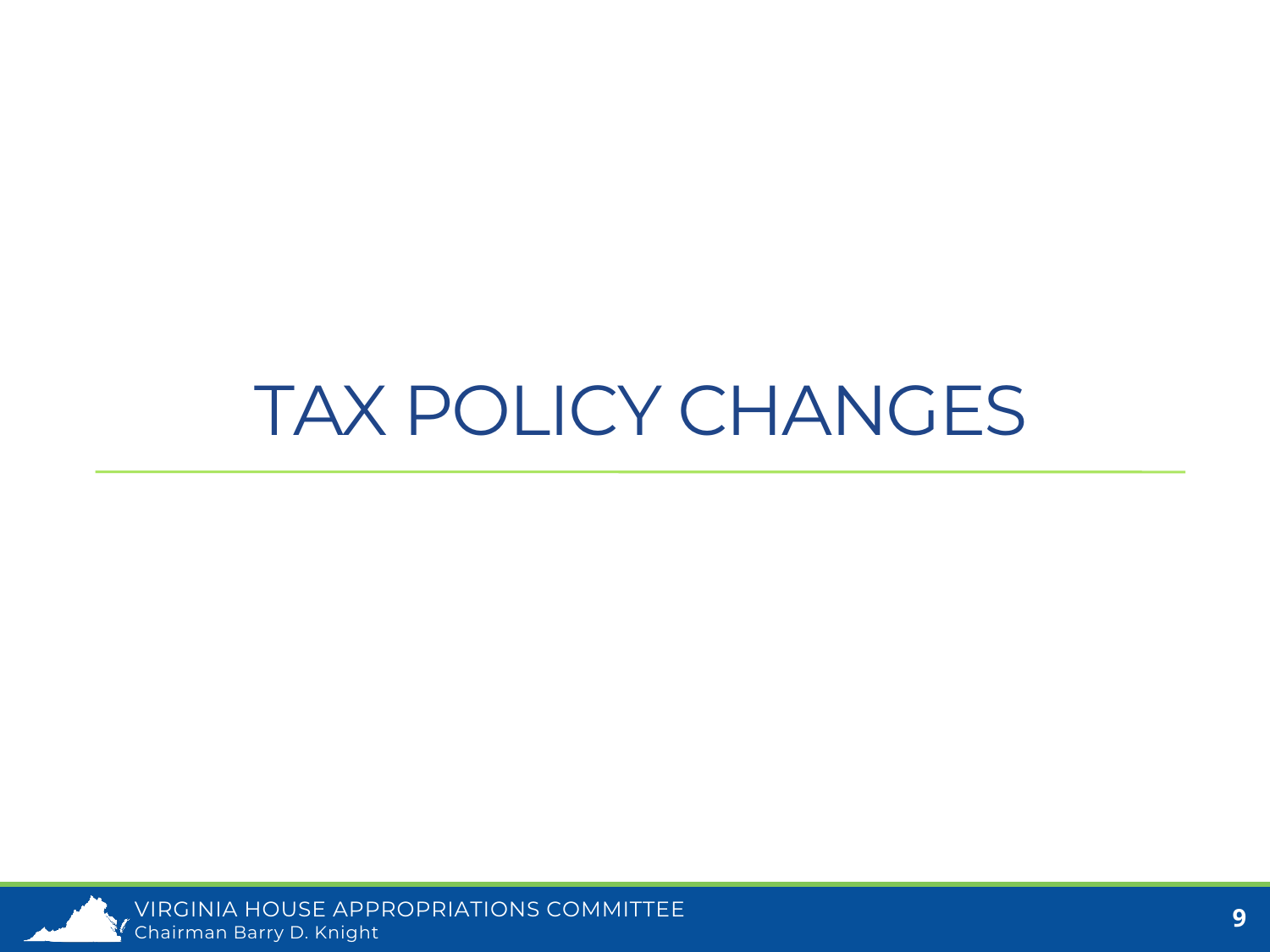#### TAX POLICY CHANGES

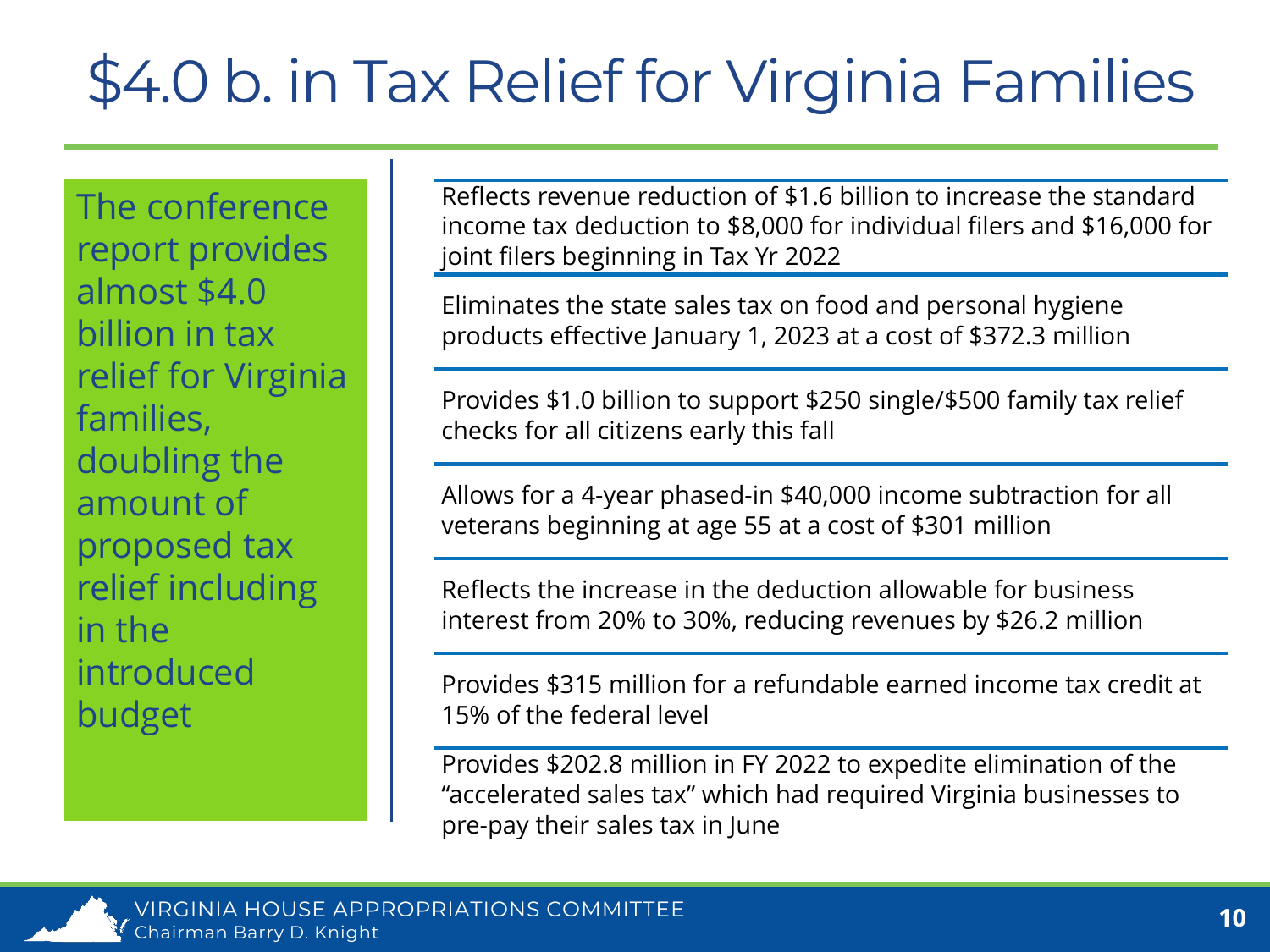#### \$4.0 b. in Tax Relief for Virginia Families

The conference report provides almost \$4.0 billion in tax relief for Virginia families, doubling the amount of proposed tax relief including in the introduced budget

Reflects revenue reduction of \$1.6 billion to increase the standard income tax deduction to \$8,000 for individual filers and \$16,000 for joint filers beginning in Tax Yr 2022

Eliminates the state sales tax on food and personal hygiene products effective January 1, 2023 at a cost of \$372.3 million

Provides \$1.0 billion to support \$250 single/\$500 family tax relief checks for all citizens early this fall

Allows for a 4-year phased-in \$40,000 income subtraction for all veterans beginning at age 55 at a cost of \$301 million

Reflects the increase in the deduction allowable for business interest from 20% to 30%, reducing revenues by \$26.2 million

Provides \$315 million for a refundable earned income tax credit at 15% of the federal level

Provides \$202.8 million in FY 2022 to expedite elimination of the "accelerated sales tax" which had required Virginia businesses to pre-pay their sales tax in June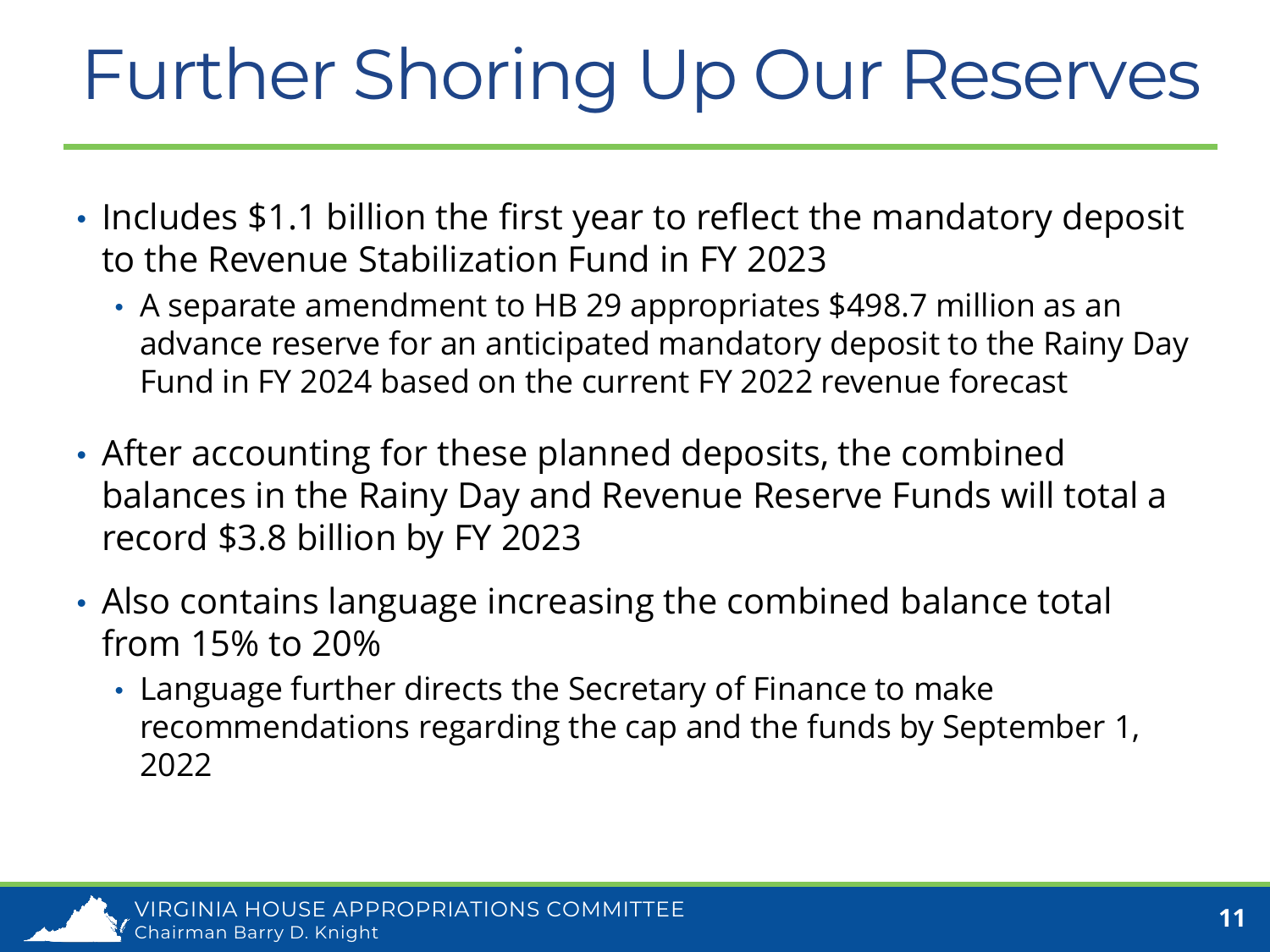# Further Shoring Up Our Reserves

- Includes \$1.1 billion the first year to reflect the mandatory deposit to the Revenue Stabilization Fund in FY 2023
	- A separate amendment to HB 29 appropriates \$498.7 million as an advance reserve for an anticipated mandatory deposit to the Rainy Day Fund in FY 2024 based on the current FY 2022 revenue forecast
- After accounting for these planned deposits, the combined balances in the Rainy Day and Revenue Reserve Funds will total a record \$3.8 billion by FY 2023
- Also contains language increasing the combined balance total from 15% to 20%
	- Language further directs the Secretary of Finance to make recommendations regarding the cap and the funds by September 1, 2022

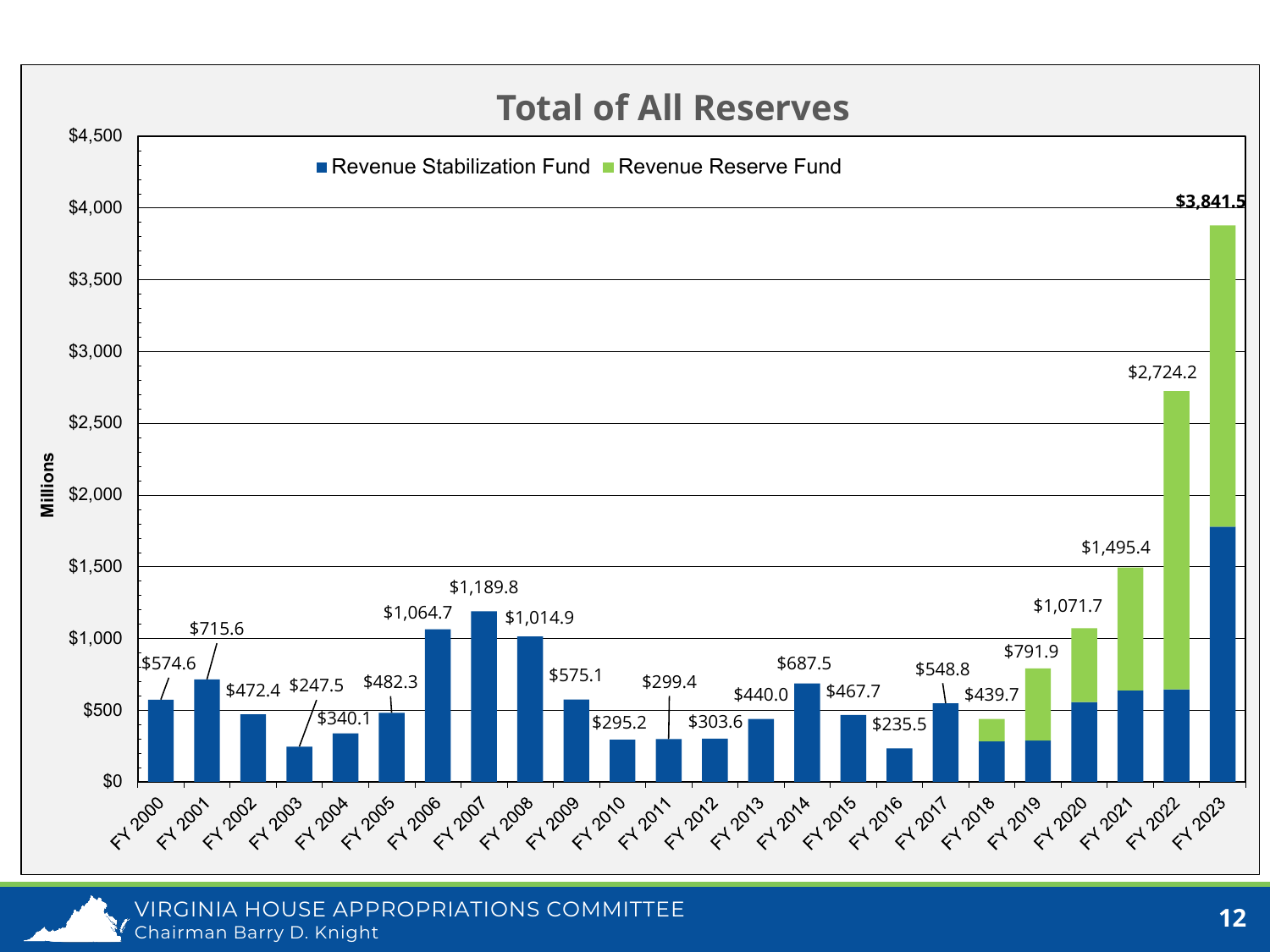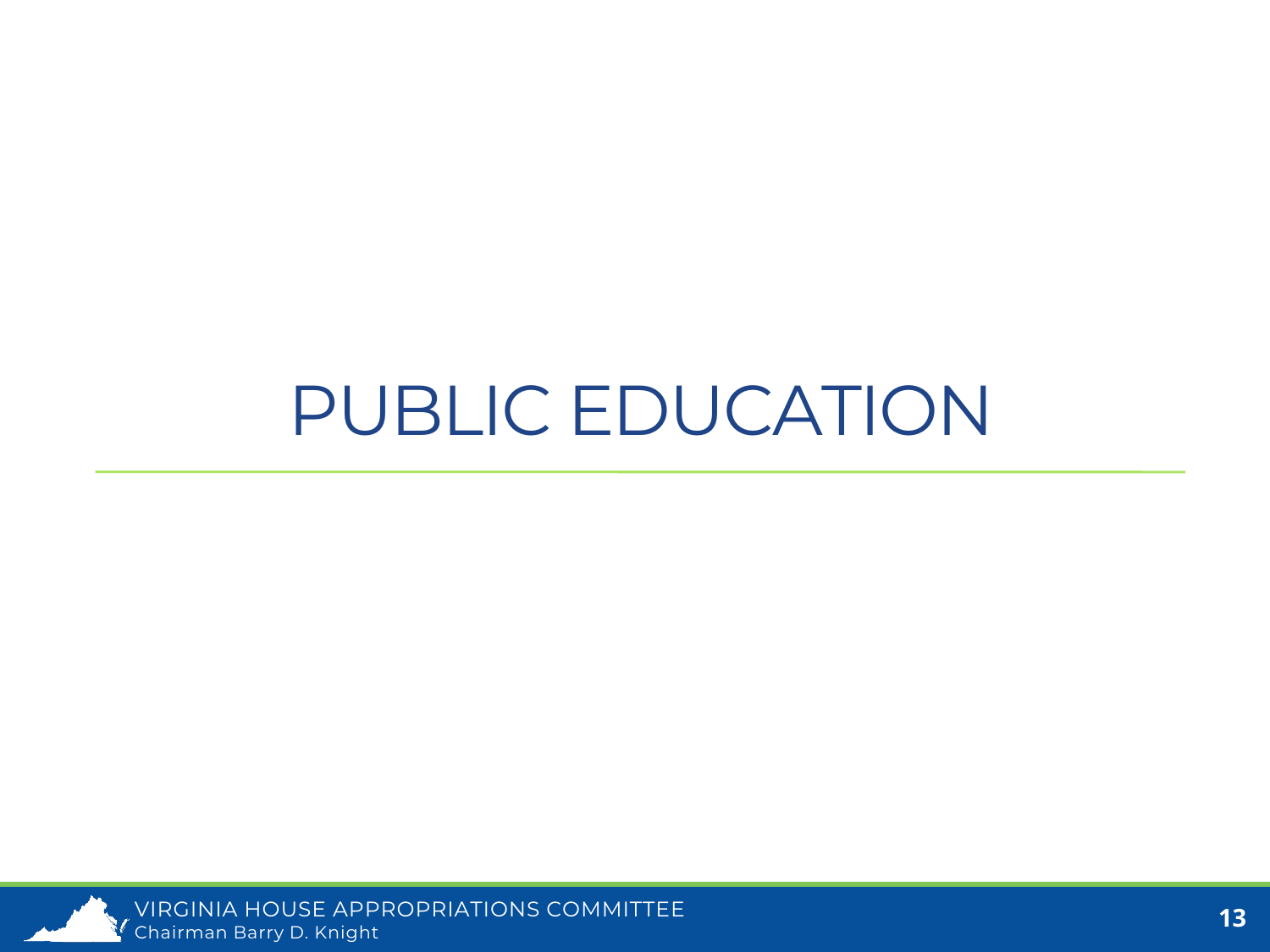#### PUBLIC EDUCATION

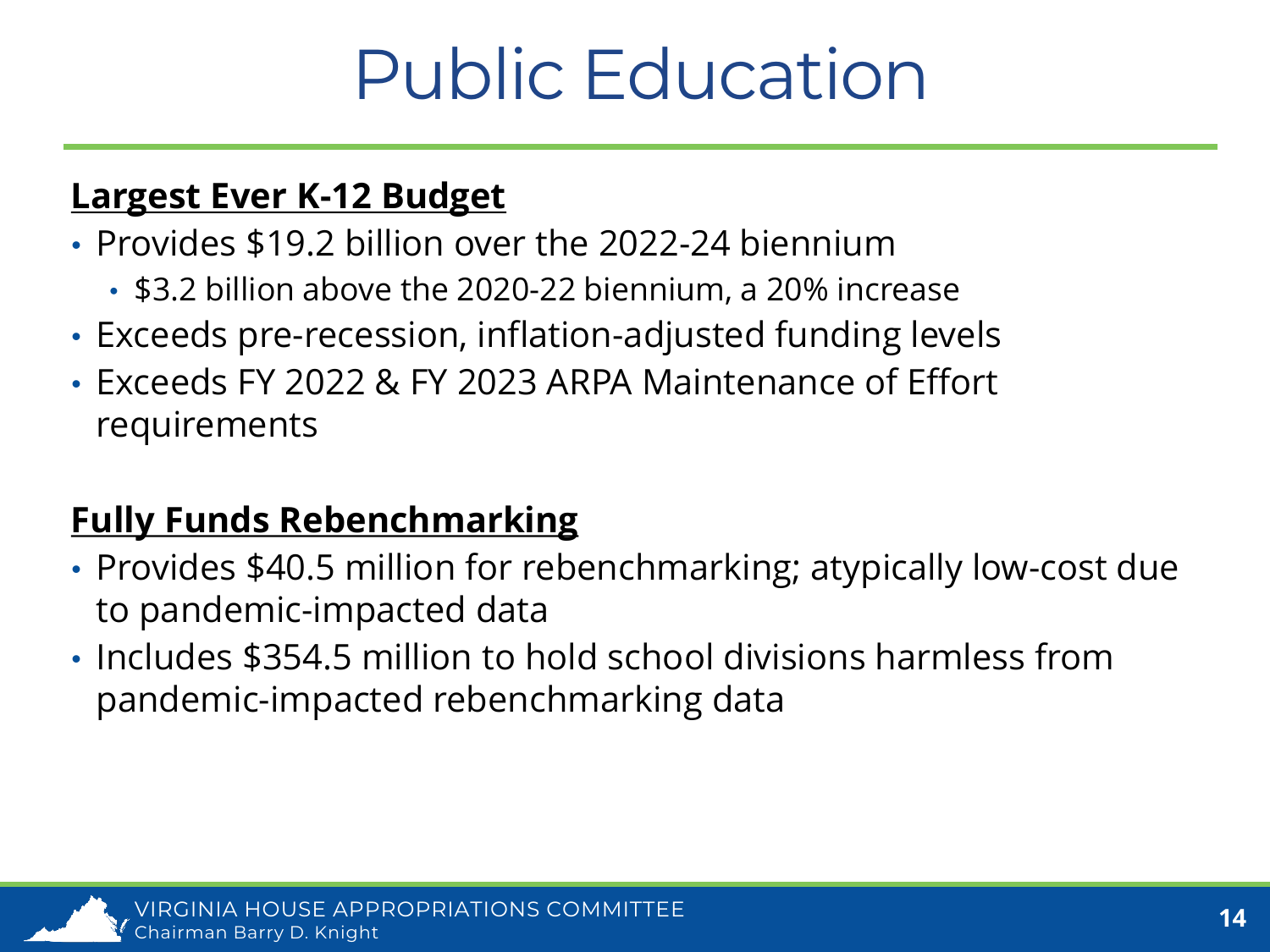### Public Education

#### **Largest Ever K-12 Budget**

- Provides \$19.2 billion over the 2022-24 biennium
	- \$3.2 billion above the 2020-22 biennium, a 20% increase
- Exceeds pre-recession, inflation-adjusted funding levels
- Exceeds FY 2022 & FY 2023 ARPA Maintenance of Effort requirements

#### **Fully Funds Rebenchmarking**

- Provides \$40.5 million for rebenchmarking; atypically low-cost due to pandemic-impacted data
- Includes \$354.5 million to hold school divisions harmless from pandemic-impacted rebenchmarking data

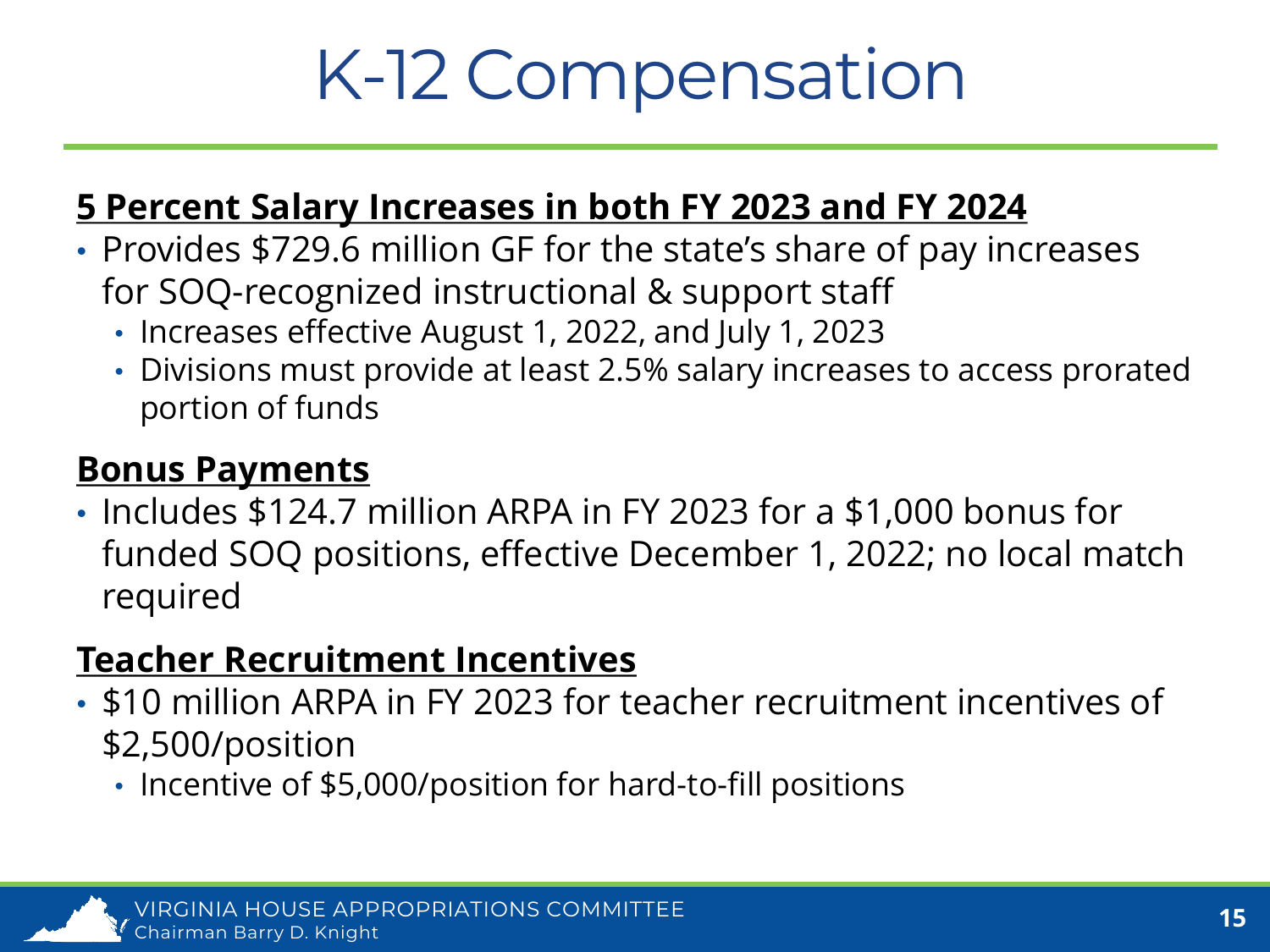### K-12 Compensation

#### **5 Percent Salary Increases in both FY 2023 and FY 2024**

- Provides \$729.6 million GF for the state's share of pay increases for SOQ-recognized instructional & support staff
	- Increases effective August 1, 2022, and July 1, 2023
	- Divisions must provide at least 2.5% salary increases to access prorated portion of funds

#### **Bonus Payments**

• Includes \$124.7 million ARPA in FY 2023 for a \$1,000 bonus for funded SOQ positions, effective December 1, 2022; no local match required

#### **Teacher Recruitment Incentives**

- \$10 million ARPA in FY 2023 for teacher recruitment incentives of \$2,500/position
	- Incentive of \$5,000/position for hard-to-fill positions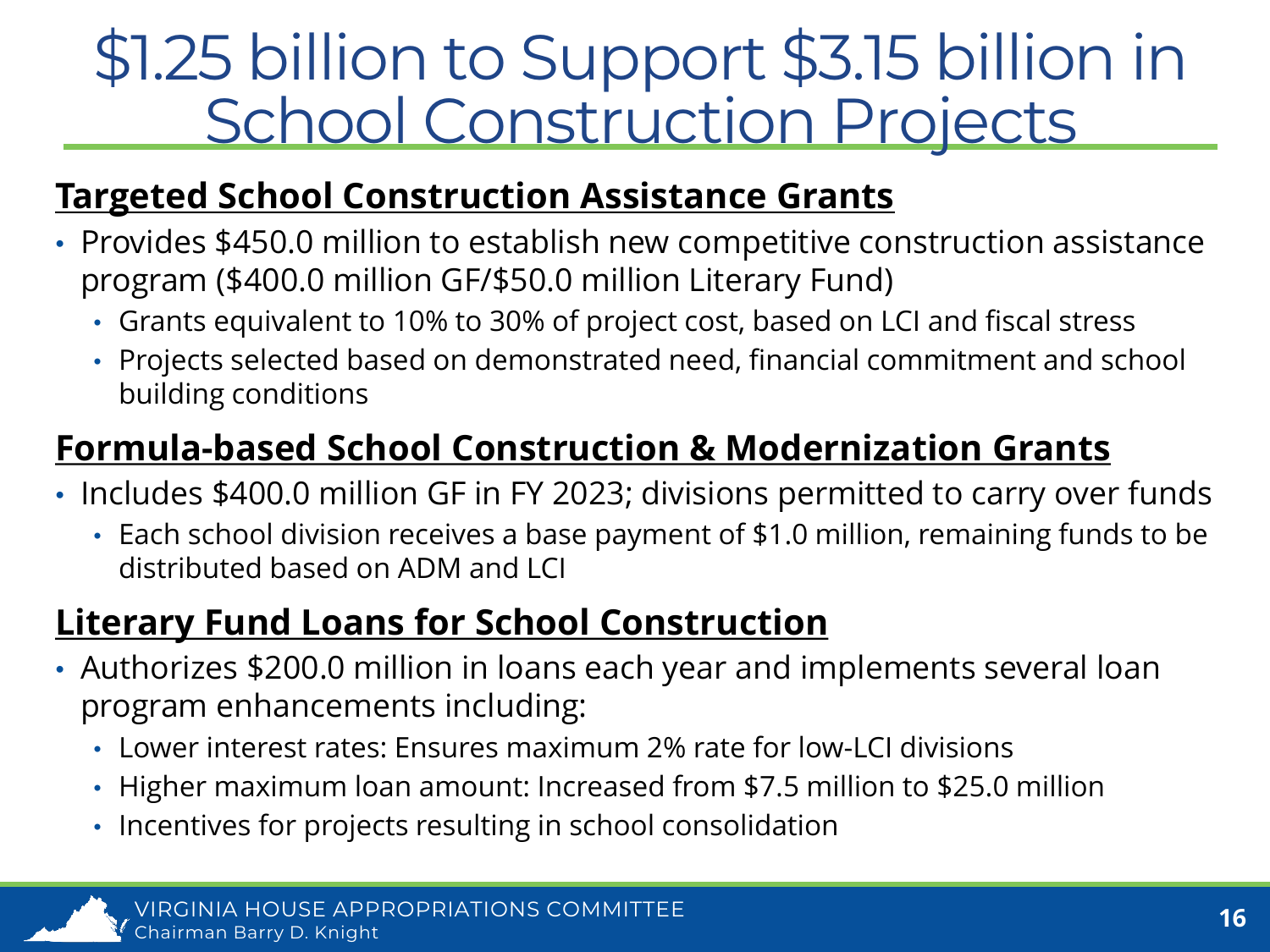#### \$1.25 billion to Support \$3.15 billion in School Construction Projects

#### **Targeted School Construction Assistance Grants**

- Provides \$450.0 million to establish new competitive construction assistance program (\$400.0 million GF/\$50.0 million Literary Fund)
	- Grants equivalent to 10% to 30% of project cost, based on LCI and fiscal stress
	- Projects selected based on demonstrated need, financial commitment and school building conditions

#### **Formula-based School Construction & Modernization Grants**

- Includes \$400.0 million GF in FY 2023; divisions permitted to carry over funds
	- Each school division receives a base payment of \$1.0 million, remaining funds to be distributed based on ADM and LCI

#### **Literary Fund Loans for School Construction**

- Authorizes \$200.0 million in loans each year and implements several loan program enhancements including:
	- Lower interest rates: Ensures maximum 2% rate for low-LCI divisions
	- Higher maximum loan amount: Increased from \$7.5 million to \$25.0 million
	- Incentives for projects resulting in school consolidation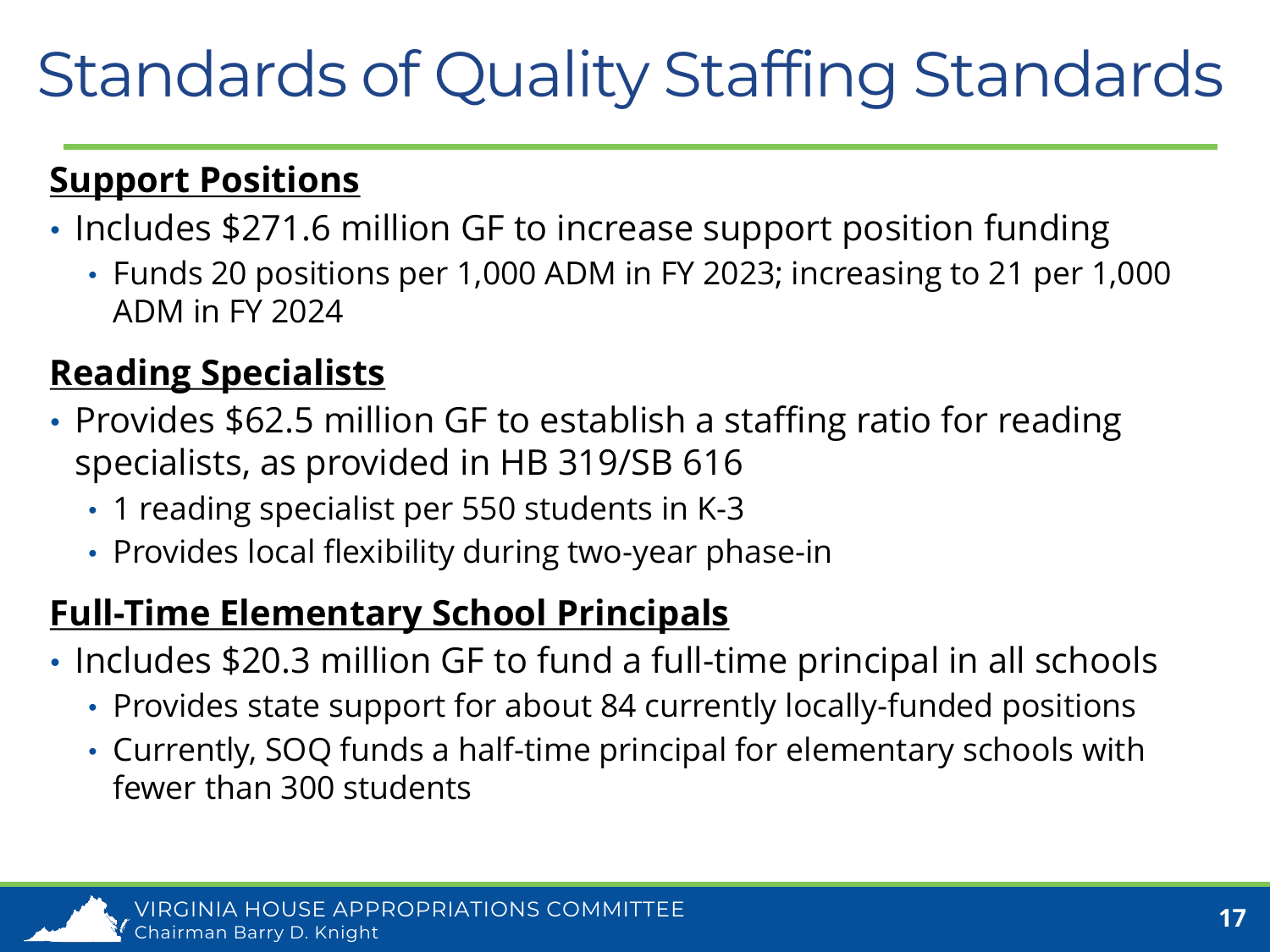#### Standards of Quality Staffing Standards

#### **Support Positions**

- Includes \$271.6 million GF to increase support position funding
	- Funds 20 positions per 1,000 ADM in FY 2023; increasing to 21 per 1,000 ADM in FY 2024

#### **Reading Specialists**

- Provides \$62.5 million GF to establish a staffing ratio for reading specialists, as provided in HB 319/SB 616
	- 1 reading specialist per 550 students in K-3
	- Provides local flexibility during two-year phase-in

#### **Full-Time Elementary School Principals**

- Includes \$20.3 million GF to fund a full-time principal in all schools
	- Provides state support for about 84 currently locally-funded positions
	- Currently, SOQ funds a half-time principal for elementary schools with fewer than 300 students

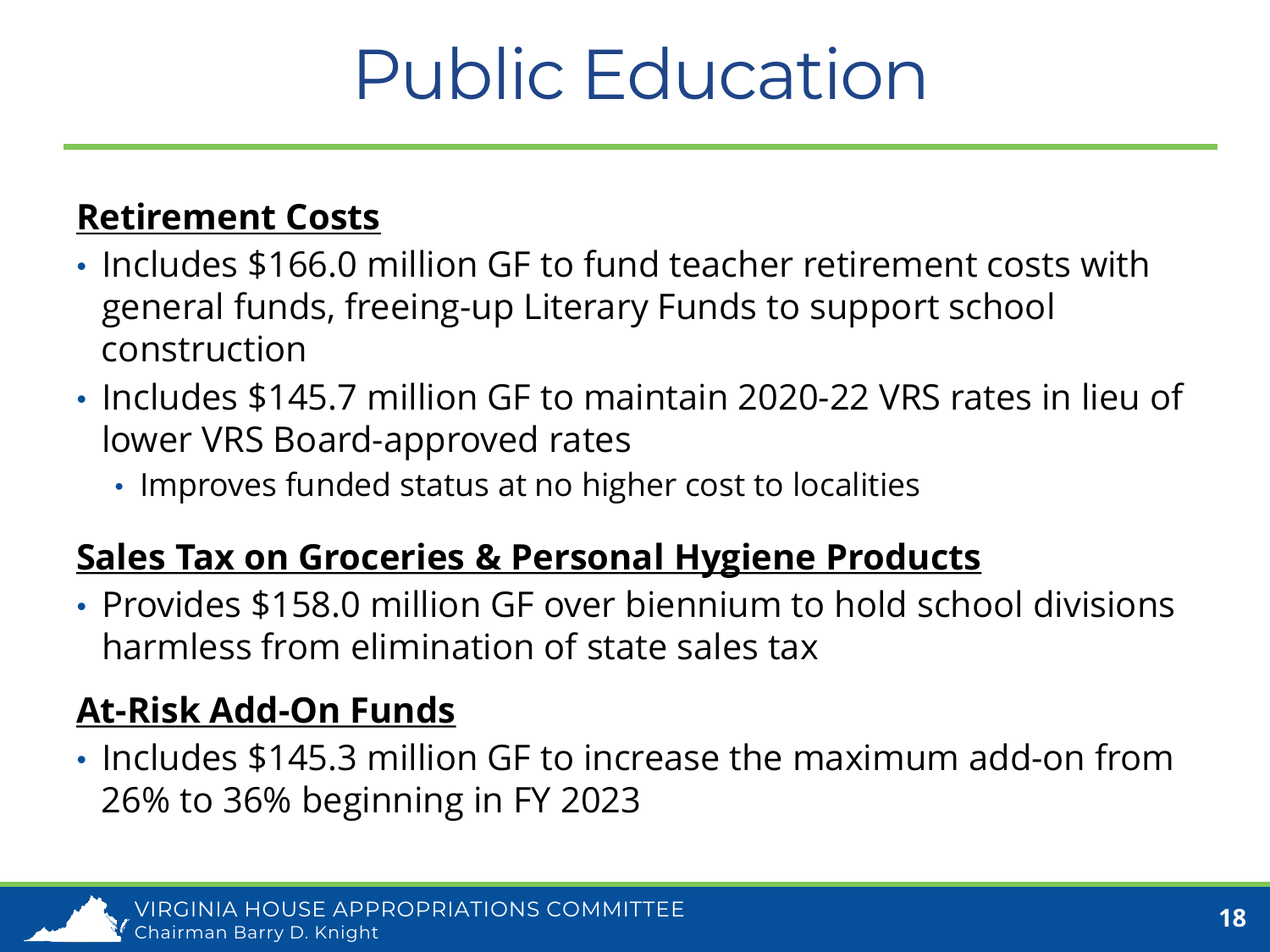### Public Education

#### **Retirement Costs**

- Includes \$166.0 million GF to fund teacher retirement costs with general funds, freeing-up Literary Funds to support school construction
- Includes \$145.7 million GF to maintain 2020-22 VRS rates in lieu of lower VRS Board-approved rates
	- Improves funded status at no higher cost to localities

#### **Sales Tax on Groceries & Personal Hygiene Products**

• Provides \$158.0 million GF over biennium to hold school divisions harmless from elimination of state sales tax

#### **At-Risk Add-On Funds**

• Includes \$145.3 million GF to increase the maximum add-on from 26% to 36% beginning in FY 2023

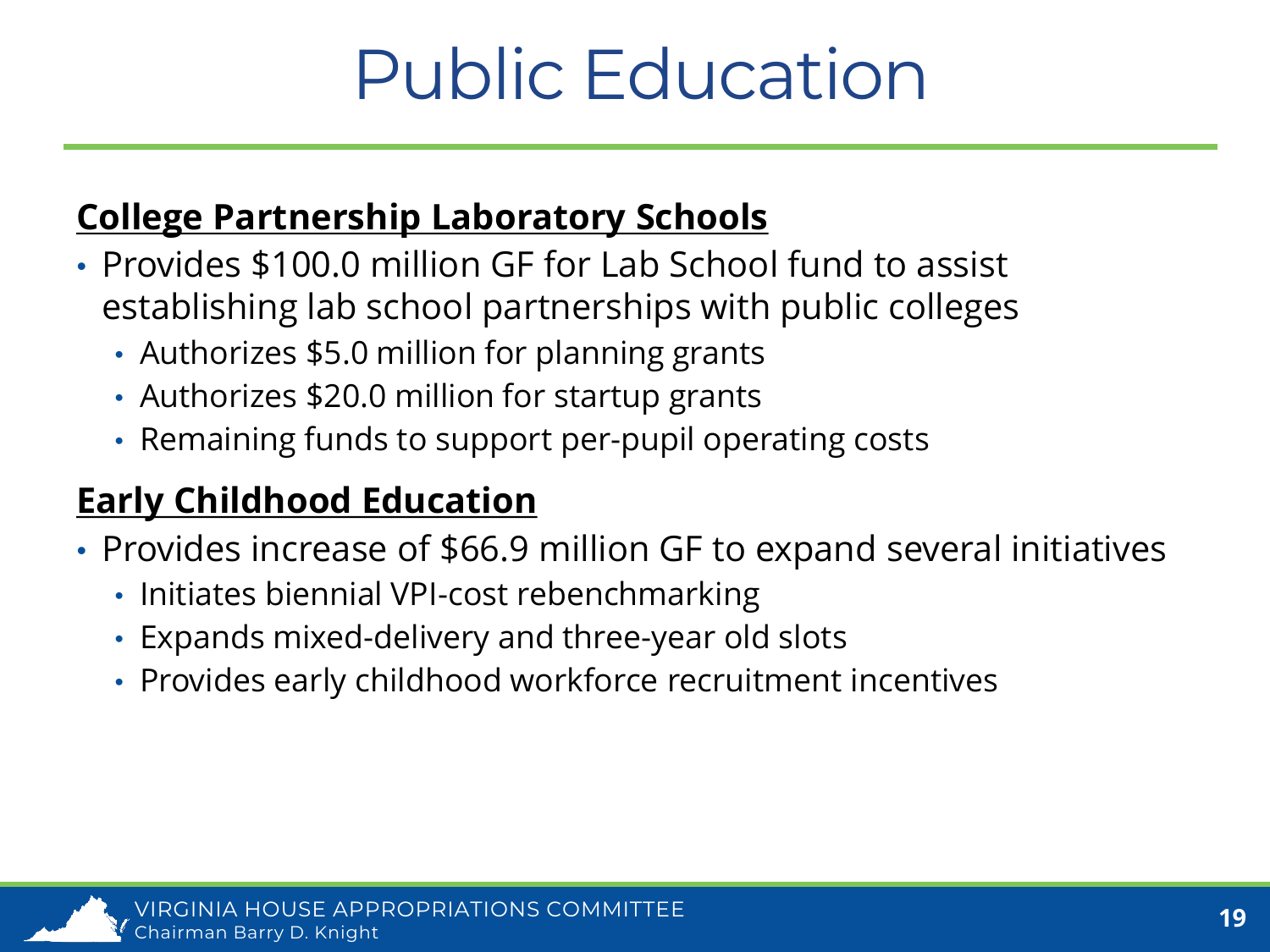### Public Education

#### **College Partnership Laboratory Schools**

- Provides \$100.0 million GF for Lab School fund to assist establishing lab school partnerships with public colleges
	- Authorizes \$5.0 million for planning grants
	- Authorizes \$20.0 million for startup grants
	- Remaining funds to support per-pupil operating costs

#### **Early Childhood Education**

- Provides increase of \$66.9 million GF to expand several initiatives
	- Initiates biennial VPI-cost rebenchmarking
	- Expands mixed-delivery and three-year old slots
	- Provides early childhood workforce recruitment incentives

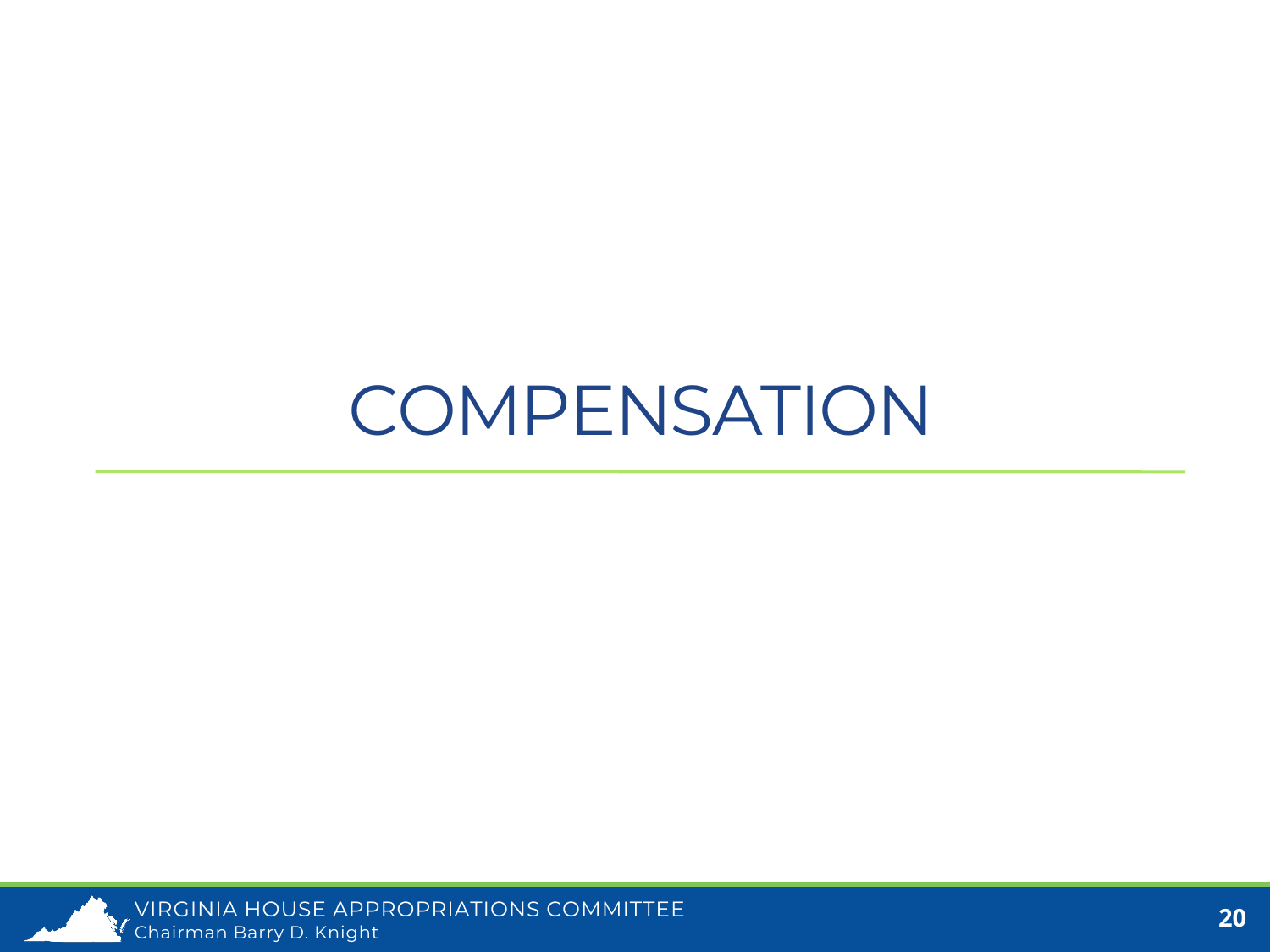#### **COMPENSATION**

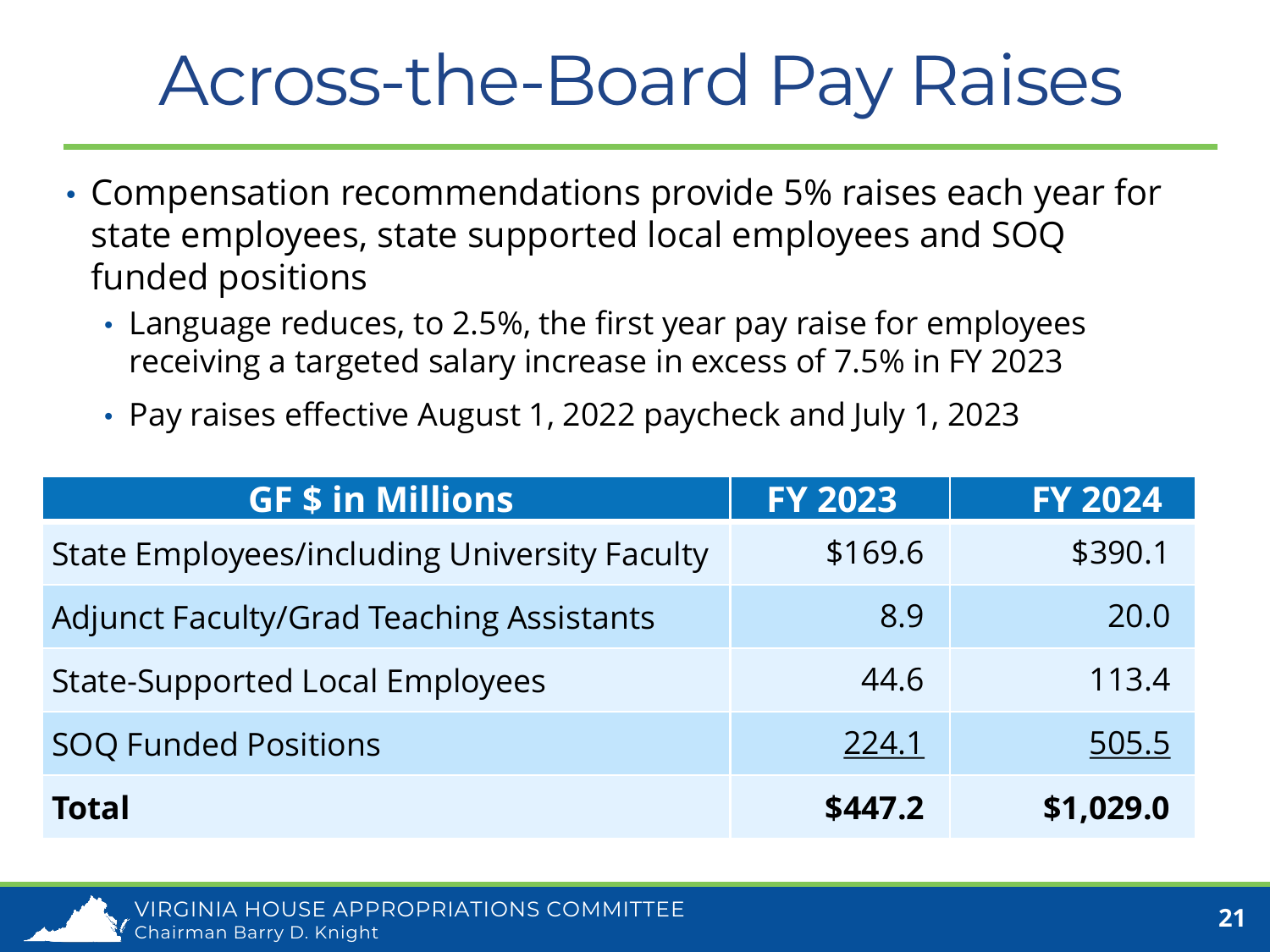#### Across-the-Board Pay Raises

- Compensation recommendations provide 5% raises each year for state employees, state supported local employees and SOQ funded positions
	- Language reduces, to 2.5%, the first year pay raise for employees receiving a targeted salary increase in excess of 7.5% in FY 2023
	- Pay raises effective August 1, 2022 paycheck and July 1, 2023

| <b>GF \$ in Millions</b>                            | <b>FY 2023</b> | <b>FY 2024</b> |
|-----------------------------------------------------|----------------|----------------|
| <b>State Employees/including University Faculty</b> | \$169.6        | \$390.1        |
| <b>Adjunct Faculty/Grad Teaching Assistants</b>     | 8.9            | 20.0           |
| <b>State-Supported Local Employees</b>              | 44.6           | 113.4          |
| <b>SOQ Funded Positions</b>                         | 224.1          | 505.5          |
| <b>Total</b>                                        | \$447.2        | \$1,029.0      |

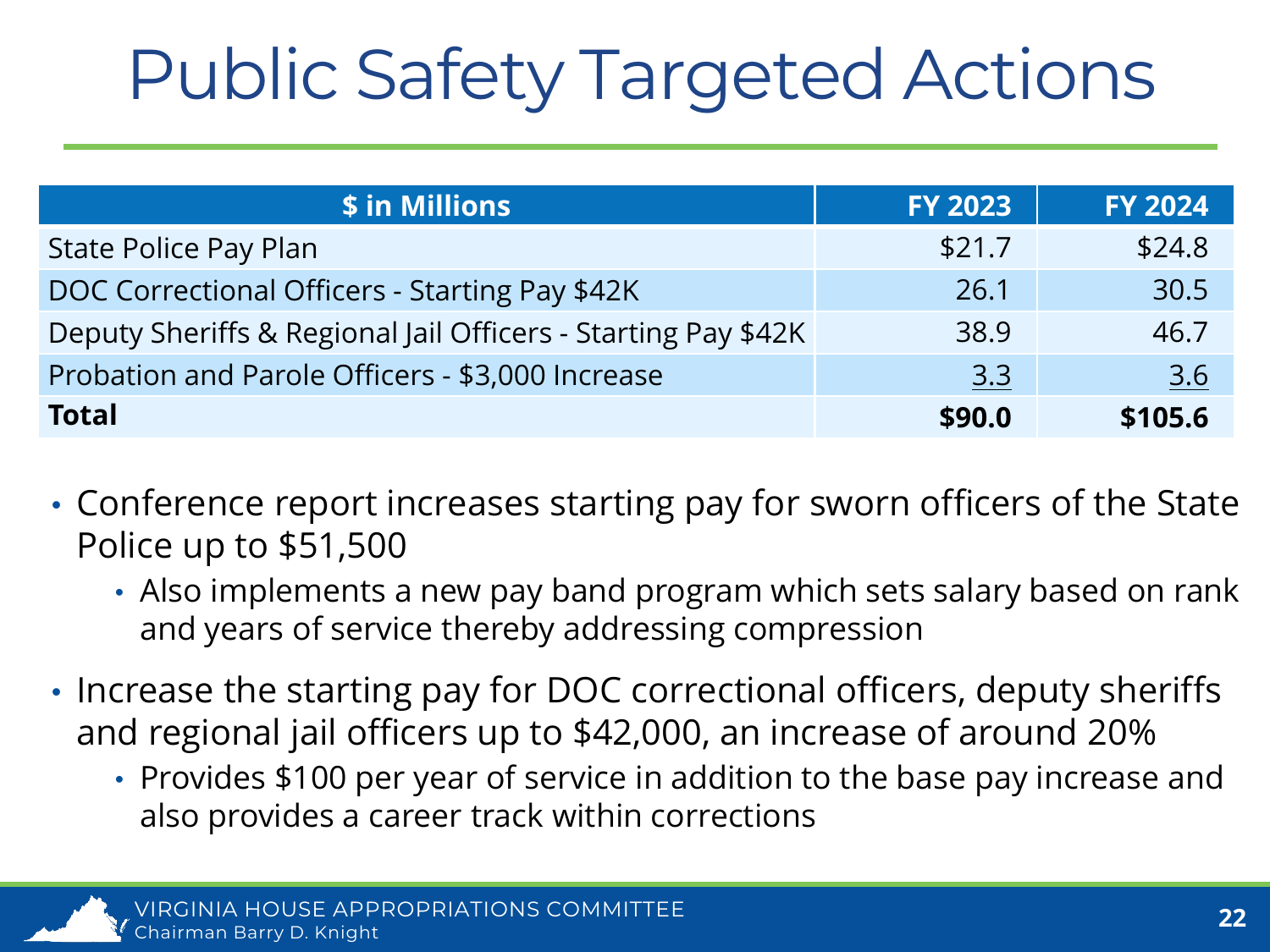# Public Safety Targeted Actions

| \$ in Millions                                                | <b>FY 2023</b> | <b>FY 2024</b> |
|---------------------------------------------------------------|----------------|----------------|
| <b>State Police Pay Plan</b>                                  | \$21.7         | \$24.8         |
| DOC Correctional Officers - Starting Pay \$42K                | 26.1           | 30.5           |
| Deputy Sheriffs & Regional Jail Officers - Starting Pay \$42K | 38.9           | 46.7           |
| Probation and Parole Officers - \$3,000 Increase              | 3.3            | <u>3.6</u>     |
| <b>Total</b>                                                  | \$90.0         | \$105.6        |

- Conference report increases starting pay for sworn officers of the State Police up to \$51,500
	- Also implements a new pay band program which sets salary based on rank and years of service thereby addressing compression
- Increase the starting pay for DOC correctional officers, deputy sheriffs and regional jail officers up to \$42,000, an increase of around 20%
	- Provides \$100 per year of service in addition to the base pay increase and also provides a career track within corrections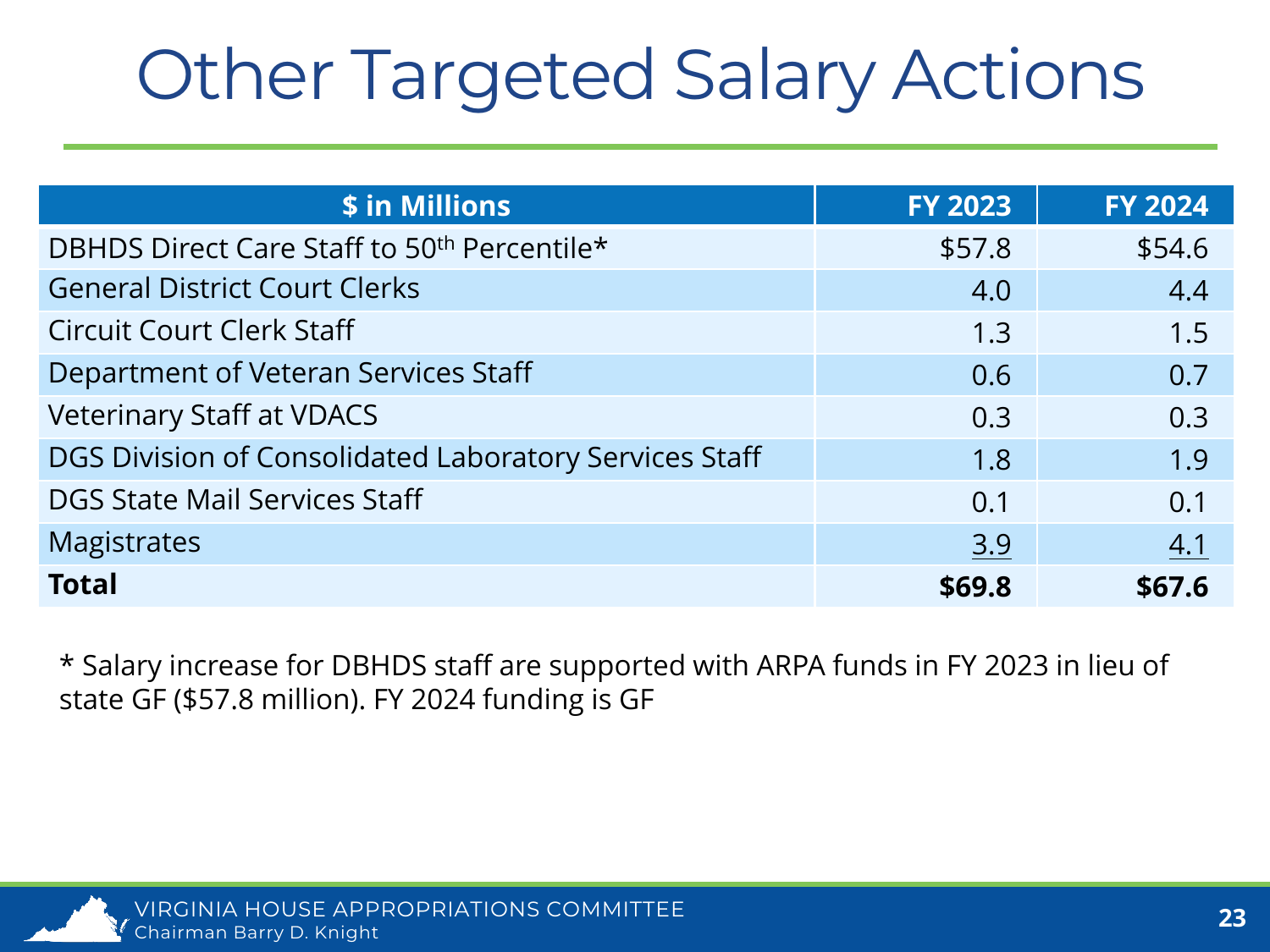# Other Targeted Salary Actions

| \$ in Millions                                          | <b>FY 2023</b> | <b>FY 2024</b> |
|---------------------------------------------------------|----------------|----------------|
| DBHDS Direct Care Staff to 50 <sup>th</sup> Percentile* | \$57.8         | \$54.6         |
| <b>General District Court Clerks</b>                    | 4.0            | 4.4            |
| <b>Circuit Court Clerk Staff</b>                        | 1.3            | 1.5            |
| Department of Veteran Services Staff                    | 0.6            | 0.7            |
| <b>Veterinary Staff at VDACS</b>                        | 0.3            | 0.3            |
| DGS Division of Consolidated Laboratory Services Staff  | 1.8            | 1.9            |
| <b>DGS State Mail Services Staff</b>                    | 0.1            | 0.1            |
| <b>Magistrates</b>                                      | 3.9            | 4.1            |
| <b>Total</b>                                            | \$69.8         | \$67.6         |

\* Salary increase for DBHDS staff are supported with ARPA funds in FY 2023 in lieu of state GF (\$57.8 million). FY 2024 funding is GF

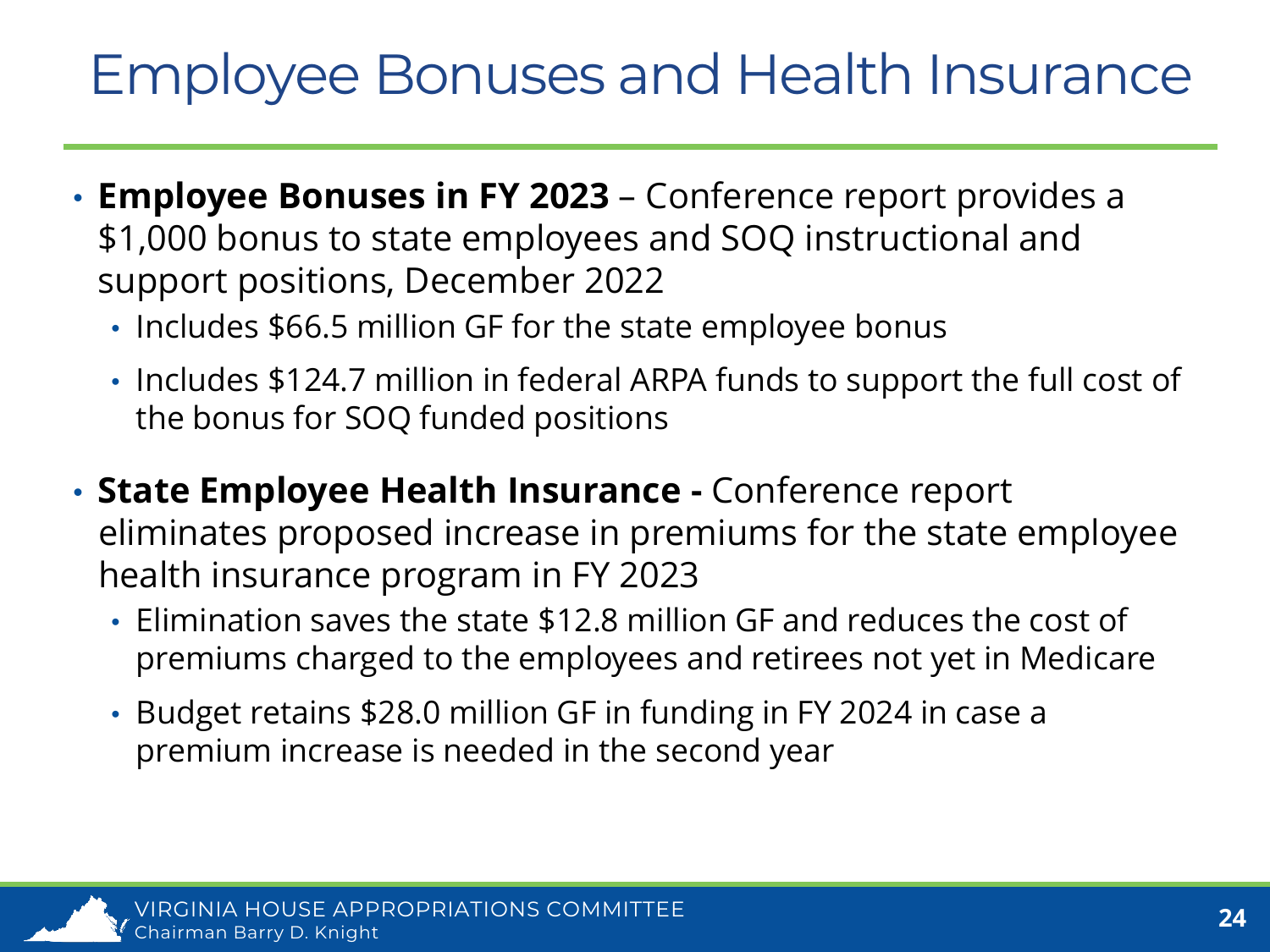#### Employee Bonuses and Health Insurance

- **Employee Bonuses in FY 2023** Conference report provides a \$1,000 bonus to state employees and SOQ instructional and support positions, December 2022
	- Includes \$66.5 million GF for the state employee bonus
	- Includes \$124.7 million in federal ARPA funds to support the full cost of the bonus for SOQ funded positions
- **State Employee Health Insurance -** Conference report eliminates proposed increase in premiums for the state employee health insurance program in FY 2023
	- Elimination saves the state \$12.8 million GF and reduces the cost of premiums charged to the employees and retirees not yet in Medicare
	- Budget retains \$28.0 million GF in funding in FY 2024 in case a premium increase is needed in the second year

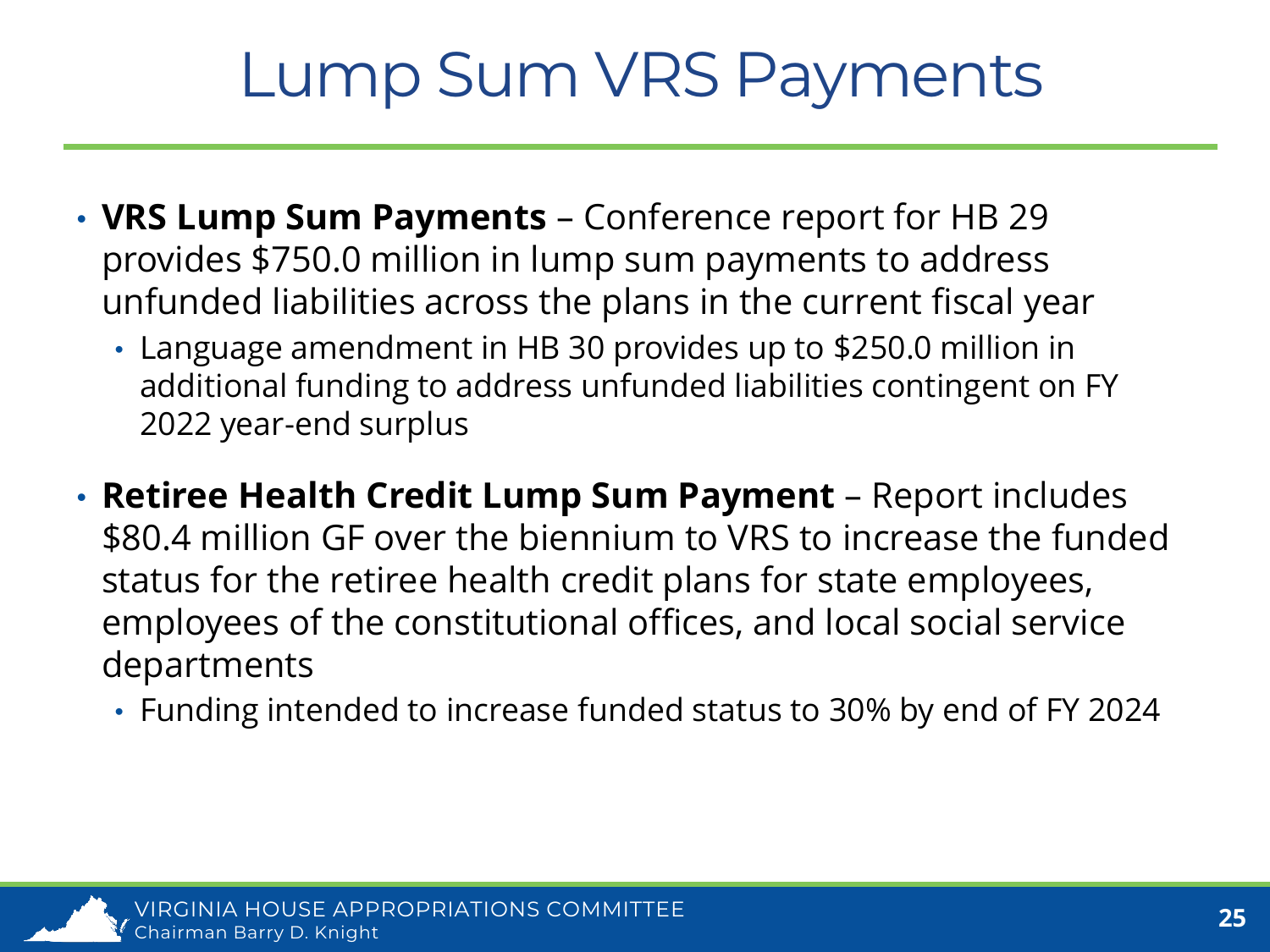#### Lump Sum VRS Payments

- **VRS Lump Sum Payments**  Conference report for HB 29 provides \$750.0 million in lump sum payments to address unfunded liabilities across the plans in the current fiscal year
	- Language amendment in HB 30 provides up to \$250.0 million in additional funding to address unfunded liabilities contingent on FY 2022 year-end surplus
- **Retiree Health Credit Lump Sum Payment**  Report includes \$80.4 million GF over the biennium to VRS to increase the funded status for the retiree health credit plans for state employees, employees of the constitutional offices, and local social service departments
	- Funding intended to increase funded status to 30% by end of FY 2024

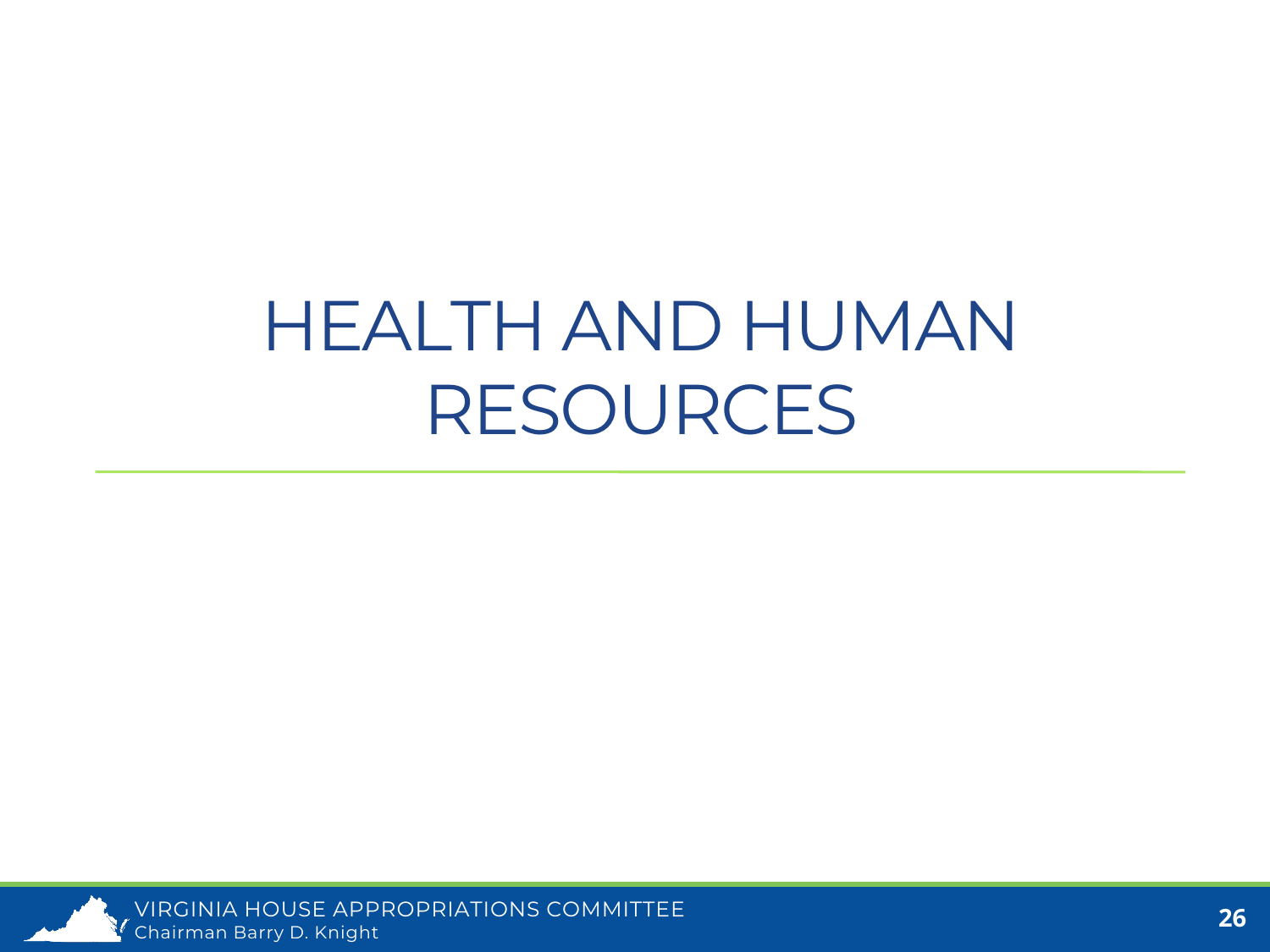### HEALTH AND HUMAN RESOURCES

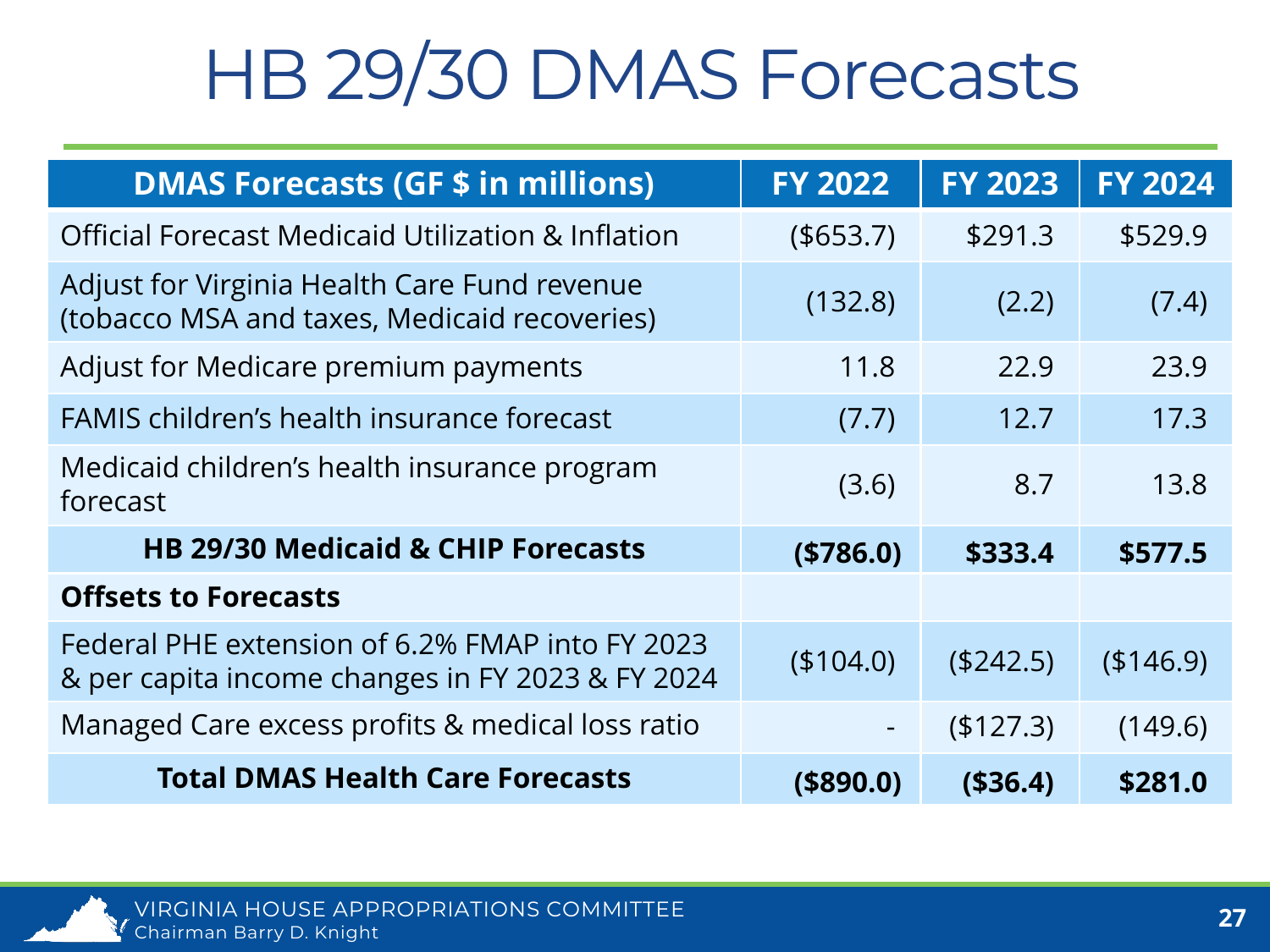### HB 29/30 DMAS Forecasts

| <b>DMAS Forecasts (GF \$ in millions)</b>                                                           | <b>FY 2022</b> | <b>FY 2023</b> | <b>FY 2024</b> |
|-----------------------------------------------------------------------------------------------------|----------------|----------------|----------------|
| <b>Official Forecast Medicaid Utilization &amp; Inflation</b>                                       | ( \$653.7)     | \$291.3        | \$529.9        |
| Adjust for Virginia Health Care Fund revenue<br>(tobacco MSA and taxes, Medicaid recoveries)        | (132.8)        | (2.2)          | (7.4)          |
| Adjust for Medicare premium payments                                                                | 11.8           | 22.9           | 23.9           |
| <b>FAMIS children's health insurance forecast</b>                                                   | (7.7)          | 12.7           | 17.3           |
| Medicaid children's health insurance program<br>forecast                                            | (3.6)          | 8.7            | 13.8           |
| <b>HB 29/30 Medicaid &amp; CHIP Forecasts</b>                                                       | (\$786.0)      | \$333.4        | \$577.5        |
| <b>Offsets to Forecasts</b>                                                                         |                |                |                |
| Federal PHE extension of 6.2% FMAP into FY 2023<br>& per capita income changes in FY 2023 & FY 2024 | (\$104.0)      | (\$242.5)      | (\$146.9)      |
| Managed Care excess profits & medical loss ratio                                                    |                | (\$127.3)      | (149.6)        |
| <b>Total DMAS Health Care Forecasts</b>                                                             | $($ \$890.0)   | ( \$36.4)      | \$281.0        |

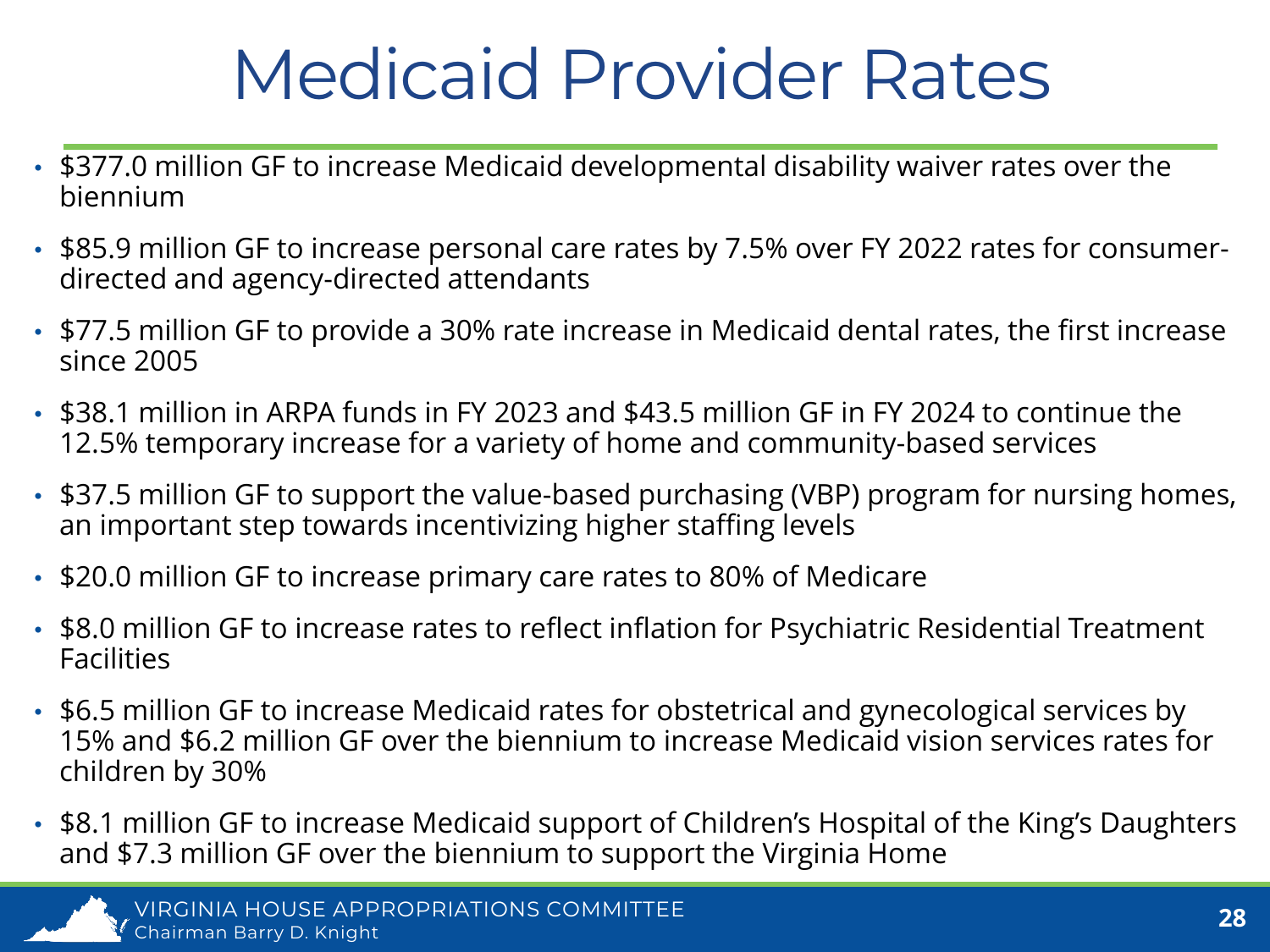### Medicaid Provider Rates

- \$377.0 million GF to increase Medicaid developmental disability waiver rates over the biennium
- \$85.9 million GF to increase personal care rates by 7.5% over FY 2022 rates for consumerdirected and agency-directed attendants
- \$77.5 million GF to provide a 30% rate increase in Medicaid dental rates, the first increase since 2005
- \$38.1 million in ARPA funds in FY 2023 and \$43.5 million GF in FY 2024 to continue the 12.5% temporary increase for a variety of home and community-based services
- \$37.5 million GF to support the value-based purchasing (VBP) program for nursing homes, an important step towards incentivizing higher staffing levels
- \$20.0 million GF to increase primary care rates to 80% of Medicare
- \$8.0 million GF to increase rates to reflect inflation for Psychiatric Residential Treatment **Facilities**
- \$6.5 million GF to increase Medicaid rates for obstetrical and gynecological services by 15% and \$6.2 million GF over the biennium to increase Medicaid vision services rates for children by 30%
- \$8.1 million GF to increase Medicaid support of Children's Hospital of the King's Daughters and \$7.3 million GF over the biennium to support the Virginia Home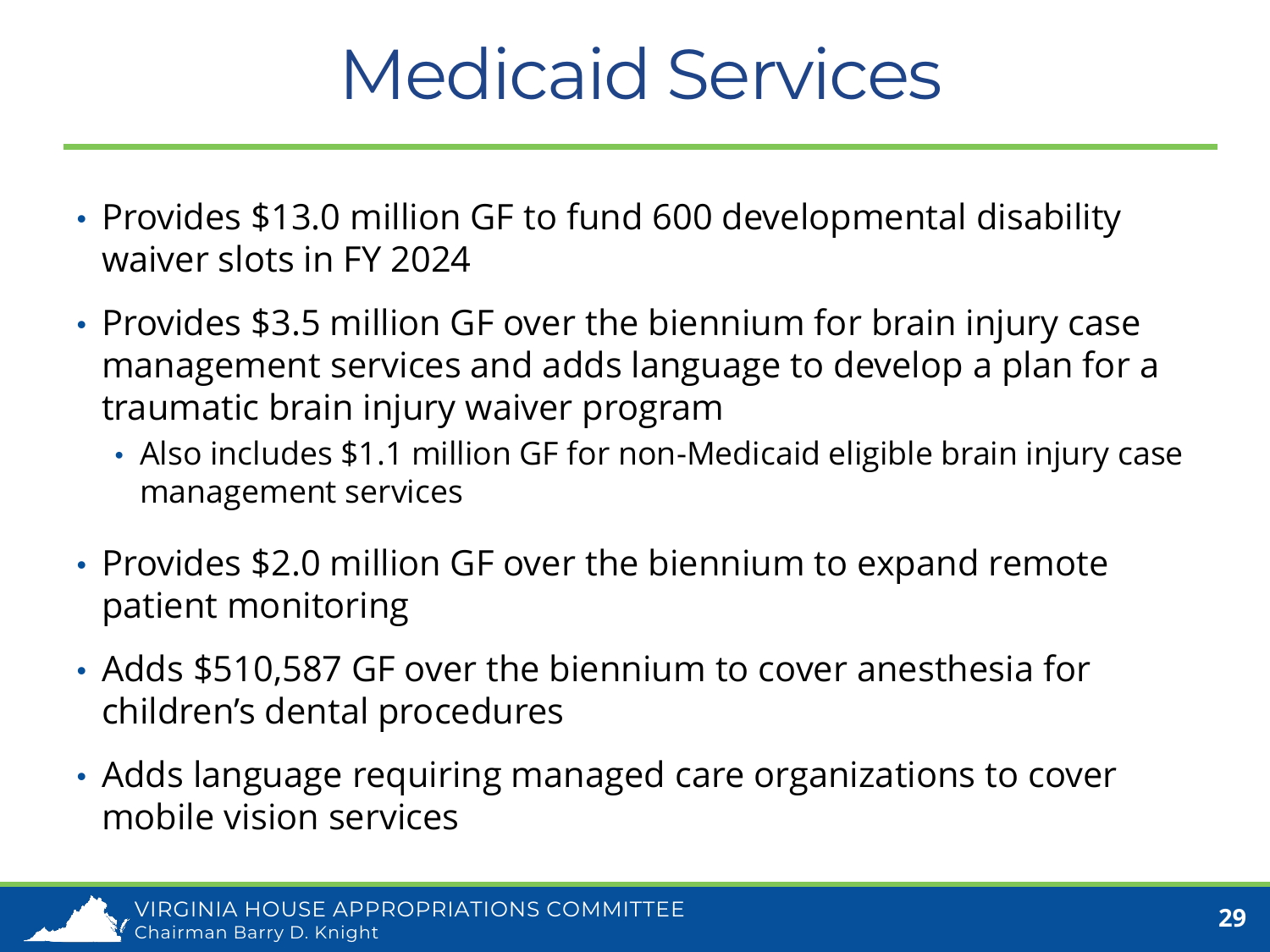### Medicaid Services

- Provides \$13.0 million GF to fund 600 developmental disability waiver slots in FY 2024
- Provides \$3.5 million GF over the biennium for brain injury case management services and adds language to develop a plan for a traumatic brain injury waiver program
	- Also includes \$1.1 million GF for non-Medicaid eligible brain injury case management services
- Provides \$2.0 million GF over the biennium to expand remote patient monitoring
- Adds \$510,587 GF over the biennium to cover anesthesia for children's dental procedures
- Adds language requiring managed care organizations to cover mobile vision services

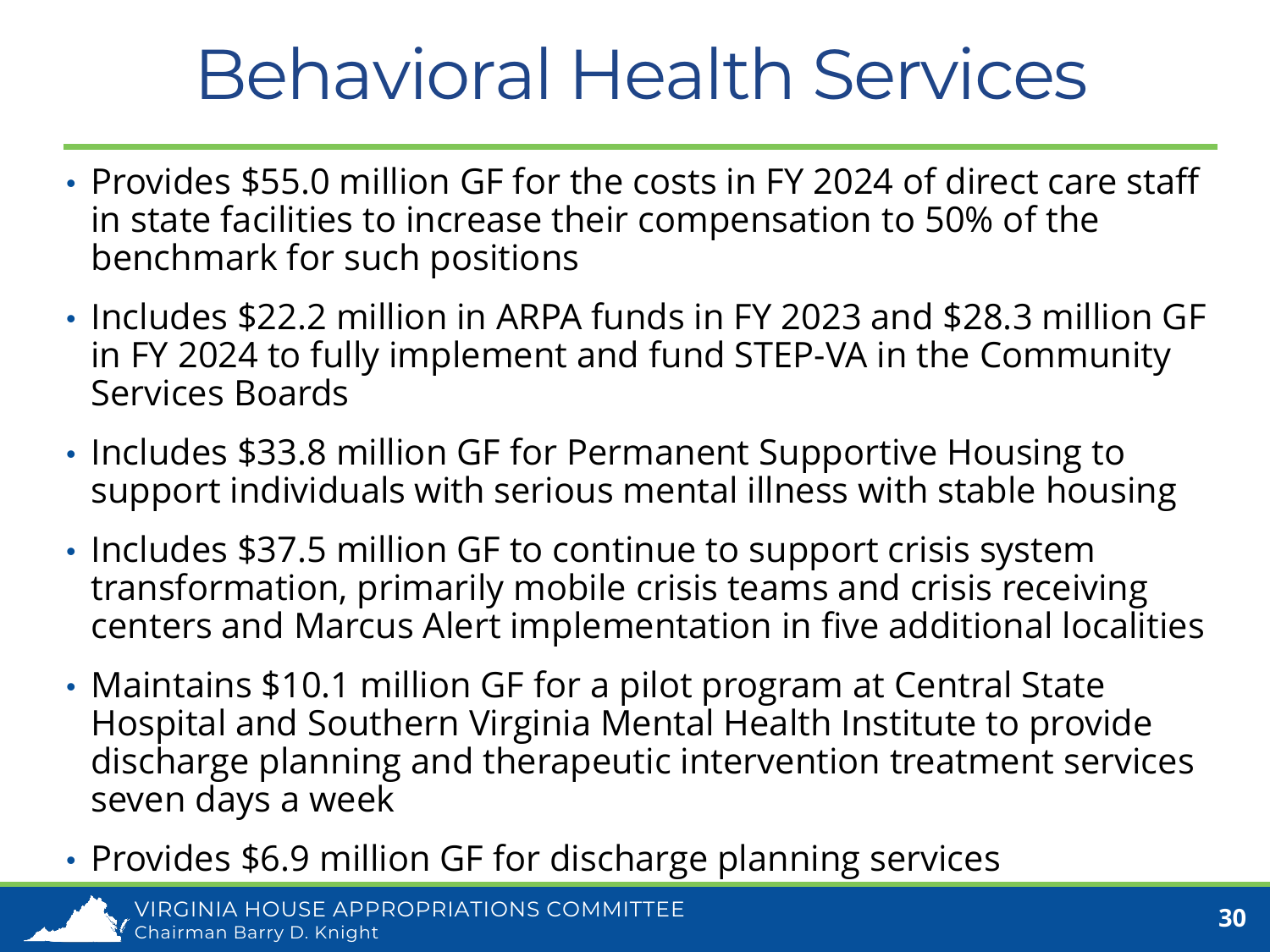### Behavioral Health Services

- Provides \$55.0 million GF for the costs in FY 2024 of direct care staff in state facilities to increase their compensation to 50% of the benchmark for such positions
- Includes \$22.2 million in ARPA funds in FY 2023 and \$28.3 million GF in FY 2024 to fully implement and fund STEP-VA in the Community Services Boards
- Includes \$33.8 million GF for Permanent Supportive Housing to support individuals with serious mental illness with stable housing
- Includes \$37.5 million GF to continue to support crisis system transformation, primarily mobile crisis teams and crisis receiving centers and Marcus Alert implementation in five additional localities
- Maintains \$10.1 million GF for a pilot program at Central State Hospital and Southern Virginia Mental Health Institute to provide discharge planning and therapeutic intervention treatment services seven days a week
- Provides \$6.9 million GF for discharge planning services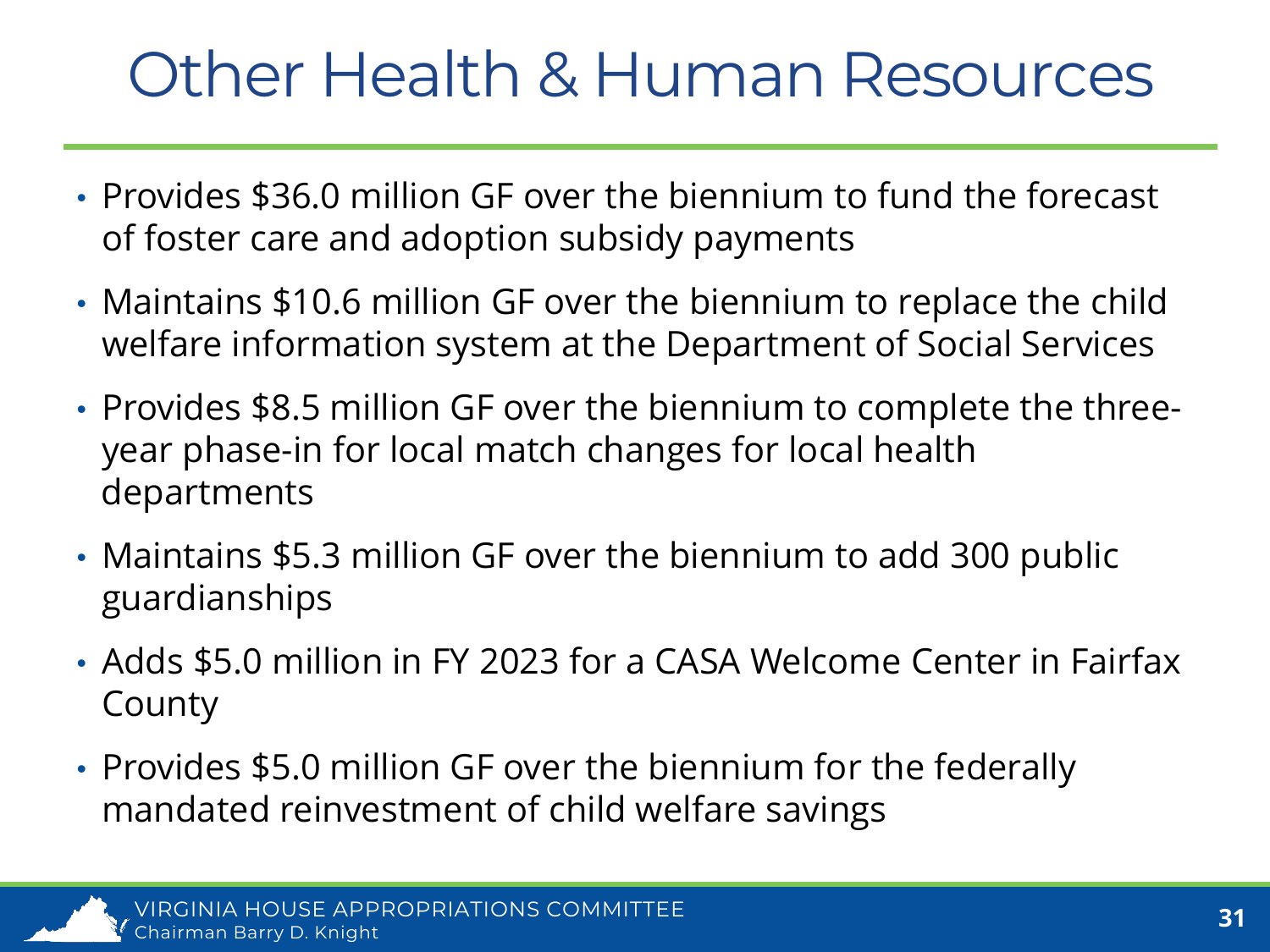#### Other Health & Human Resources

- Provides \$36.0 million GF over the biennium to fund the forecast of foster care and adoption subsidy payments
- Maintains \$10.6 million GF over the biennium to replace the child welfare information system at the Department of Social Services
- Provides \$8.5 million GF over the biennium to complete the threeyear phase-in for local match changes for local health departments
- Maintains \$5.3 million GF over the biennium to add 300 public guardianships
- Adds \$5.0 million in FY 2023 for a CASA Welcome Center in Fairfax County
- Provides \$5.0 million GF over the biennium for the federally mandated reinvestment of child welfare savings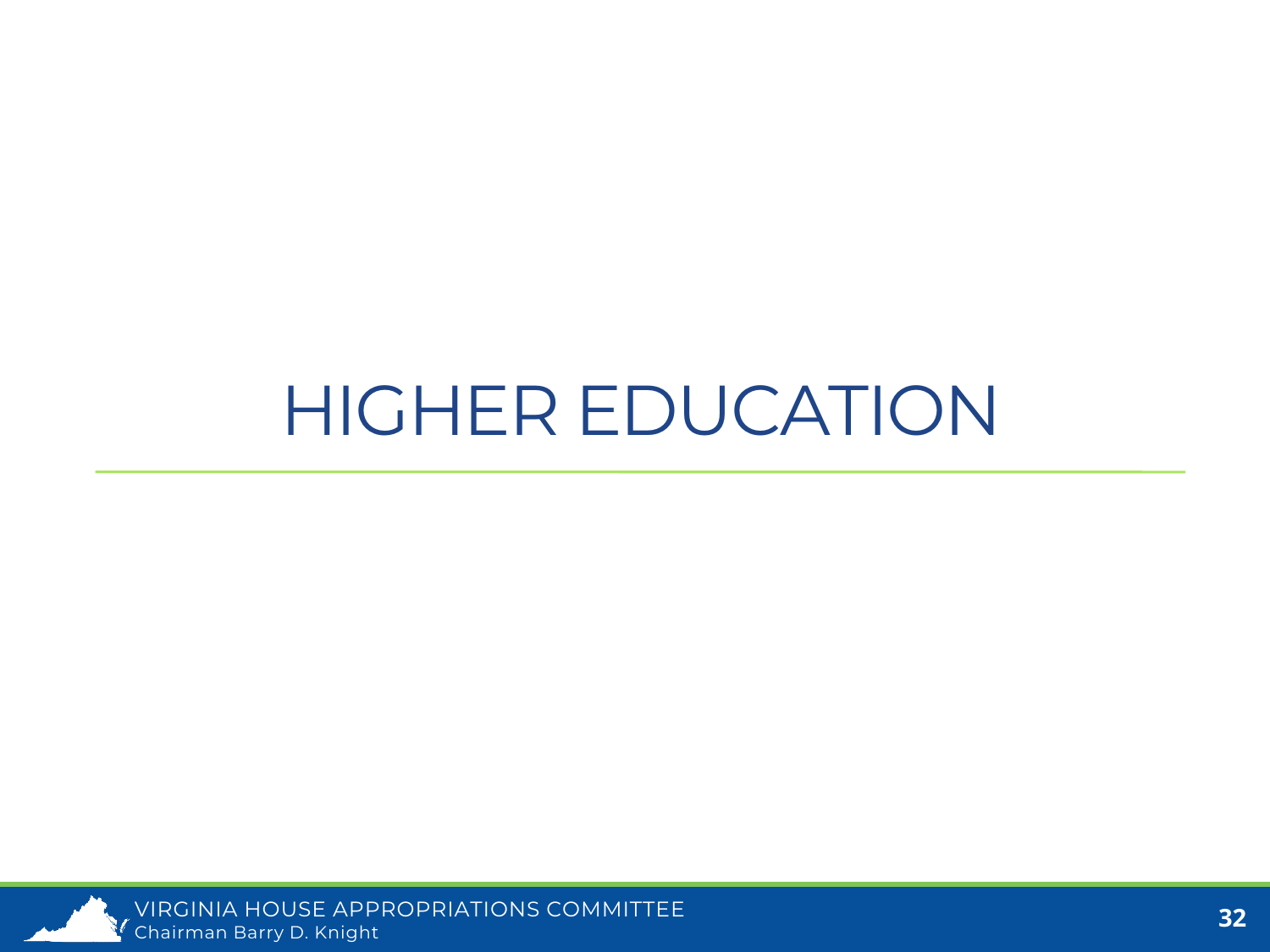#### HIGHER EDUCATION

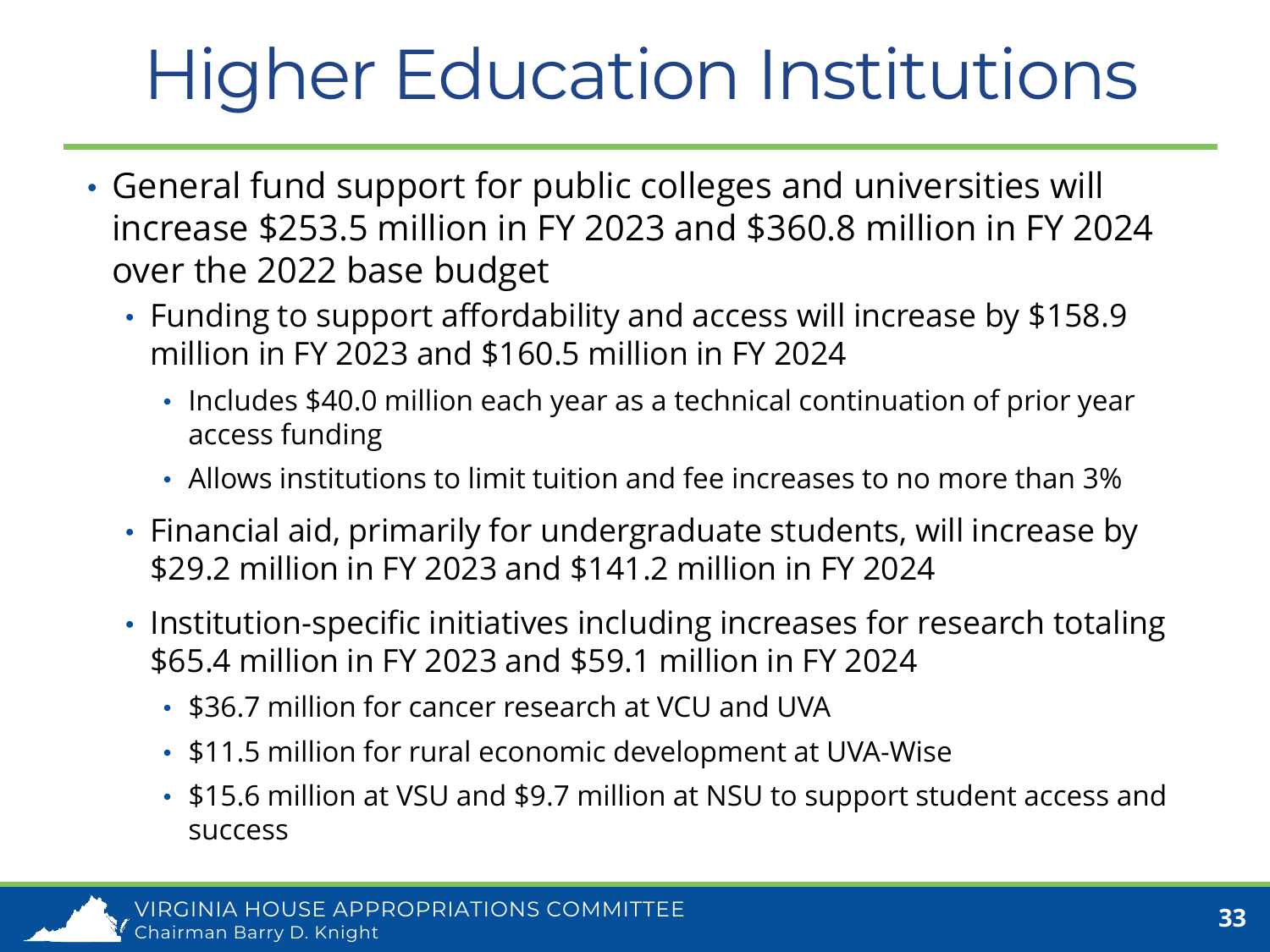# Higher Education Institutions

- General fund support for public colleges and universities will increase \$253.5 million in FY 2023 and \$360.8 million in FY 2024 over the 2022 base budget
	- Funding to support affordability and access will increase by \$158.9 million in FY 2023 and \$160.5 million in FY 2024
		- Includes \$40.0 million each year as a technical continuation of prior year access funding
		- Allows institutions to limit tuition and fee increases to no more than 3%
	- Financial aid, primarily for undergraduate students, will increase by \$29.2 million in FY 2023 and \$141.2 million in FY 2024
	- Institution-specific initiatives including increases for research totaling \$65.4 million in FY 2023 and \$59.1 million in FY 2024
		- \$36.7 million for cancer research at VCU and UVA
		- \$11.5 million for rural economic development at UVA-Wise
		- \$15.6 million at VSU and \$9.7 million at NSU to support student access and success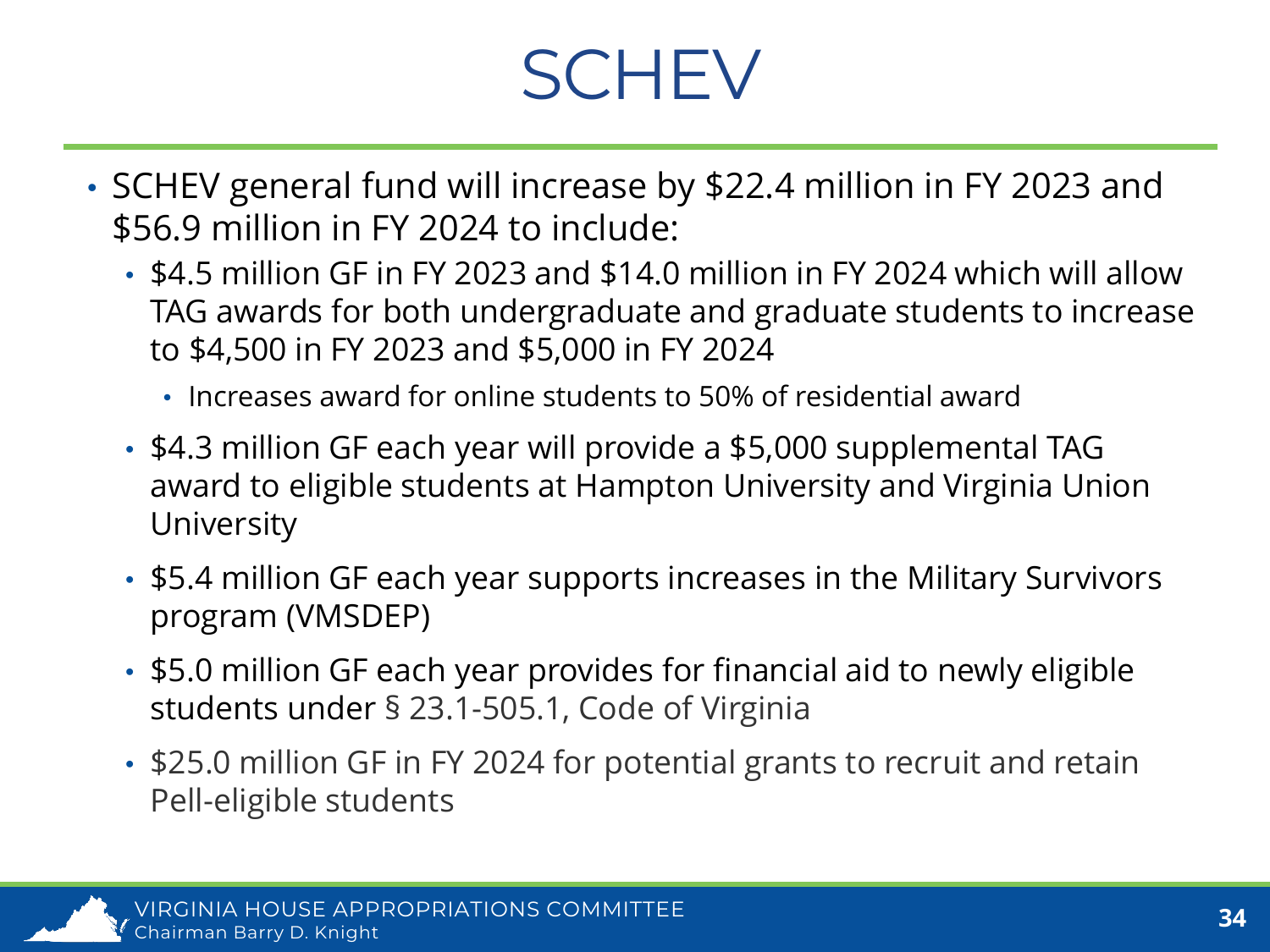### **SCHEV**

- SCHEV general fund will increase by \$22.4 million in FY 2023 and \$56.9 million in FY 2024 to include:
	- \$4.5 million GF in FY 2023 and \$14.0 million in FY 2024 which will allow TAG awards for both undergraduate and graduate students to increase to \$4,500 in FY 2023 and \$5,000 in FY 2024
		- Increases award for online students to 50% of residential award
	- \$4.3 million GF each year will provide a \$5,000 supplemental TAG award to eligible students at Hampton University and Virginia Union University
	- \$5.4 million GF each year supports increases in the Military Survivors program (VMSDEP)
	- \$5.0 million GF each year provides for financial aid to newly eligible students under § 23.1-505.1, Code of Virginia
	- \$25.0 million GF in FY 2024 for potential grants to recruit and retain Pell-eligible students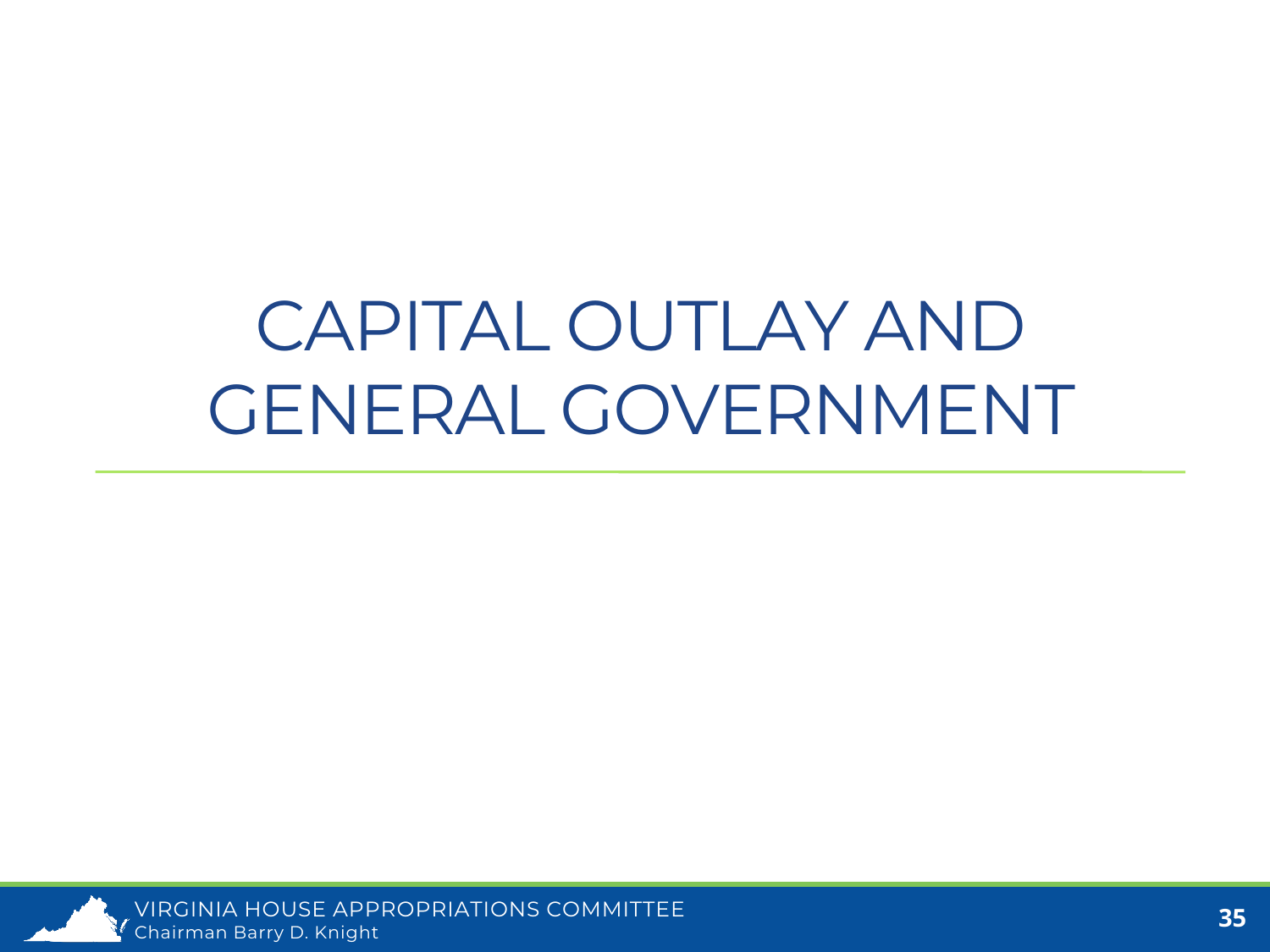#### CAPITAL OUTLAY AND GENERAL GOVERNMENT

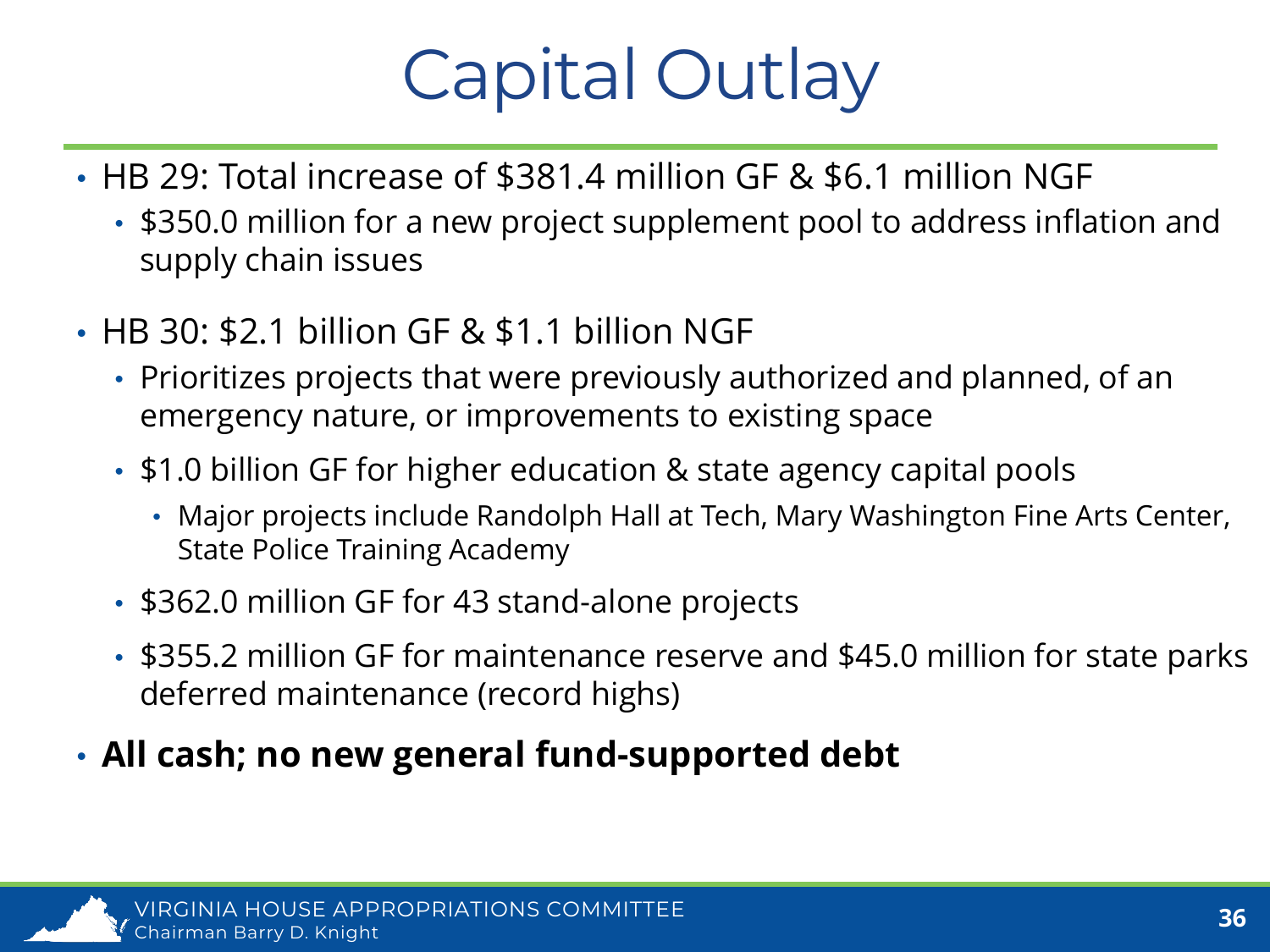### Capital Outlay

- HB 29: Total increase of \$381.4 million GF & \$6.1 million NGF
	- \$350.0 million for a new project supplement pool to address inflation and supply chain issues
- HB 30: \$2.1 billion GF & \$1.1 billion NGF
	- Prioritizes projects that were previously authorized and planned, of an emergency nature, or improvements to existing space
	- \$1.0 billion GF for higher education & state agency capital pools
		- Major projects include Randolph Hall at Tech, Mary Washington Fine Arts Center, State Police Training Academy
	- \$362.0 million GF for 43 stand-alone projects
	- \$355.2 million GF for maintenance reserve and \$45.0 million for state parks deferred maintenance (record highs)
- **All cash; no new general fund-supported debt**

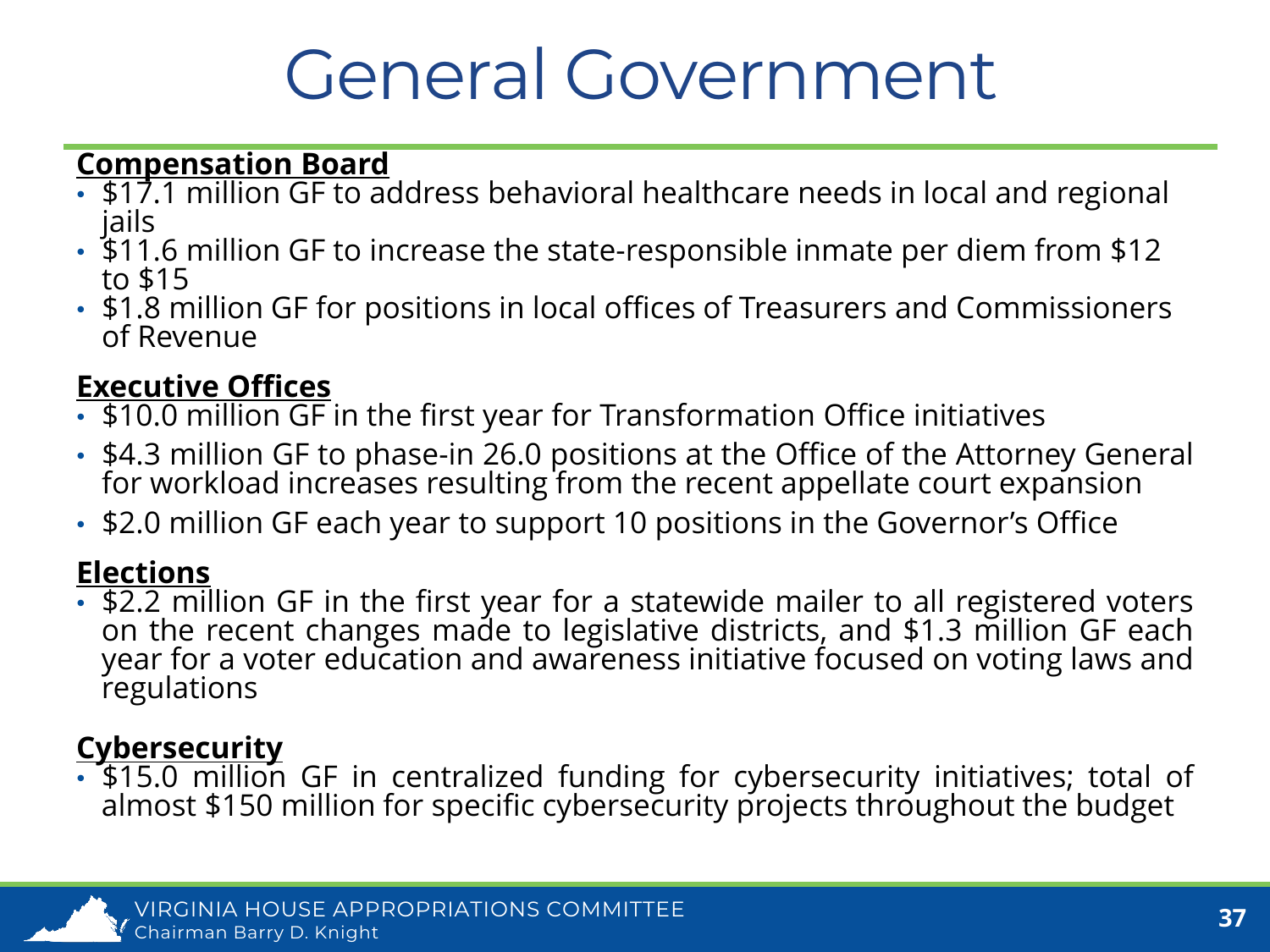#### General Government

#### **Compensation Board**

- \$17.1 million GF to address behavioral healthcare needs in local and regional jails
- \$11.6 million GF to increase the state-responsible inmate per diem from \$12 to \$15
- \$1.8 million GF for positions in local offices of Treasurers and Commissioners of Revenue

#### **Executive Offices**

- \$10.0 million GF in the first year for Transformation Office initiatives
- \$4.3 million GF to phase-in 26.0 positions at the Office of the Attorney General for workload increases resulting from the recent appellate court expansion
- \$2.0 million GF each year to support 10 positions in the Governor's Office

#### **Elections**

• \$2.2 million GF in the first year for a statewide mailer to all registered voters on the recent changes made to legislative districts, and \$1.3 million GF each year for a voter education and awareness initiative focused on voting laws and regulations

#### **Cybersecurity**

• \$15.0 million GF in centralized funding for cybersecurity initiatives; total of almost \$150 million for specific cybersecurity projects throughout the budget

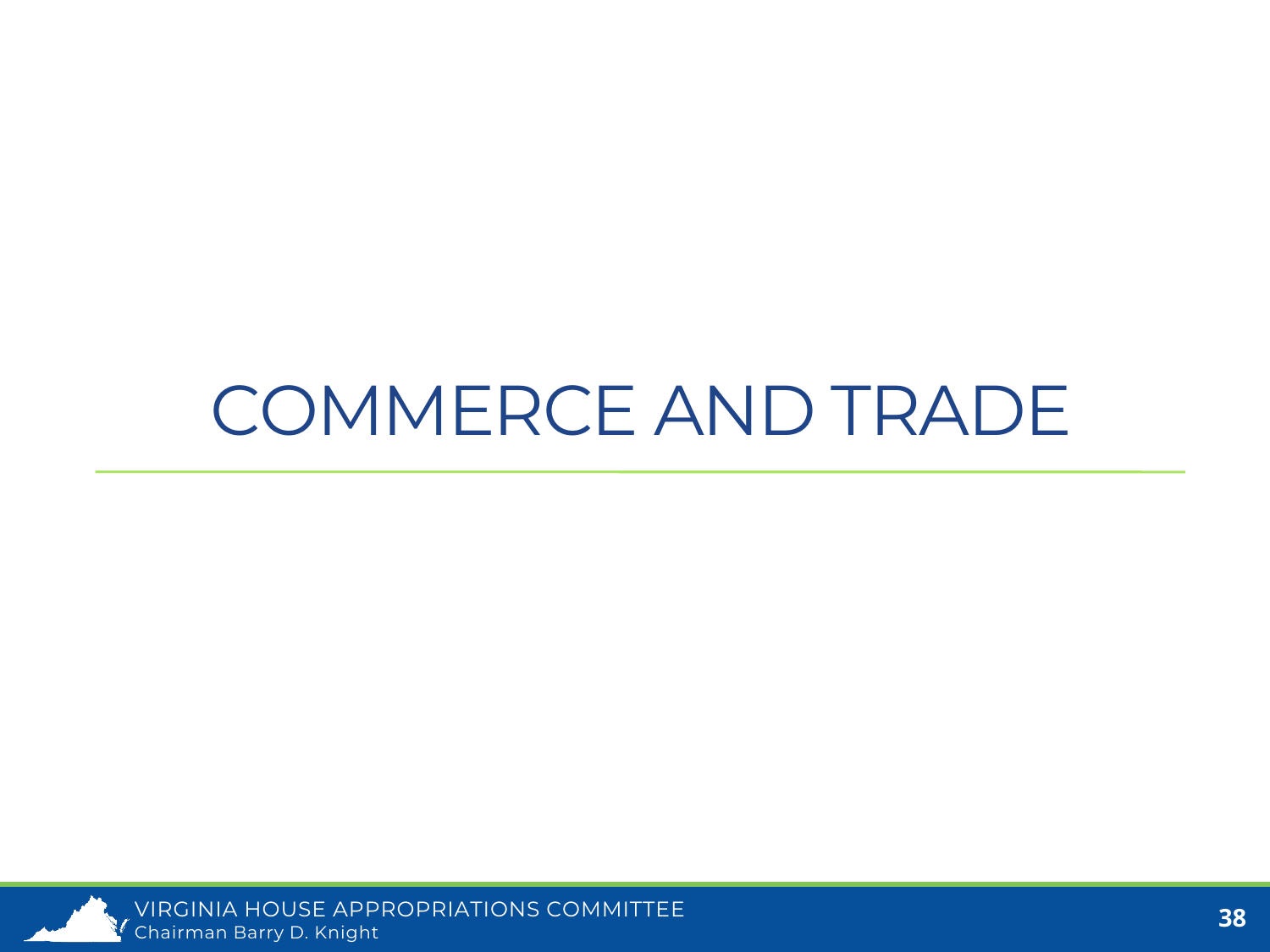#### COMMERCE AND TRADE

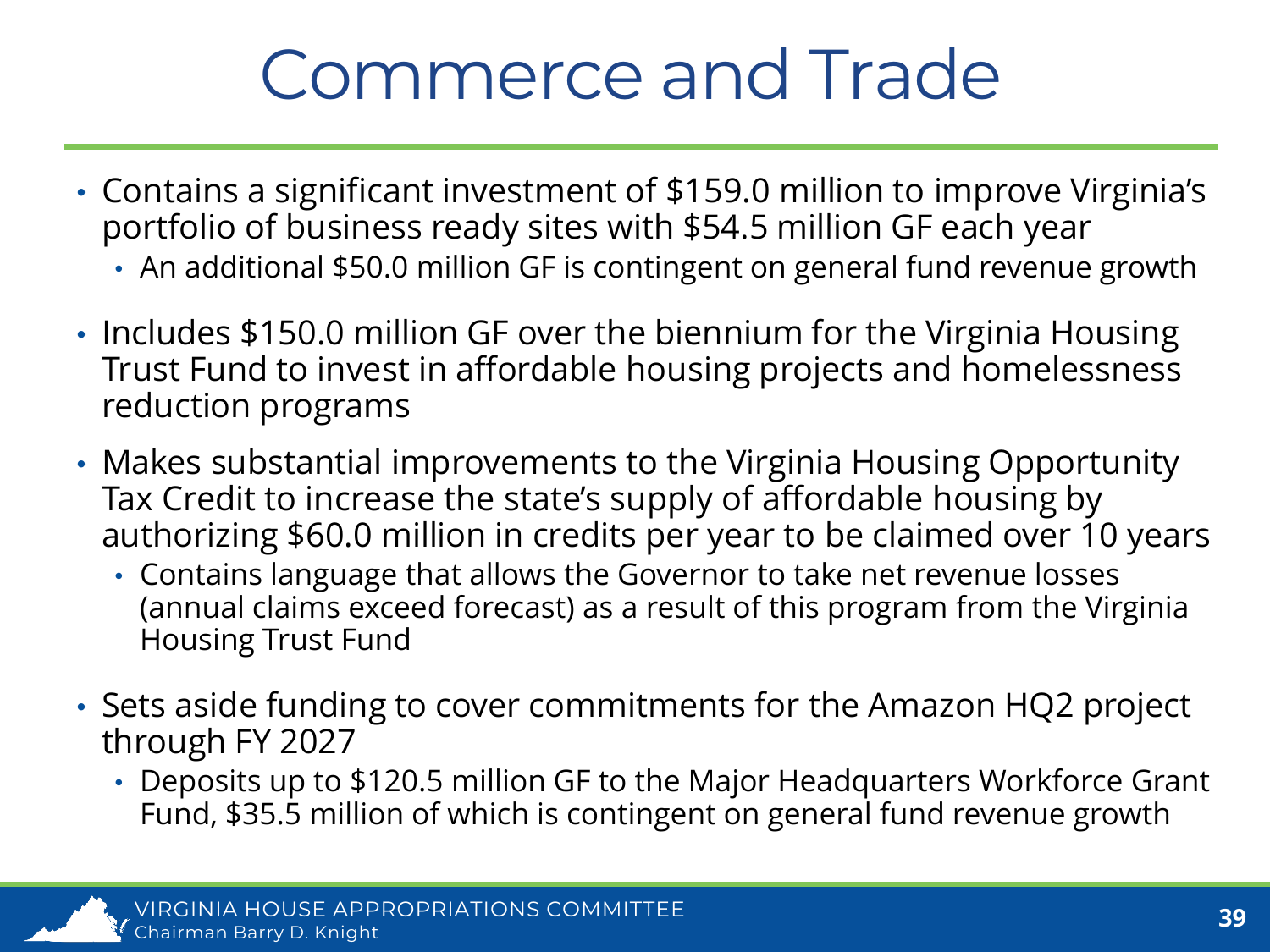### Commerce and Trade

- Contains a significant investment of \$159.0 million to improve Virginia's portfolio of business ready sites with \$54.5 million GF each year
	- An additional \$50.0 million GF is contingent on general fund revenue growth
- Includes \$150.0 million GF over the biennium for the Virginia Housing Trust Fund to invest in affordable housing projects and homelessness reduction programs
- Makes substantial improvements to the Virginia Housing Opportunity Tax Credit to increase the state's supply of affordable housing by authorizing \$60.0 million in credits per year to be claimed over 10 years
	- Contains language that allows the Governor to take net revenue losses (annual claims exceed forecast) as a result of this program from the Virginia Housing Trust Fund
- Sets aside funding to cover commitments for the Amazon HQ2 project through FY 2027
	- Deposits up to \$120.5 million GF to the Major Headquarters Workforce Grant Fund, \$35.5 million of which is contingent on general fund revenue growth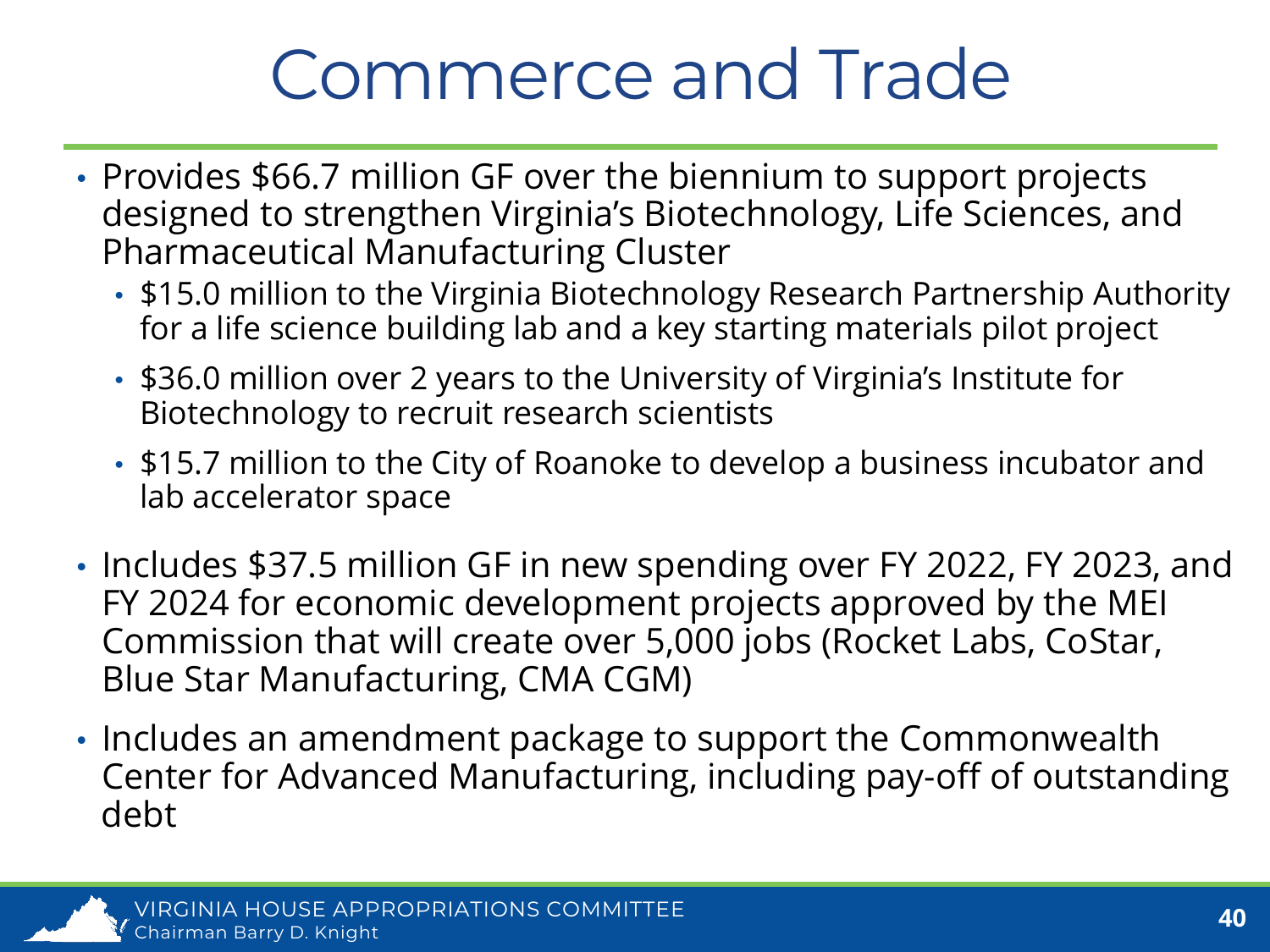#### Commerce and Trade

- Provides \$66.7 million GF over the biennium to support projects designed to strengthen Virginia's Biotechnology, Life Sciences, and Pharmaceutical Manufacturing Cluster
	- \$15.0 million to the Virginia Biotechnology Research Partnership Authority for a life science building lab and a key starting materials pilot project
	- \$36.0 million over 2 years to the University of Virginia's Institute for Biotechnology to recruit research scientists
	- \$15.7 million to the City of Roanoke to develop a business incubator and lab accelerator space
- Includes \$37.5 million GF in new spending over FY 2022, FY 2023, and FY 2024 for economic development projects approved by the MEI Commission that will create over 5,000 jobs (Rocket Labs, CoStar, Blue Star Manufacturing, CMA CGM)
- Includes an amendment package to support the Commonwealth Center for Advanced Manufacturing, including pay-off of outstanding debt

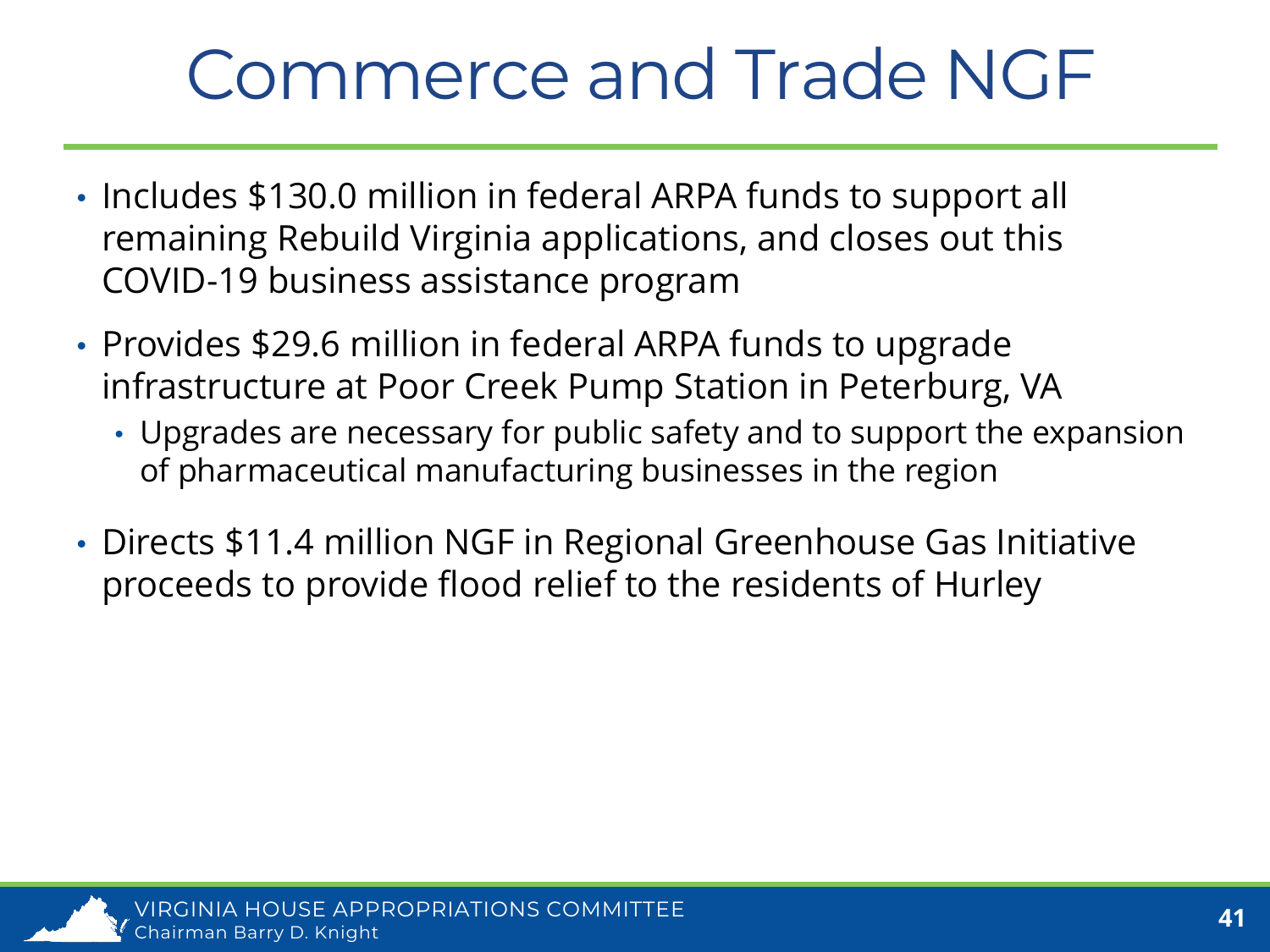### Commerce and Trade NGF

- Includes \$130.0 million in federal ARPA funds to support all remaining Rebuild Virginia applications, and closes out this COVID-19 business assistance program
- Provides \$29.6 million in federal ARPA funds to upgrade infrastructure at Poor Creek Pump Station in Peterburg, VA
	- Upgrades are necessary for public safety and to support the expansion of pharmaceutical manufacturing businesses in the region
- Directs \$11.4 million NGF in Regional Greenhouse Gas Initiative proceeds to provide flood relief to the residents of Hurley

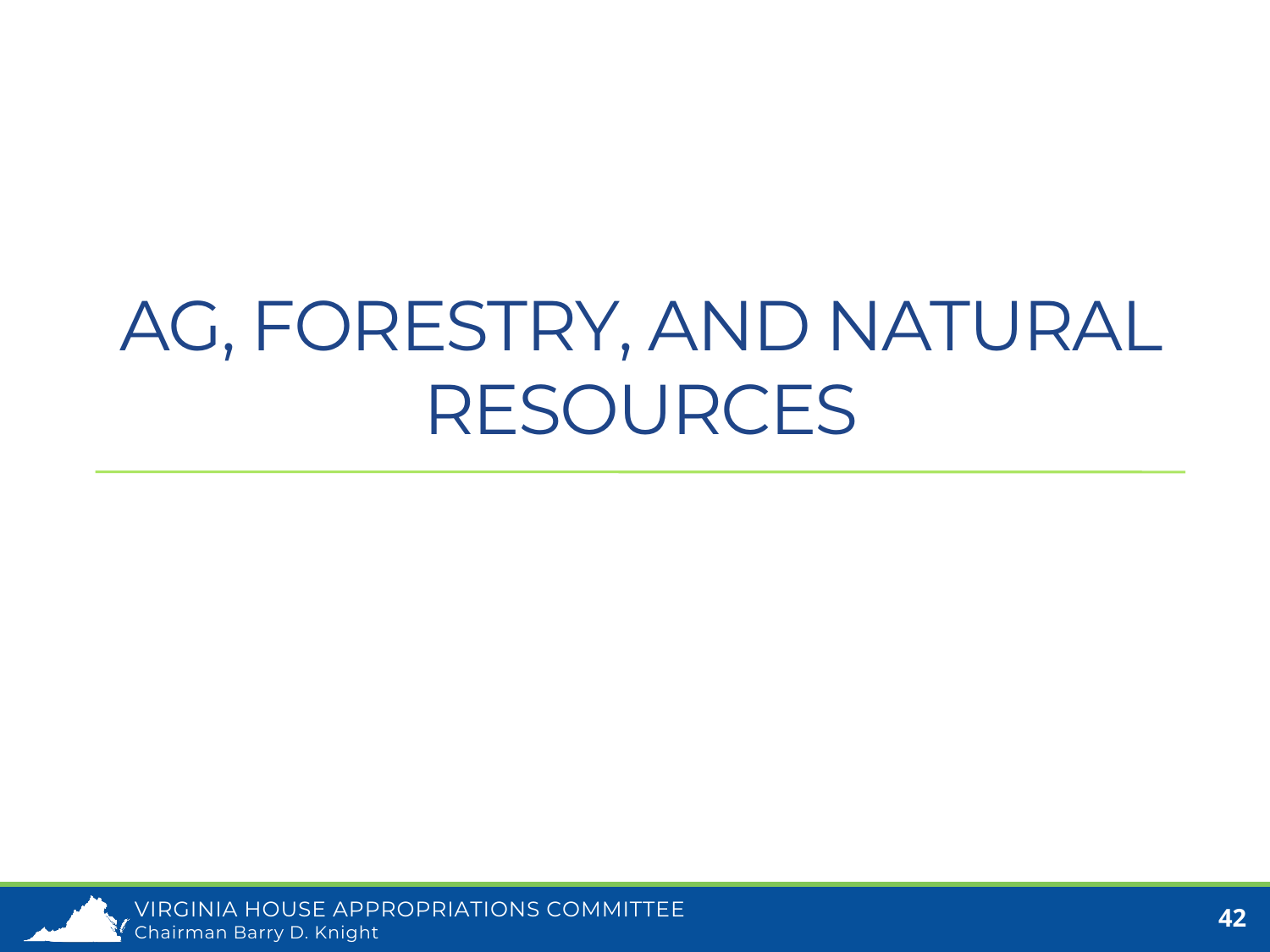### AG, FORESTRY, AND NATURAL RESOURCES

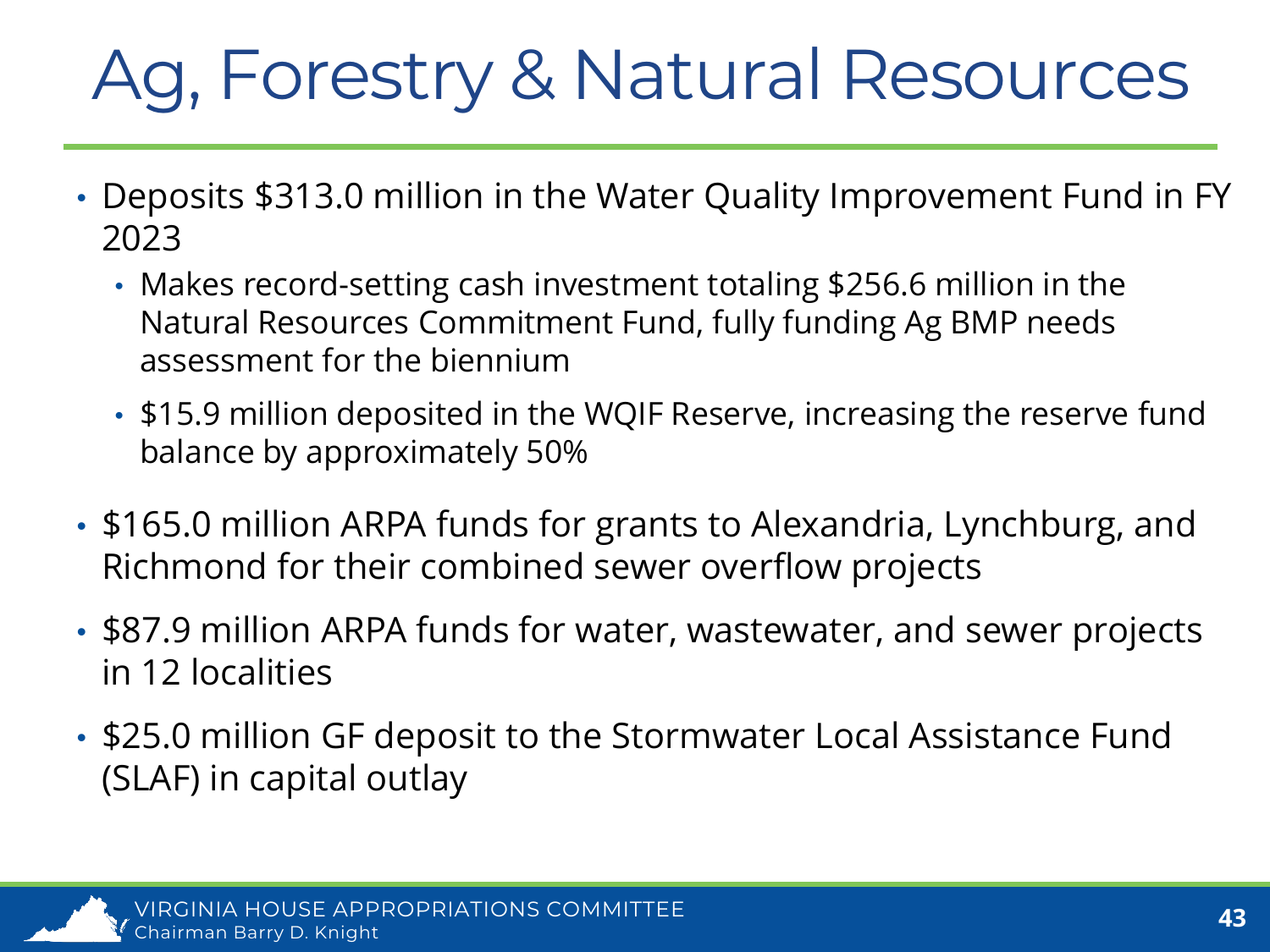# Ag, Forestry & Natural Resources

- Deposits \$313.0 million in the Water Quality Improvement Fund in FY 2023
	- Makes record-setting cash investment totaling \$256.6 million in the Natural Resources Commitment Fund, fully funding Ag BMP needs assessment for the biennium
	- \$15.9 million deposited in the WQIF Reserve, increasing the reserve fund balance by approximately 50%
- \$165.0 million ARPA funds for grants to Alexandria, Lynchburg, and Richmond for their combined sewer overflow projects
- \$87.9 million ARPA funds for water, wastewater, and sewer projects in 12 localities
- \$25.0 million GF deposit to the Stormwater Local Assistance Fund (SLAF) in capital outlay

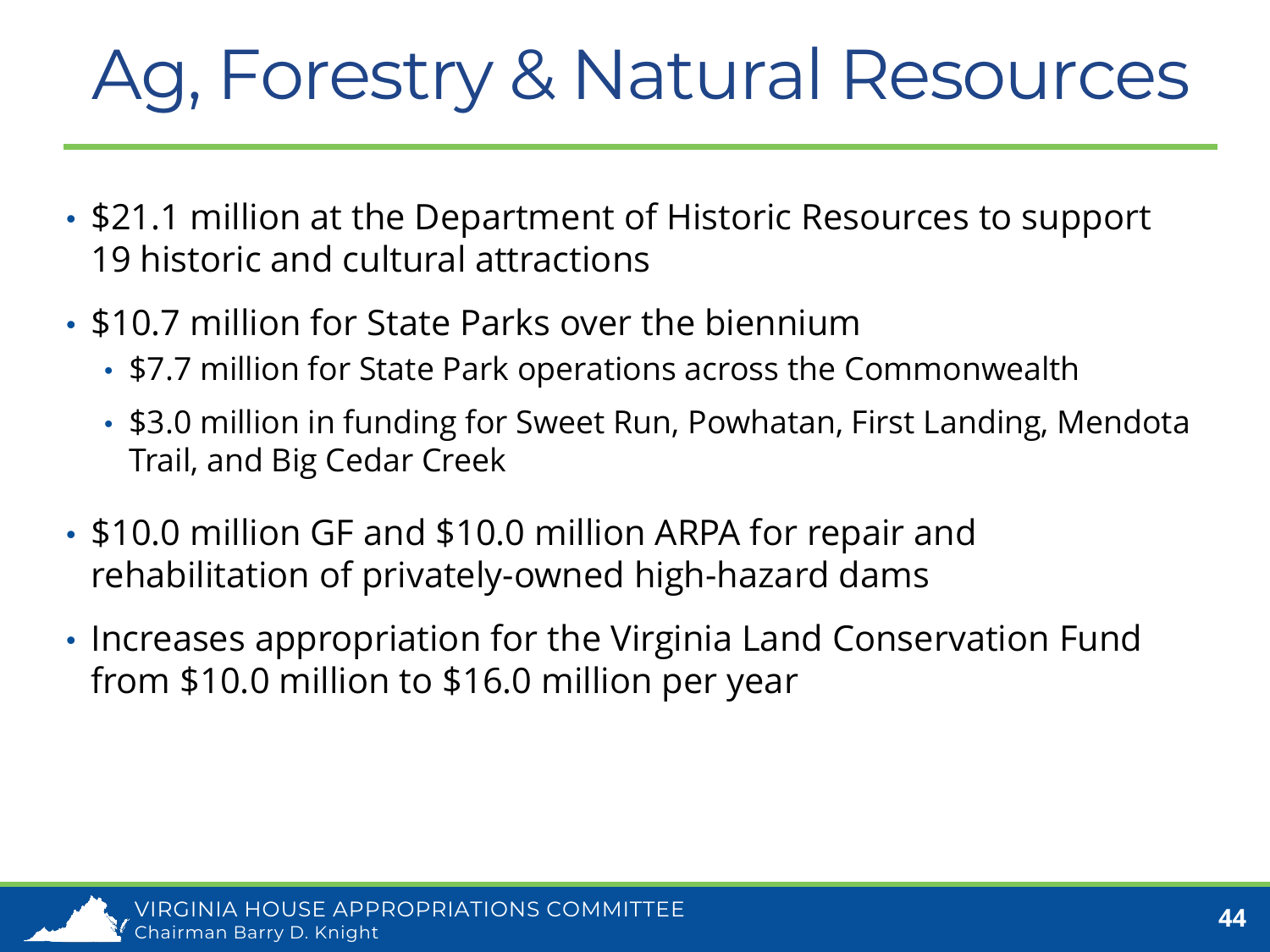# Ag, Forestry & Natural Resources

- \$21.1 million at the Department of Historic Resources to support 19 historic and cultural attractions
- \$10.7 million for State Parks over the biennium
	- \$7.7 million for State Park operations across the Commonwealth
	- \$3.0 million in funding for Sweet Run, Powhatan, First Landing, Mendota Trail, and Big Cedar Creek
- \$10.0 million GF and \$10.0 million ARPA for repair and rehabilitation of privately-owned high-hazard dams
- Increases appropriation for the Virginia Land Conservation Fund from \$10.0 million to \$16.0 million per year

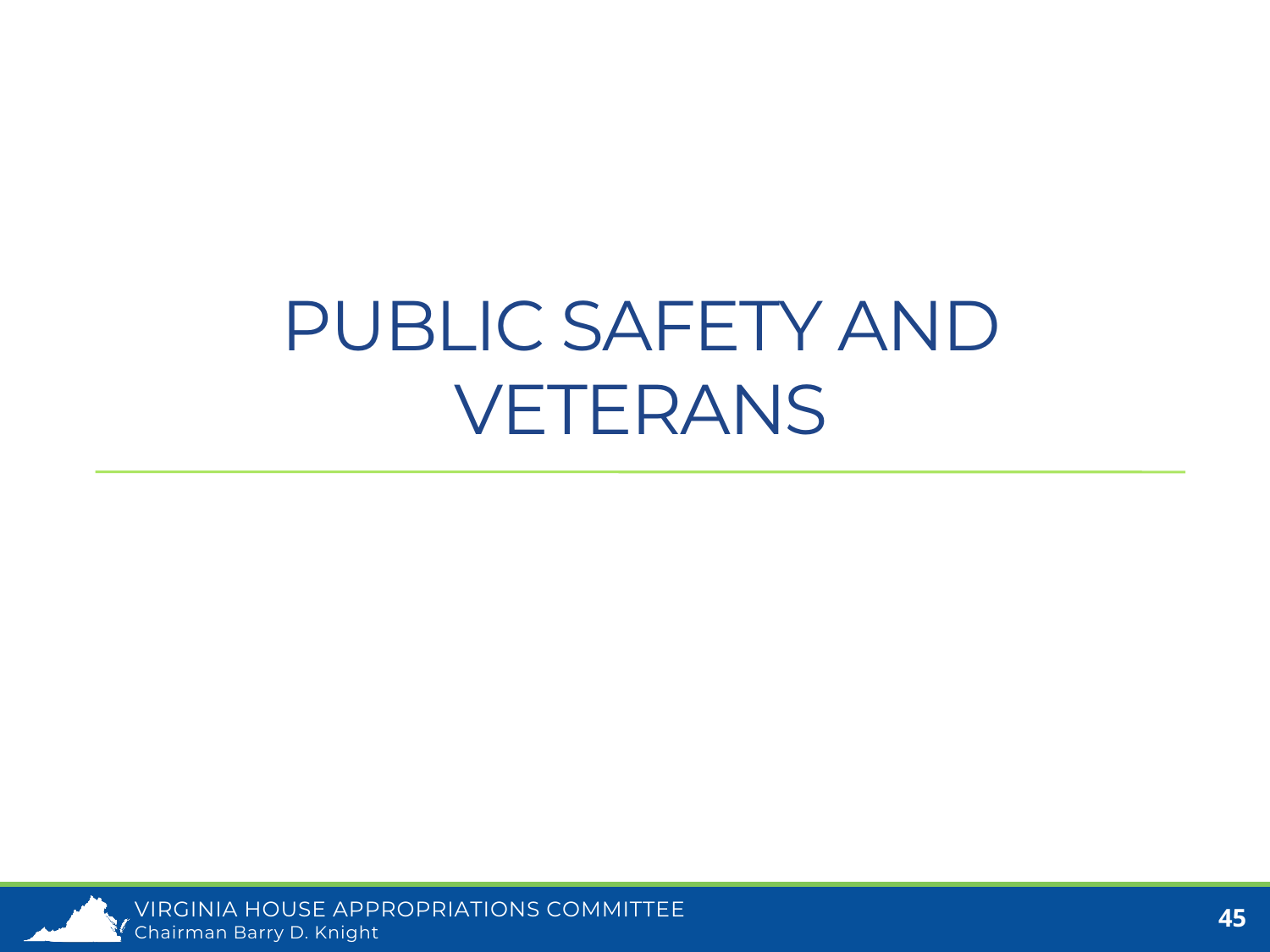### PUBLIC SAFETY AND VETERANS

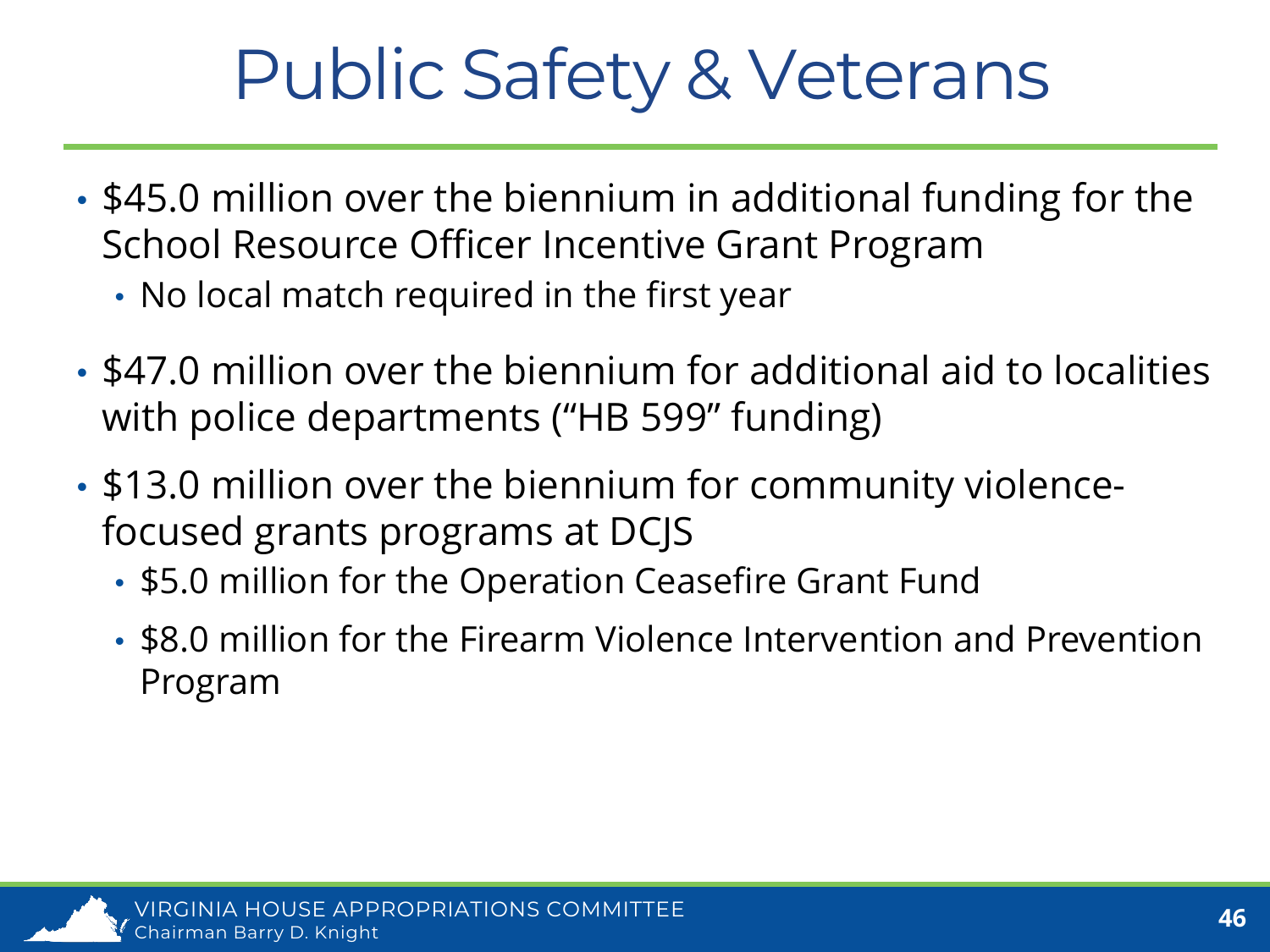### Public Safety & Veterans

- \$45.0 million over the biennium in additional funding for the School Resource Officer Incentive Grant Program
	- No local match required in the first year
- \$47.0 million over the biennium for additional aid to localities with police departments ("HB 599" funding)
- \$13.0 million over the biennium for community violencefocused grants programs at DCJS
	- \$5.0 million for the Operation Ceasefire Grant Fund
	- \$8.0 million for the Firearm Violence Intervention and Prevention Program

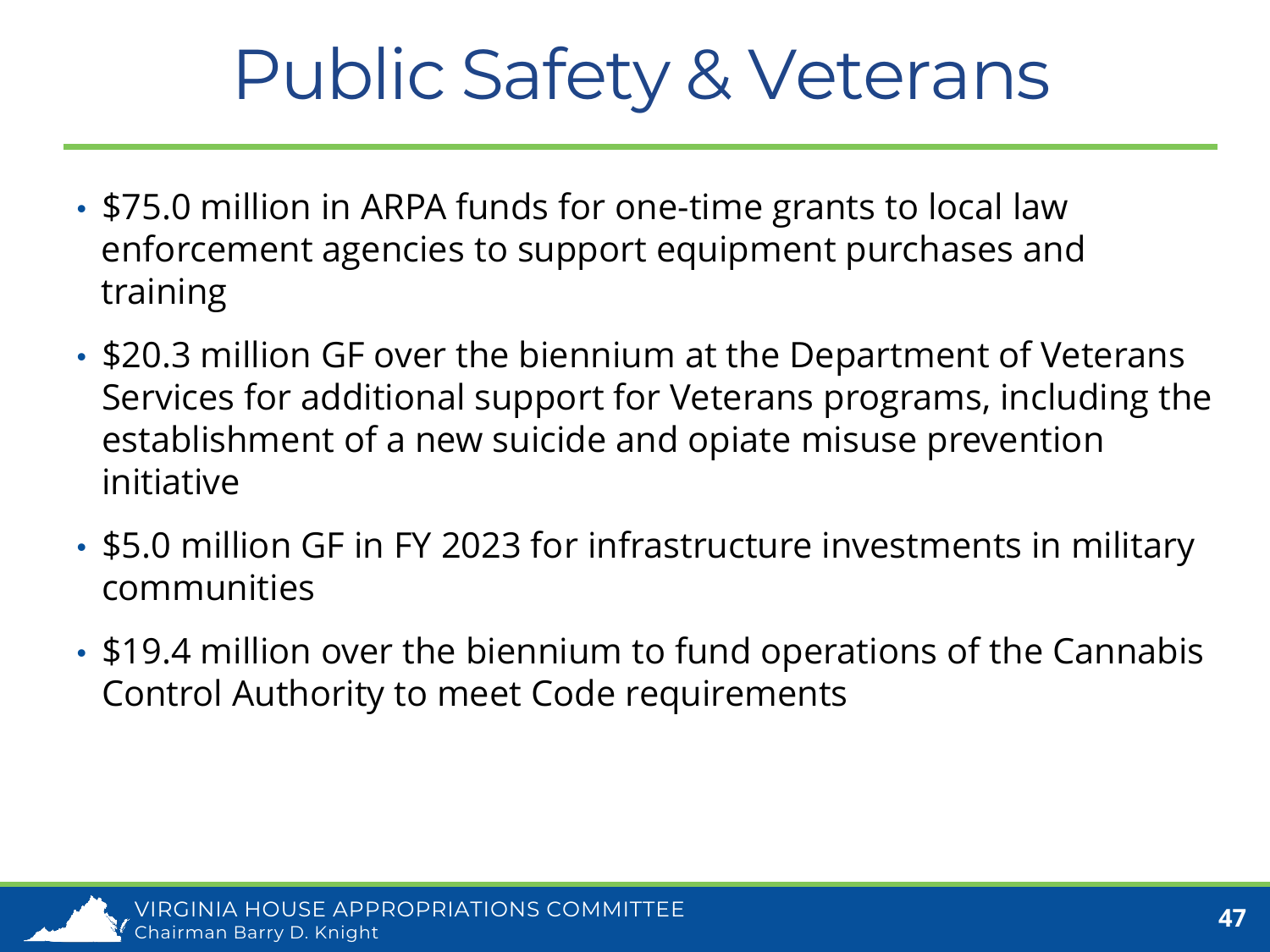### Public Safety & Veterans

- \$75.0 million in ARPA funds for one-time grants to local law enforcement agencies to support equipment purchases and training
- \$20.3 million GF over the biennium at the Department of Veterans Services for additional support for Veterans programs, including the establishment of a new suicide and opiate misuse prevention initiative
- \$5.0 million GF in FY 2023 for infrastructure investments in military communities
- \$19.4 million over the biennium to fund operations of the Cannabis Control Authority to meet Code requirements

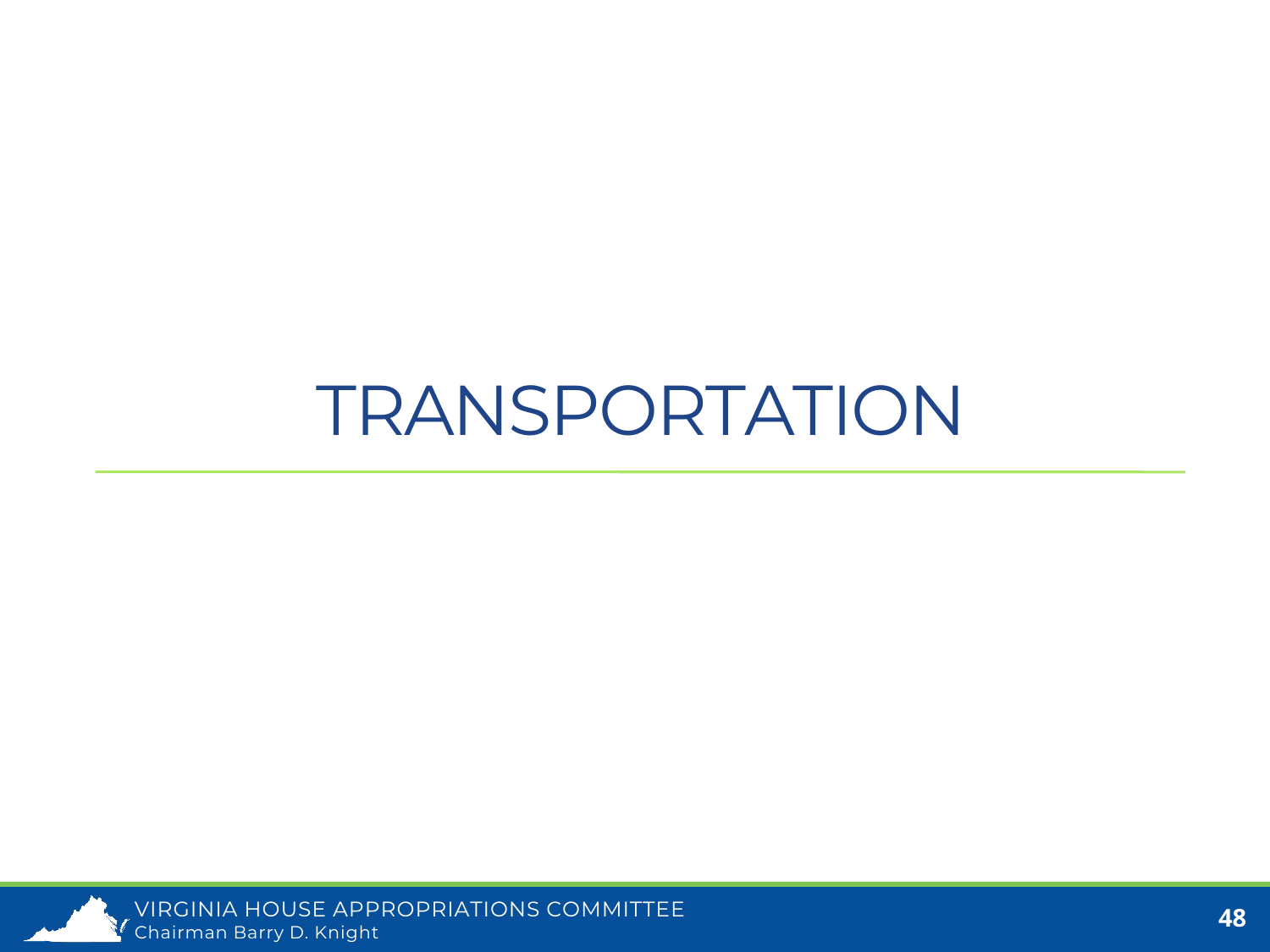#### TRANSPORTATION

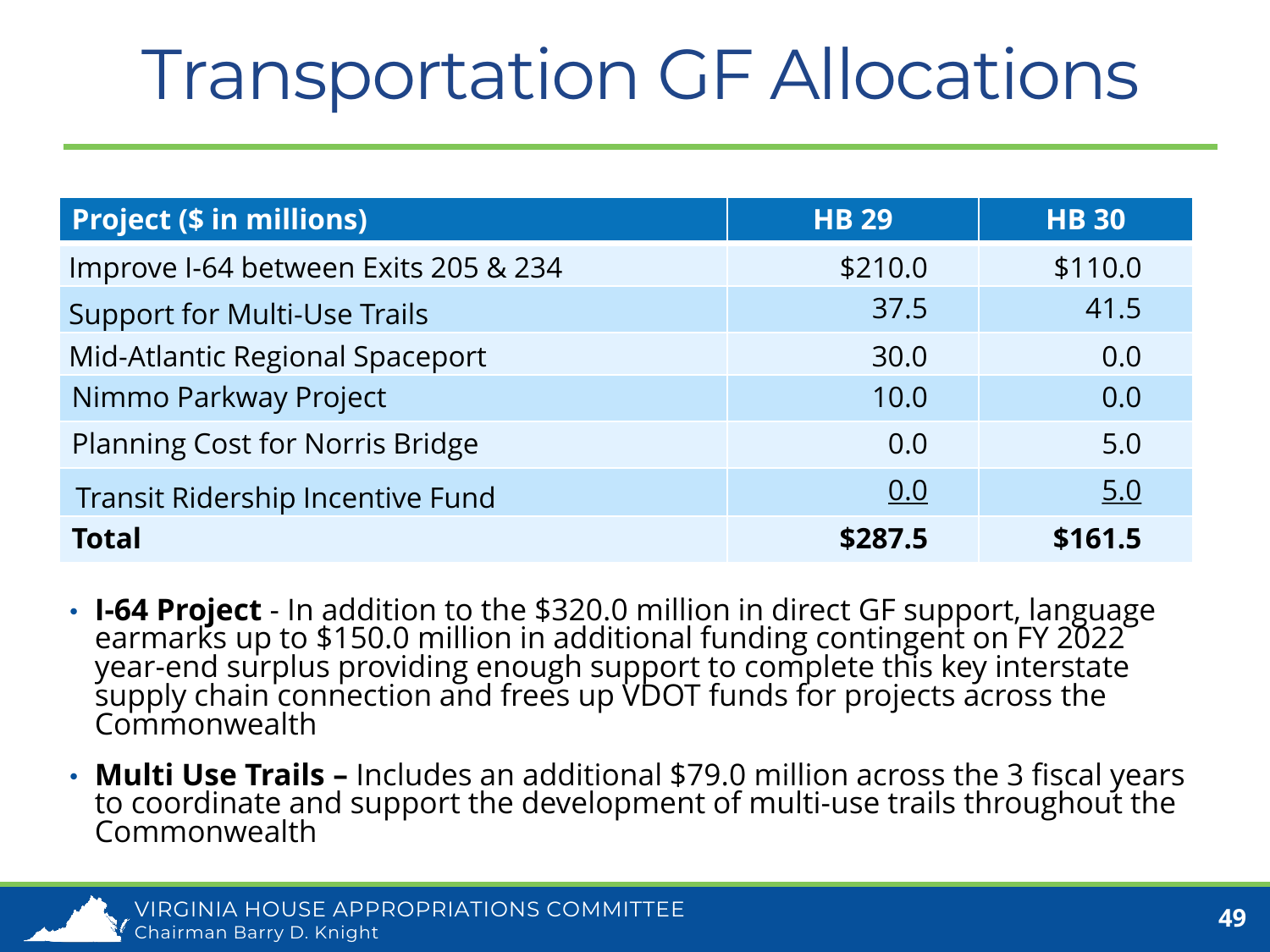### Transportation GF Allocations

| <b>Project (\$ in millions)</b>      | <b>HB 29</b> | <b>HB30</b> |
|--------------------------------------|--------------|-------------|
| Improve I-64 between Exits 205 & 234 | \$210.0      | \$110.0     |
| <b>Support for Multi-Use Trails</b>  | 37.5         | 41.5        |
| Mid-Atlantic Regional Spaceport      | 30.0         | 0.0         |
| Nimmo Parkway Project                | 10.0         | 0.0         |
| Planning Cost for Norris Bridge      | 0.0          | 5.0         |
| Transit Ridership Incentive Fund     | 0.0          | 5.0         |
| <b>Total</b>                         | \$287.5      | \$161.5     |

- **I-64 Project** In addition to the \$320.0 million in direct GF support, language earmarks up to \$150.0 million in additional funding contingent on FY 2022 year-end surplus providing enough support to complete this key interstate<br>supply chain connection and frees up VDOT funds for projects across the Commonwealth
- **Multi Use Trails –** Includes an additional \$79.0 million across the 3 fiscal years to coordinate and support the development of multi-use trails throughout the Commonwealth

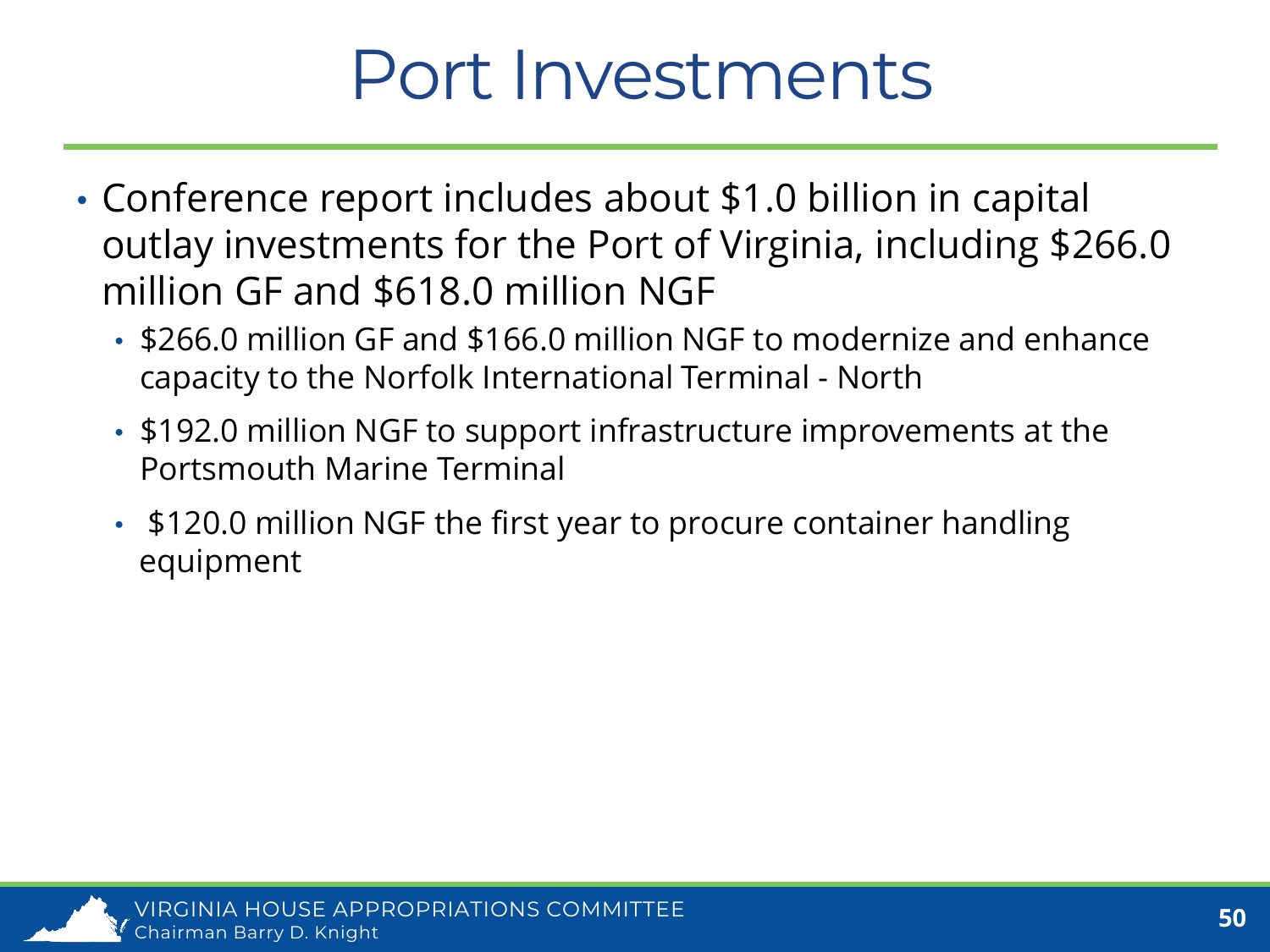#### Port Investments

- Conference report includes about \$1.0 billion in capital outlay investments for the Port of Virginia, including \$266.0 million GF and \$618.0 million NGF
	- \$266.0 million GF and \$166.0 million NGF to modernize and enhance capacity to the Norfolk International Terminal - North
	- \$192.0 million NGF to support infrastructure improvements at the Portsmouth Marine Terminal
	- \$120.0 million NGF the first year to procure container handling equipment

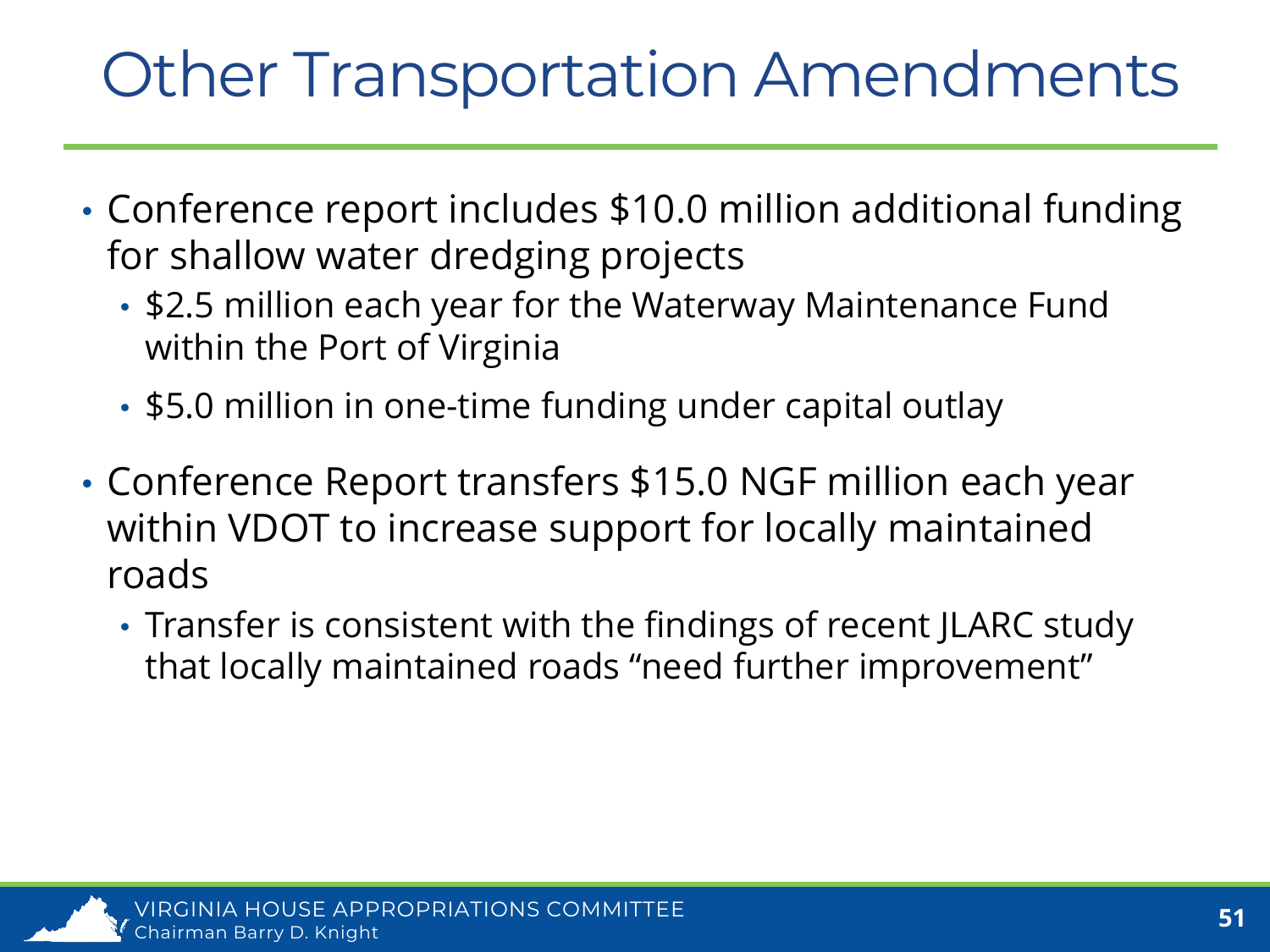#### Other Transportation Amendments

- Conference report includes \$10.0 million additional funding for shallow water dredging projects
	- \$2.5 million each year for the Waterway Maintenance Fund within the Port of Virginia
	- \$5.0 million in one-time funding under capital outlay
- Conference Report transfers \$15.0 NGF million each year within VDOT to increase support for locally maintained roads
	- Transfer is consistent with the findings of recent JLARC study that locally maintained roads "need further improvement"

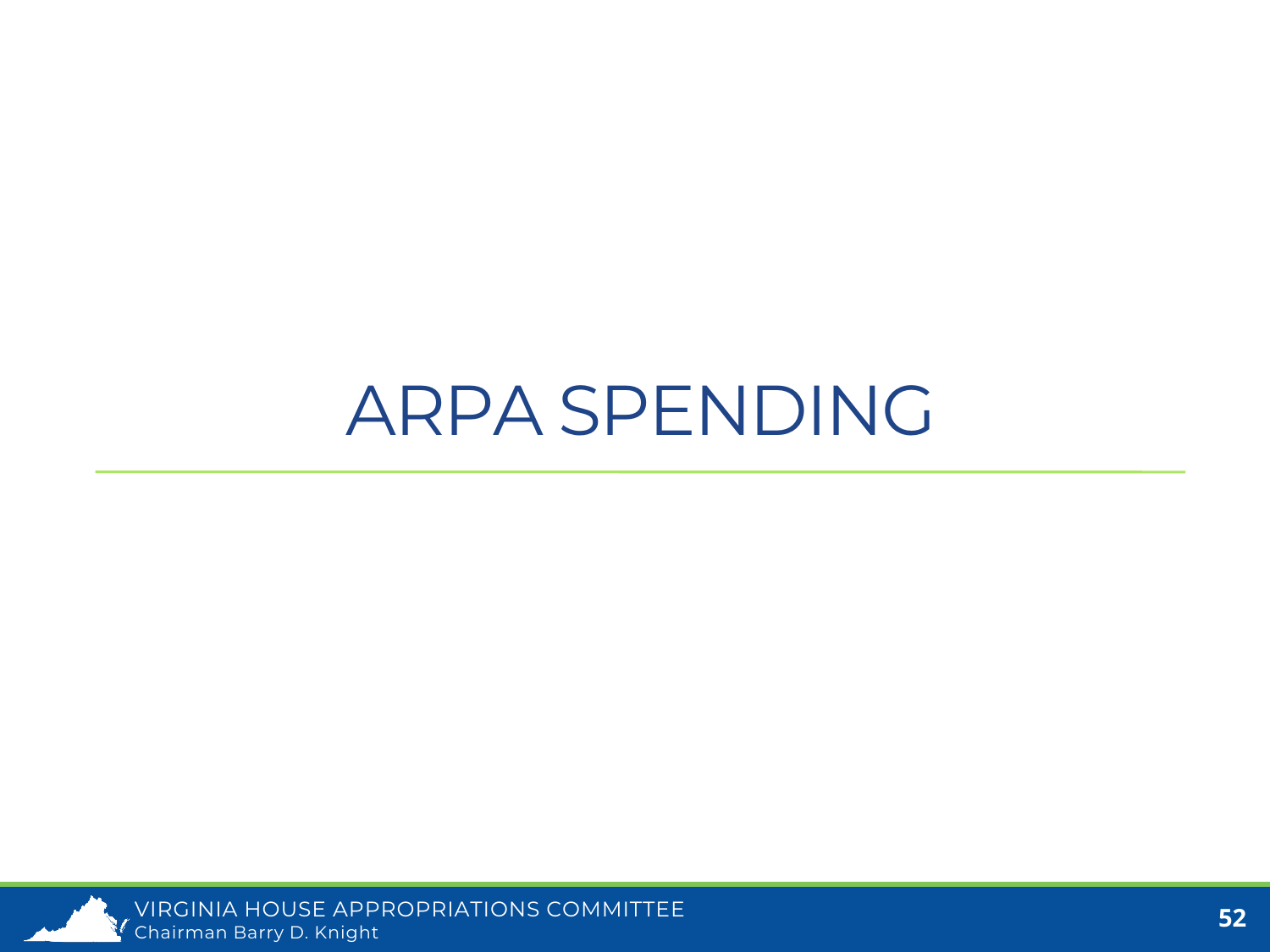#### ARPA SPENDING

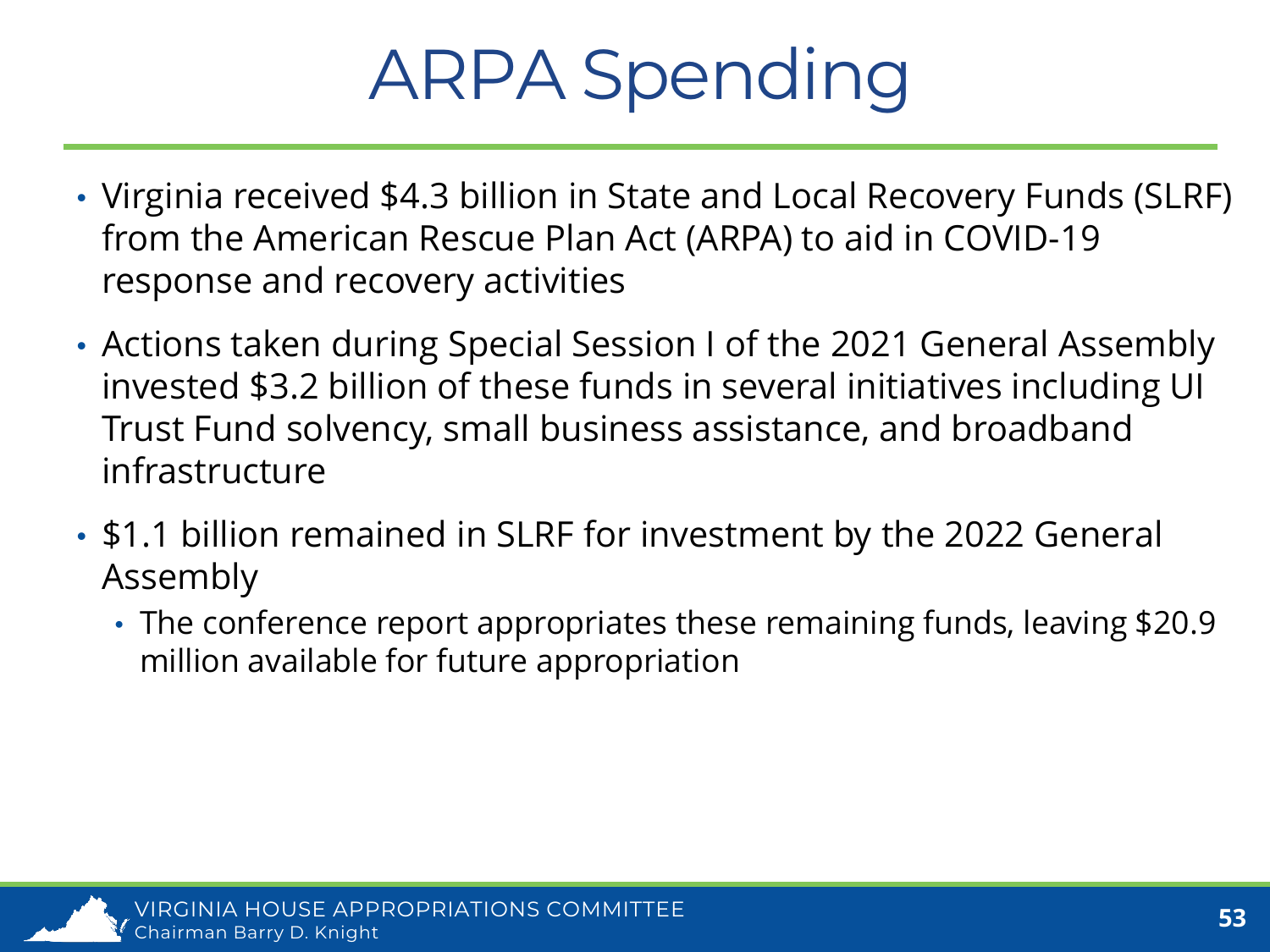### ARPA Spending

- Virginia received \$4.3 billion in State and Local Recovery Funds (SLRF) from the American Rescue Plan Act (ARPA) to aid in COVID-19 response and recovery activities
- Actions taken during Special Session I of the 2021 General Assembly invested \$3.2 billion of these funds in several initiatives including UI Trust Fund solvency, small business assistance, and broadband infrastructure
- \$1.1 billion remained in SLRF for investment by the 2022 General Assembly
	- The conference report appropriates these remaining funds, leaving \$20.9 million available for future appropriation

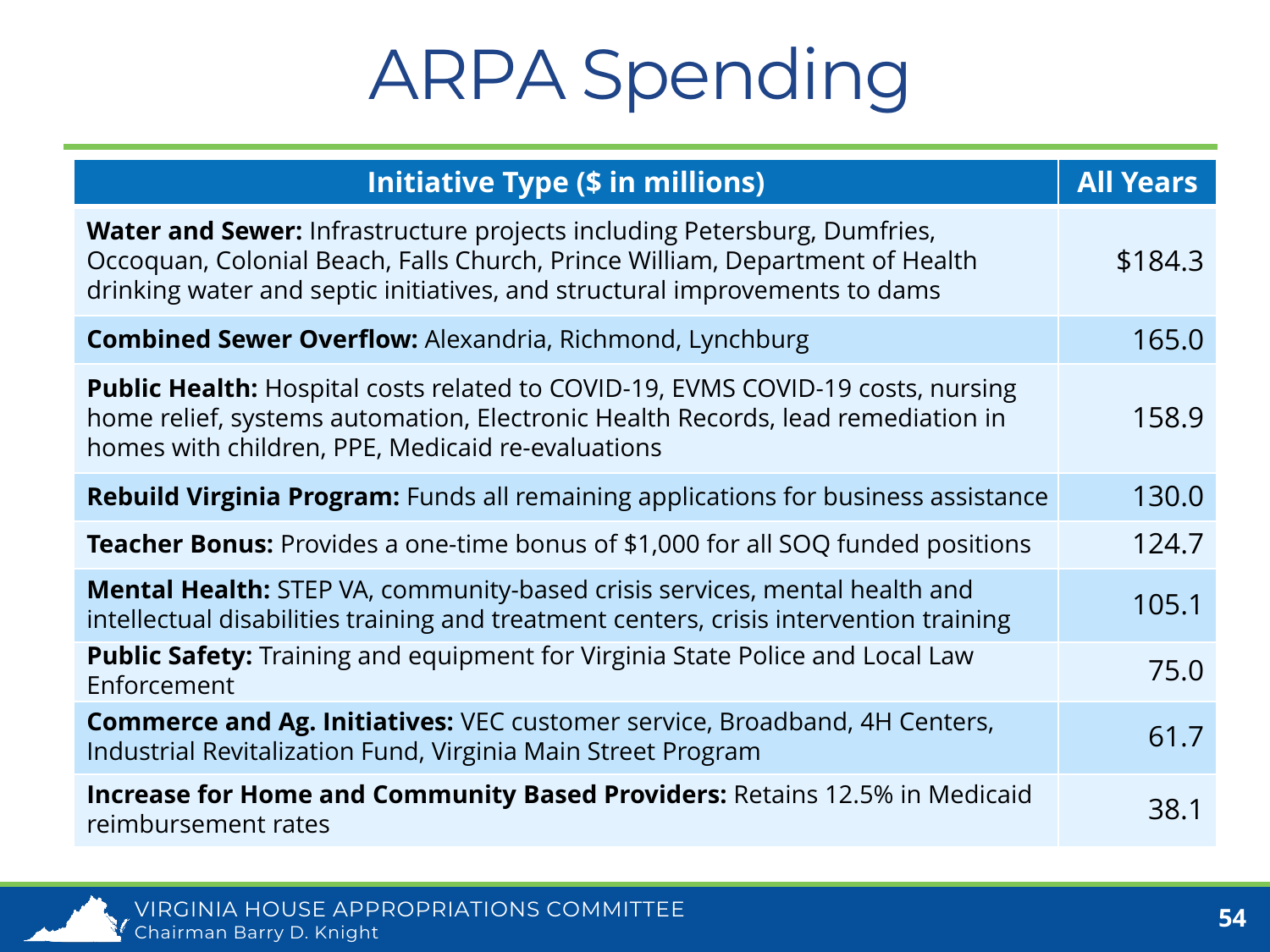### ARPA Spending

| <b>Initiative Type (\$ in millions)</b>                                                                                                                                                                                                       | <b>All Years</b> |
|-----------------------------------------------------------------------------------------------------------------------------------------------------------------------------------------------------------------------------------------------|------------------|
| <b>Water and Sewer:</b> Infrastructure projects including Petersburg, Dumfries,<br>Occoquan, Colonial Beach, Falls Church, Prince William, Department of Health<br>drinking water and septic initiatives, and structural improvements to dams | \$184.3          |
| <b>Combined Sewer Overflow: Alexandria, Richmond, Lynchburg</b>                                                                                                                                                                               | 165.0            |
| Public Health: Hospital costs related to COVID-19, EVMS COVID-19 costs, nursing<br>home relief, systems automation, Electronic Health Records, lead remediation in<br>homes with children, PPE, Medicaid re-evaluations                       | 158.9            |
| <b>Rebuild Virginia Program:</b> Funds all remaining applications for business assistance                                                                                                                                                     | 130.0            |
| <b>Teacher Bonus:</b> Provides a one-time bonus of \$1,000 for all SOQ funded positions                                                                                                                                                       | 124.7            |
| <b>Mental Health:</b> STEP VA, community-based crisis services, mental health and<br>intellectual disabilities training and treatment centers, crisis intervention training                                                                   | 105.1            |
| Public Safety: Training and equipment for Virginia State Police and Local Law<br>Enforcement                                                                                                                                                  | 75.0             |
| <b>Commerce and Ag. Initiatives:</b> VEC customer service, Broadband, 4H Centers,<br>Industrial Revitalization Fund, Virginia Main Street Program                                                                                             | 61.7             |
| <b>Increase for Home and Community Based Providers: Retains 12.5% in Medicaid</b><br>reimbursement rates                                                                                                                                      | 38.1             |

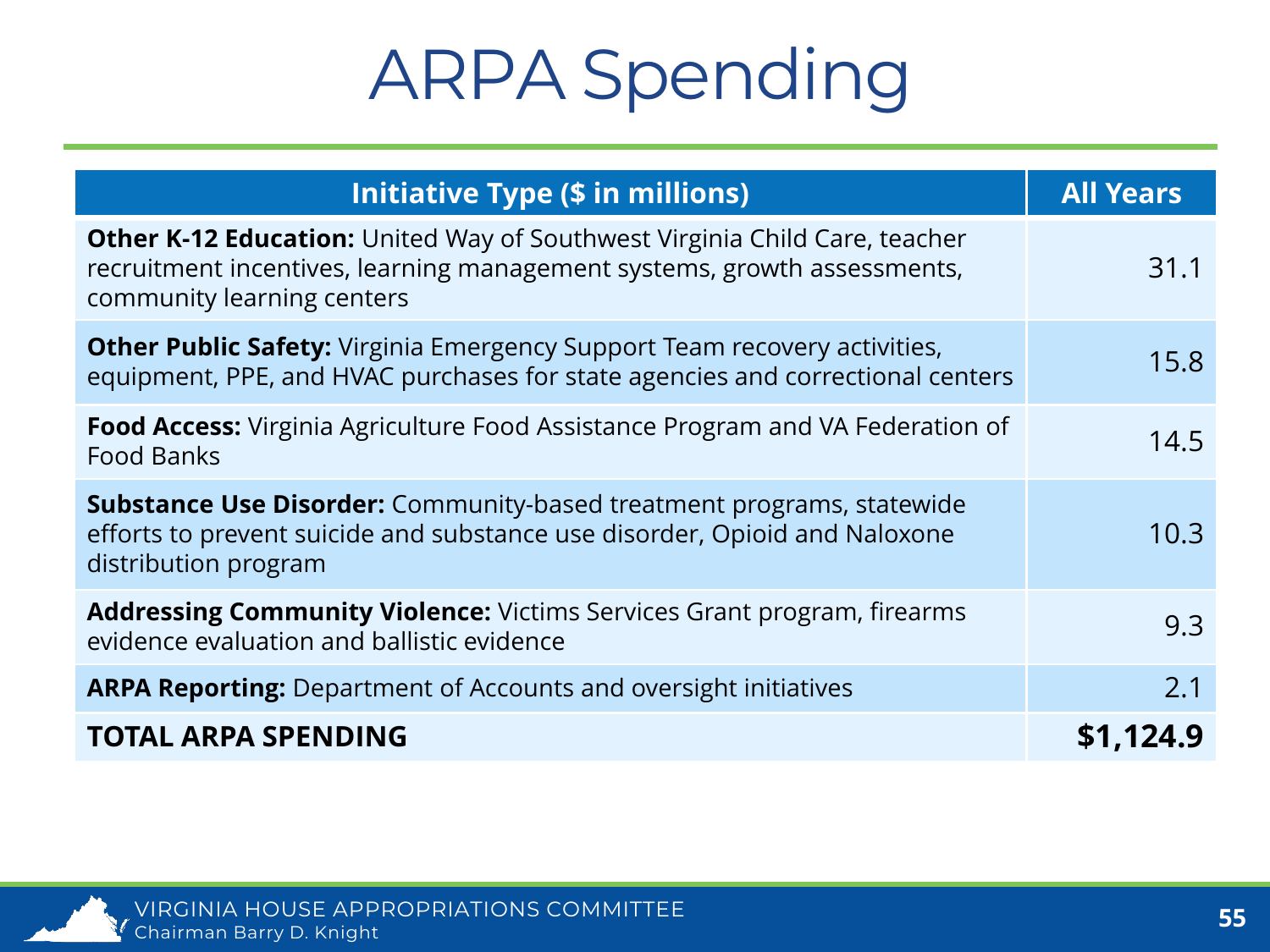### ARPA Spending

| <b>Initiative Type (\$ in millions)</b>                                                                                                                                                     | <b>All Years</b> |
|---------------------------------------------------------------------------------------------------------------------------------------------------------------------------------------------|------------------|
| <b>Other K-12 Education:</b> United Way of Southwest Virginia Child Care, teacher<br>recruitment incentives, learning management systems, growth assessments,<br>community learning centers | 31.1             |
| <b>Other Public Safety:</b> Virginia Emergency Support Team recovery activities,<br>equipment, PPE, and HVAC purchases for state agencies and correctional centers                          | 15.8             |
| <b>Food Access:</b> Virginia Agriculture Food Assistance Program and VA Federation of<br><b>Food Banks</b>                                                                                  | 14.5             |
| <b>Substance Use Disorder:</b> Community-based treatment programs, statewide<br>efforts to prevent suicide and substance use disorder, Opioid and Naloxone<br>distribution program          | 10.3             |
| <b>Addressing Community Violence:</b> Victims Services Grant program, firearms<br>evidence evaluation and ballistic evidence                                                                | 9.3              |
| <b>ARPA Reporting:</b> Department of Accounts and oversight initiatives                                                                                                                     | 2.1              |
| <b>TOTAL ARPA SPENDING</b>                                                                                                                                                                  | \$1,124.9        |

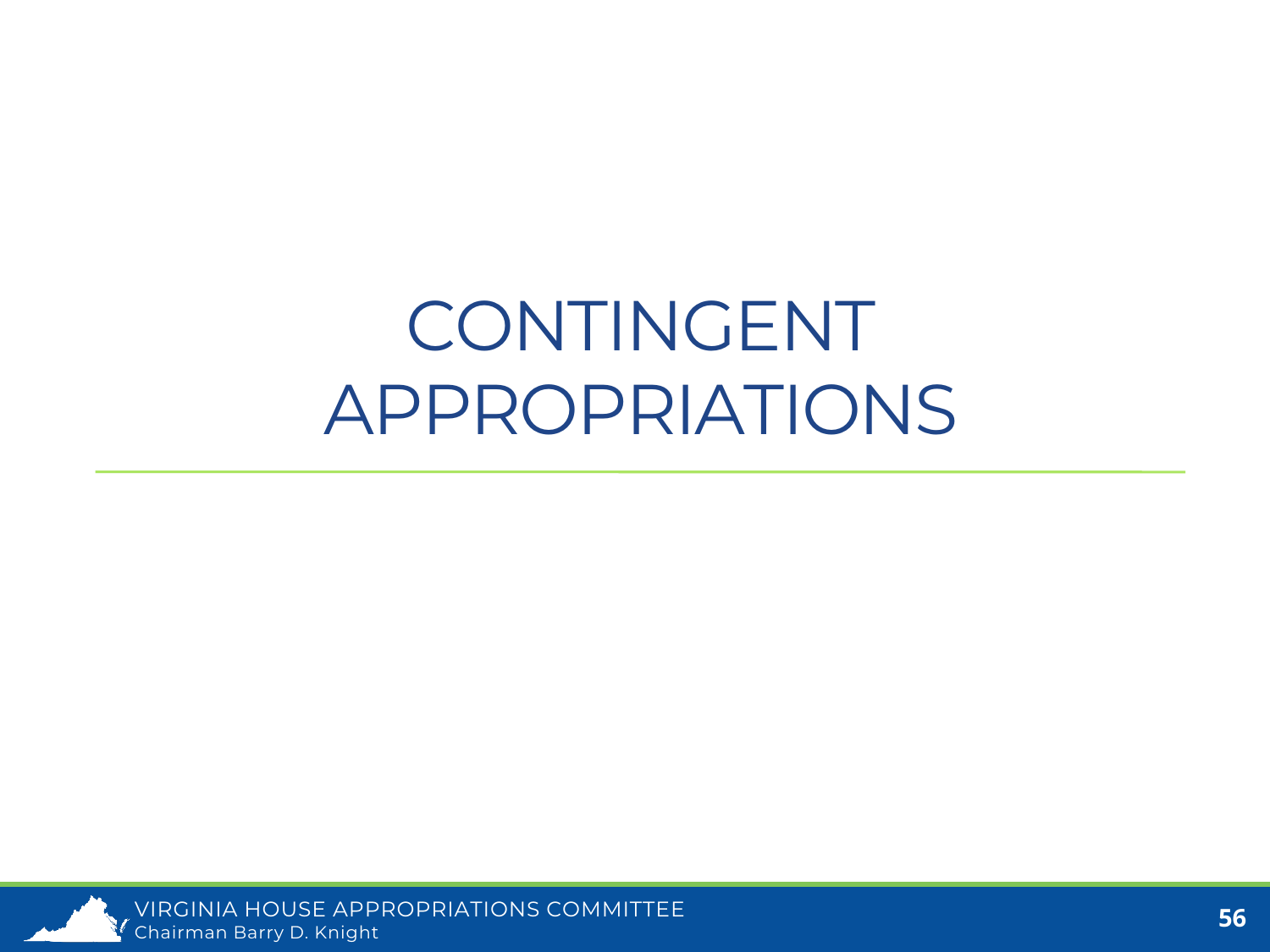#### CONTINGENT APPROPRIATIONS

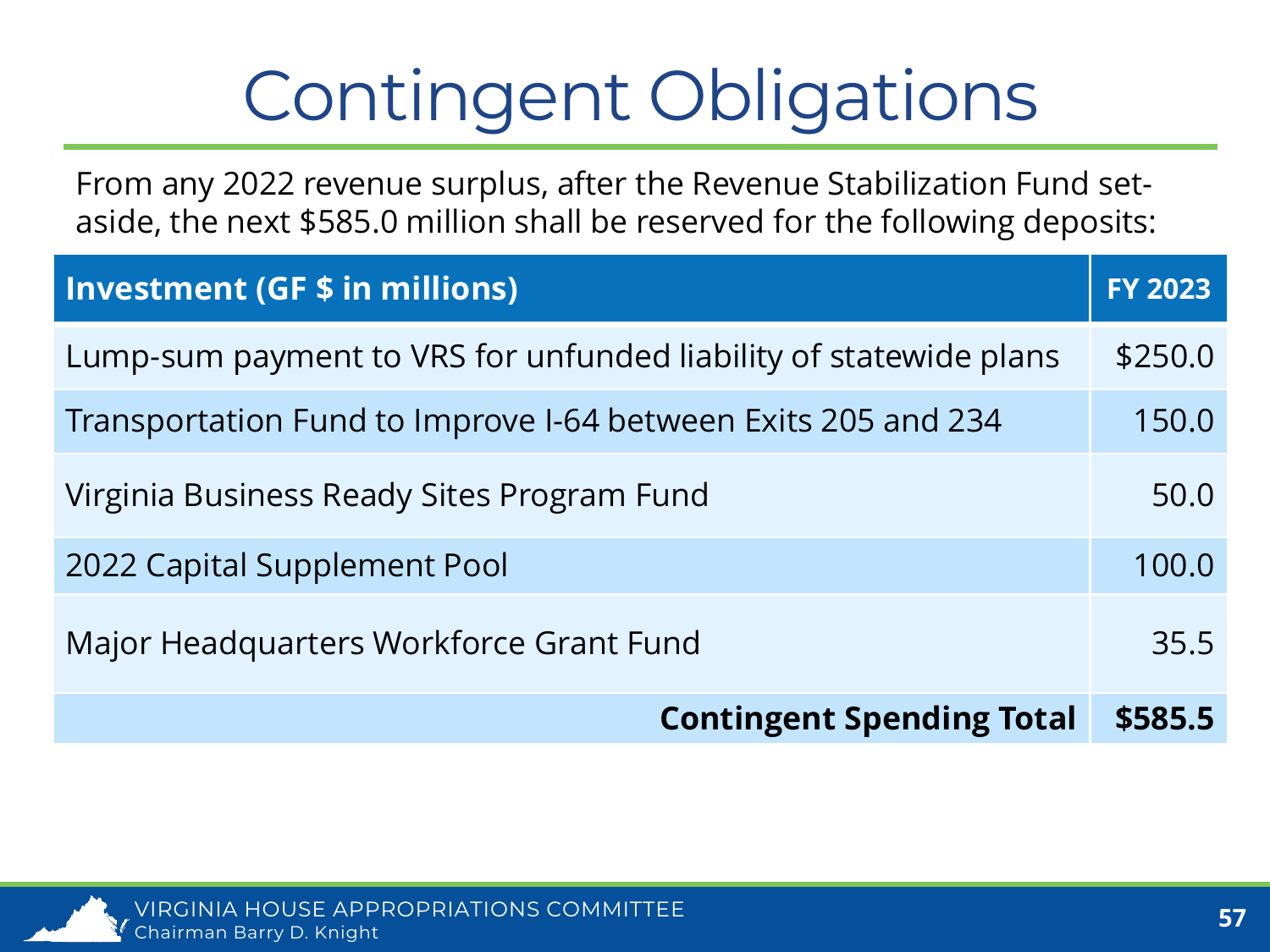# Contingent Obligations

From any 2022 revenue surplus, after the Revenue Stabilization Fund setaside, the next \$585.0 million shall be reserved for the following deposits:

| <b>Investment (GF \$ in millions)</b>                             | <b>FY 2023</b> |
|-------------------------------------------------------------------|----------------|
| Lump-sum payment to VRS for unfunded liability of statewide plans | \$250.0        |
| Transportation Fund to Improve I-64 between Exits 205 and 234     | 150.0          |
| Virginia Business Ready Sites Program Fund                        | 50.0           |
| 2022 Capital Supplement Pool                                      | 100.0          |
| Major Headquarters Workforce Grant Fund                           | 35.5           |
| <b>Contingent Spending Total</b>                                  | \$585.5        |

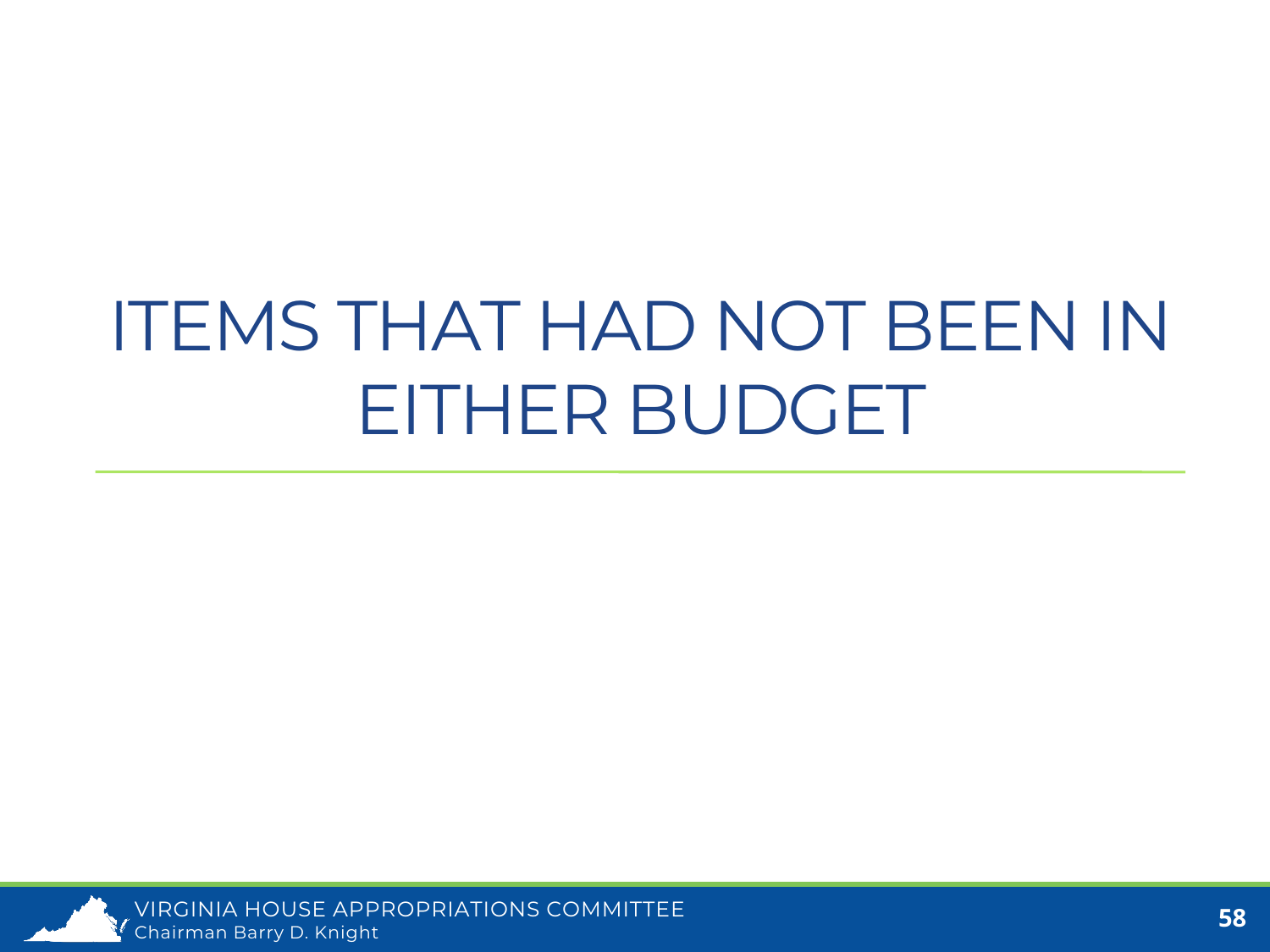# ITEMS THAT HAD NOT BEEN IN EITHER BUDGET